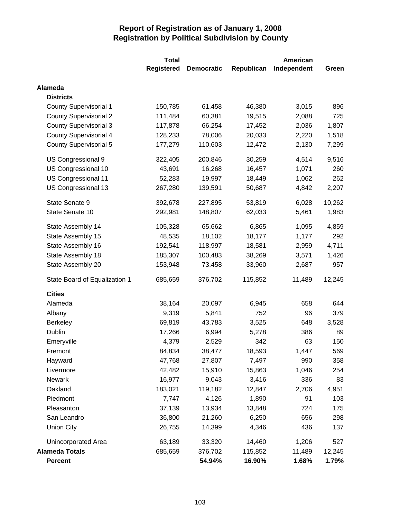|                               | <b>Total</b>      | <b>American</b>   |            |             |        |
|-------------------------------|-------------------|-------------------|------------|-------------|--------|
|                               | <b>Registered</b> | <b>Democratic</b> | Republican | Independent | Green  |
| Alameda                       |                   |                   |            |             |        |
| <b>Districts</b>              |                   |                   |            |             |        |
| <b>County Supervisorial 1</b> | 150,785           | 61,458            | 46,380     | 3,015       | 896    |
| <b>County Supervisorial 2</b> | 111,484           | 60,381            | 19,515     | 2,088       | 725    |
| <b>County Supervisorial 3</b> | 117,878           | 66,254            | 17,452     | 2,036       | 1,807  |
| <b>County Supervisorial 4</b> | 128,233           | 78,006            | 20,033     | 2,220       | 1,518  |
| County Supervisorial 5        | 177,279           | 110,603           | 12,472     | 2,130       | 7,299  |
| US Congressional 9            | 322,405           | 200,846           | 30,259     | 4,514       | 9,516  |
| US Congressional 10           | 43,691            | 16,268            | 16,457     | 1,071       | 260    |
| US Congressional 11           | 52,283            | 19,997            | 18,449     | 1,062       | 262    |
| US Congressional 13           | 267,280           | 139,591           | 50,687     | 4,842       | 2,207  |
| State Senate 9                | 392,678           | 227,895           | 53,819     | 6,028       | 10,262 |
| State Senate 10               | 292,981           | 148,807           | 62,033     | 5,461       | 1,983  |
| State Assembly 14             | 105,328           | 65,662            | 6,865      | 1,095       | 4,859  |
| State Assembly 15             | 48,535            | 18,102            | 18,177     | 1,177       | 292    |
| State Assembly 16             | 192,541           | 118,997           | 18,581     | 2,959       | 4,711  |
| State Assembly 18             | 185,307           | 100,483           | 38,269     | 3,571       | 1,426  |
| State Assembly 20             | 153,948           | 73,458            | 33,960     | 2,687       | 957    |
| State Board of Equalization 1 | 685,659           | 376,702           | 115,852    | 11,489      | 12,245 |
| <b>Cities</b>                 |                   |                   |            |             |        |
| Alameda                       | 38,164            | 20,097            | 6,945      | 658         | 644    |
| Albany                        | 9,319             | 5,841             | 752        | 96          | 379    |
| <b>Berkeley</b>               | 69,819            | 43,783            | 3,525      | 648         | 3,528  |
| Dublin                        | 17,266            | 6,994             | 5,278      | 386         | 89     |
| Emeryville                    | 4,379             | 2,529             | 342        | 63          | 150    |
| Fremont                       | 84,834            | 38,477            | 18,593     | 1,447       | 569    |
| Hayward                       | 47,768            | 27,807            | 7,497      | 990         | 358    |
| Livermore                     | 42,482            | 15,910            | 15,863     | 1,046       | 254    |
| Newark                        | 16,977            | 9,043             | 3,416      | 336         | 83     |
| Oakland                       | 183,021           | 119,182           | 12,847     | 2,706       | 4,951  |
| Piedmont                      | 7,747             | 4,126             | 1,890      | 91          | 103    |
| Pleasanton                    | 37,139            | 13,934            | 13,848     | 724         | 175    |
| San Leandro                   | 36,800            | 21,260            | 6,250      | 656         | 298    |
| <b>Union City</b>             | 26,755            | 14,399            | 4,346      | 436         | 137    |
| Unincorporated Area           | 63,189            | 33,320            | 14,460     | 1,206       | 527    |
| <b>Alameda Totals</b>         | 685,659           | 376,702           | 115,852    | 11,489      | 12,245 |
| <b>Percent</b>                |                   | 54.94%            | 16.90%     | 1.68%       | 1.79%  |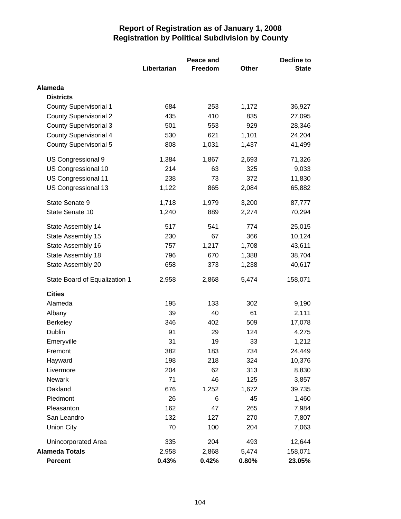|                               |             | Peace and | <b>Decline to</b> |              |  |
|-------------------------------|-------------|-----------|-------------------|--------------|--|
|                               | Libertarian | Freedom   | Other             | <b>State</b> |  |
| Alameda                       |             |           |                   |              |  |
| <b>Districts</b>              |             |           |                   |              |  |
| <b>County Supervisorial 1</b> | 684         | 253       | 1,172             | 36,927       |  |
| <b>County Supervisorial 2</b> | 435         | 410       | 835               | 27,095       |  |
| <b>County Supervisorial 3</b> | 501         | 553       | 929               | 28,346       |  |
| <b>County Supervisorial 4</b> | 530         | 621       | 1,101             | 24,204       |  |
| <b>County Supervisorial 5</b> | 808         | 1,031     | 1,437             | 41,499       |  |
| US Congressional 9            | 1,384       | 1,867     | 2,693             | 71,326       |  |
| US Congressional 10           | 214         | 63        | 325               | 9,033        |  |
| US Congressional 11           | 238         | 73        | 372               | 11,830       |  |
| US Congressional 13           | 1,122       | 865       | 2,084             | 65,882       |  |
| State Senate 9                | 1,718       | 1,979     | 3,200             | 87,777       |  |
| State Senate 10               | 1,240       | 889       | 2,274             | 70,294       |  |
| State Assembly 14             | 517         | 541       | 774               | 25,015       |  |
| State Assembly 15             | 230         | 67        | 366               | 10,124       |  |
| State Assembly 16             | 757         | 1,217     | 1,708             | 43,611       |  |
| State Assembly 18             | 796         | 670       | 1,388             | 38,704       |  |
| State Assembly 20             | 658         | 373       | 1,238             | 40,617       |  |
| State Board of Equalization 1 | 2,958       | 2,868     | 5,474             | 158,071      |  |
| <b>Cities</b>                 |             |           |                   |              |  |
| Alameda                       | 195         | 133       | 302               | 9,190        |  |
| Albany                        | 39          | 40        | 61                | 2,111        |  |
| <b>Berkeley</b>               | 346         | 402       | 509               | 17,078       |  |
| Dublin                        | 91          | 29        | 124               | 4,275        |  |
| Emeryville                    | 31          | 19        | 33                | 1,212        |  |
| Fremont                       | 382         | 183       | 734               | 24,449       |  |
| Hayward                       | 198         | 218       | 324               | 10,376       |  |
| Livermore                     | 204         | 62        | 313               | 8,830        |  |
| <b>Newark</b>                 | 71          | 46        | 125               | 3,857        |  |
| Oakland                       | 676         | 1,252     | 1,672             | 39,735       |  |
| Piedmont                      | 26          | 6         | 45                | 1,460        |  |
| Pleasanton                    | 162         | 47        | 265               | 7,984        |  |
| San Leandro                   | 132         | 127       | 270               | 7,807        |  |
| <b>Union City</b>             | 70          | 100       | 204               | 7,063        |  |
| Unincorporated Area           | 335         | 204       | 493               | 12,644       |  |
| <b>Alameda Totals</b>         | 2,958       | 2,868     | 5,474             | 158,071      |  |
| Percent                       | 0.43%       | 0.42%     | 0.80%             | 23.05%       |  |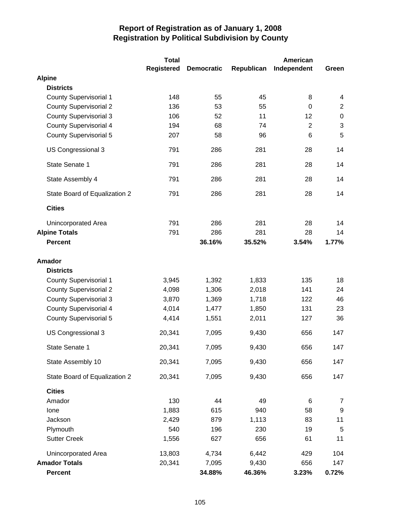|                               | <b>Total</b>      |                   |            | American       |                |
|-------------------------------|-------------------|-------------------|------------|----------------|----------------|
|                               | <b>Registered</b> | <b>Democratic</b> | Republican | Independent    | Green          |
| <b>Alpine</b>                 |                   |                   |            |                |                |
| <b>Districts</b>              |                   |                   |            |                |                |
| <b>County Supervisorial 1</b> | 148               | 55                | 45         | 8              | 4              |
| <b>County Supervisorial 2</b> | 136               | 53                | 55         | $\mathbf 0$    | $\overline{2}$ |
| <b>County Supervisorial 3</b> | 106               | 52                | 11         | 12             | $\pmb{0}$      |
| <b>County Supervisorial 4</b> | 194               | 68                | 74         | $\overline{2}$ | 3              |
| <b>County Supervisorial 5</b> | 207               | 58                | 96         | 6              | 5              |
| US Congressional 3            | 791               | 286               | 281        | 28             | 14             |
| State Senate 1                | 791               | 286               | 281        | 28             | 14             |
| State Assembly 4              | 791               | 286               | 281        | 28             | 14             |
| State Board of Equalization 2 | 791               | 286               | 281        | 28             | 14             |
| <b>Cities</b>                 |                   |                   |            |                |                |
| Unincorporated Area           | 791               | 286               | 281        | 28             | 14             |
| <b>Alpine Totals</b>          | 791               | 286               | 281        | 28             | 14             |
| <b>Percent</b>                |                   | 36.16%            | 35.52%     | 3.54%          | 1.77%          |
| <b>Amador</b>                 |                   |                   |            |                |                |
| <b>Districts</b>              |                   |                   |            |                |                |
| <b>County Supervisorial 1</b> | 3,945             | 1,392             | 1,833      | 135            | 18             |
| <b>County Supervisorial 2</b> | 4,098             | 1,306             | 2,018      | 141            | 24             |
| <b>County Supervisorial 3</b> | 3,870             | 1,369             | 1,718      | 122            | 46             |
| <b>County Supervisorial 4</b> | 4,014             | 1,477             | 1,850      | 131            | 23             |
| <b>County Supervisorial 5</b> | 4,414             | 1,551             | 2,011      | 127            | 36             |
| US Congressional 3            | 20,341            | 7,095             | 9,430      | 656            | 147            |
| State Senate 1                | 20,341            | 7,095             | 9,430      | 656            | 147            |
| State Assembly 10             | 20,341            | 7,095             | 9,430      | 656            | 147            |
| State Board of Equalization 2 | 20,341            | 7,095             | 9,430      | 656            | 147            |
| <b>Cities</b>                 |                   |                   |            |                |                |
| Amador                        | 130               | 44                | 49         | 6              | 7              |
| Ione                          | 1,883             | 615               | 940        | 58             | 9              |
| Jackson                       | 2,429             | 879               | 1,113      | 83             | 11             |
| Plymouth                      | 540               | 196               | 230        | 19             | 5              |
| <b>Sutter Creek</b>           | 1,556             | 627               | 656        | 61             | 11             |
| Unincorporated Area           | 13,803            | 4,734             | 6,442      | 429            | 104            |
| <b>Amador Totals</b>          | 20,341            | 7,095             | 9,430      | 656            | 147            |
| <b>Percent</b>                |                   | 34.88%            | 46.36%     | 3.23%          | 0.72%          |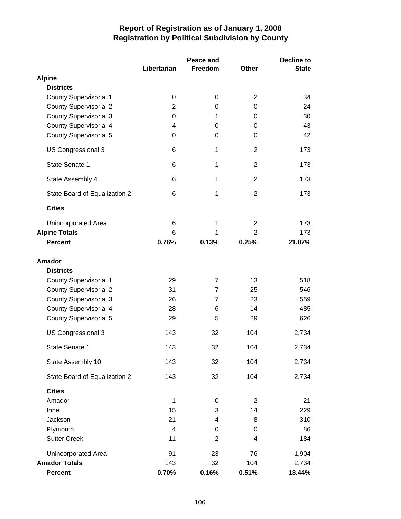|                               |                         | Peace and      |                | Decline to   |  |
|-------------------------------|-------------------------|----------------|----------------|--------------|--|
|                               | Libertarian             | Freedom        | <b>Other</b>   | <b>State</b> |  |
| <b>Alpine</b>                 |                         |                |                |              |  |
| <b>Districts</b>              |                         |                |                |              |  |
| <b>County Supervisorial 1</b> | 0                       | 0              | $\overline{2}$ | 34           |  |
| <b>County Supervisorial 2</b> | 2                       | 0              | 0              | 24           |  |
| <b>County Supervisorial 3</b> | 0                       | 1              | 0              | 30           |  |
| <b>County Supervisorial 4</b> | 4                       | 0              | 0              | 43           |  |
| <b>County Supervisorial 5</b> | 0                       | 0              | 0              | 42           |  |
| US Congressional 3            | 6                       | 1              | $\overline{2}$ | 173          |  |
| State Senate 1                | 6                       | 1              | $\overline{2}$ | 173          |  |
| State Assembly 4              | 6                       | 1              | $\overline{2}$ | 173          |  |
| State Board of Equalization 2 | 6                       | 1              | $\overline{2}$ | 173          |  |
| <b>Cities</b>                 |                         |                |                |              |  |
| Unincorporated Area           | 6                       | 1              | $\overline{2}$ | 173          |  |
| <b>Alpine Totals</b>          | 6                       | 1              | $\overline{2}$ | 173          |  |
| <b>Percent</b>                | 0.76%                   | 0.13%          | 0.25%          | 21.87%       |  |
|                               |                         |                |                |              |  |
| <b>Amador</b>                 |                         |                |                |              |  |
| <b>Districts</b>              |                         |                |                |              |  |
| <b>County Supervisorial 1</b> | 29                      | $\overline{7}$ | 13             | 518          |  |
| <b>County Supervisorial 2</b> | 31                      | 7              | 25             | 546          |  |
| <b>County Supervisorial 3</b> | 26                      | 7              | 23             | 559          |  |
| <b>County Supervisorial 4</b> | 28                      | 6              | 14             | 485          |  |
| <b>County Supervisorial 5</b> | 29                      | 5              | 29             | 626          |  |
| US Congressional 3            | 143                     | 32             | 104            | 2,734        |  |
| State Senate 1                | 143                     | 32             | 104            | 2,734        |  |
| State Assembly 10             | 143                     | 32             | 104            | 2,734        |  |
| State Board of Equalization 2 | 143                     | 32             | 104            | 2,734        |  |
| <b>Cities</b>                 |                         |                |                |              |  |
| Amador                        | 1                       | 0              | $\overline{2}$ | 21           |  |
| Ione                          | 15                      | 3              | 14             | 229          |  |
| Jackson                       | 21                      | 4              | 8              | 310          |  |
| Plymouth                      | $\overline{\mathbf{4}}$ | 0              | 0              | 86           |  |
| <b>Sutter Creek</b>           | 11                      | $\overline{2}$ | 4              | 184          |  |
| Unincorporated Area           | 91                      | 23             | 76             | 1,904        |  |
| <b>Amador Totals</b>          | 143                     | 32             | 104            | 2,734        |  |
| Percent                       | 0.70%                   | 0.16%          | 0.51%          | 13.44%       |  |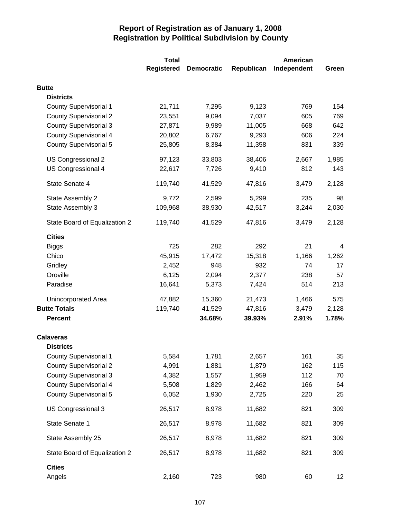|                               | <b>Total</b>      | American          |            |             |       |
|-------------------------------|-------------------|-------------------|------------|-------------|-------|
|                               | <b>Registered</b> | <b>Democratic</b> | Republican | Independent | Green |
| <b>Butte</b>                  |                   |                   |            |             |       |
| <b>Districts</b>              |                   |                   |            |             |       |
| <b>County Supervisorial 1</b> | 21,711            | 7,295             | 9,123      | 769         | 154   |
| <b>County Supervisorial 2</b> | 23,551            | 9,094             | 7,037      | 605         | 769   |
| <b>County Supervisorial 3</b> | 27,871            | 9,989             | 11,005     | 668         | 642   |
| <b>County Supervisorial 4</b> | 20,802            | 6,767             | 9,293      | 606         | 224   |
| <b>County Supervisorial 5</b> | 25,805            | 8,384             | 11,358     | 831         | 339   |
| US Congressional 2            | 97,123            | 33,803            | 38,406     | 2,667       | 1,985 |
| US Congressional 4            | 22,617            | 7,726             | 9,410      | 812         | 143   |
| State Senate 4                | 119,740           | 41,529            | 47,816     | 3,479       | 2,128 |
| State Assembly 2              | 9,772             | 2,599             | 5,299      | 235         | 98    |
| State Assembly 3              | 109,968           | 38,930            | 42,517     | 3,244       | 2,030 |
| State Board of Equalization 2 | 119,740           | 41,529            | 47,816     | 3,479       | 2,128 |
| <b>Cities</b>                 |                   |                   |            |             |       |
| <b>Biggs</b>                  | 725               | 282               | 292        | 21          | 4     |
| Chico                         | 45,915            | 17,472            | 15,318     | 1,166       | 1,262 |
| Gridley                       | 2,452             | 948               | 932        | 74          | 17    |
| Oroville                      | 6,125             | 2,094             | 2,377      | 238         | 57    |
| Paradise                      | 16,641            | 5,373             | 7,424      | 514         | 213   |
| Unincorporated Area           | 47,882            | 15,360            | 21,473     | 1,466       | 575   |
| <b>Butte Totals</b>           | 119,740           | 41,529            | 47,816     | 3,479       | 2,128 |
| <b>Percent</b>                |                   | 34.68%            | 39.93%     | 2.91%       | 1.78% |
| <b>Calaveras</b>              |                   |                   |            |             |       |
| <b>Districts</b>              |                   |                   |            |             |       |
| <b>County Supervisorial 1</b> | 5,584             | 1,781             | 2,657      | 161         | 35    |
| <b>County Supervisorial 2</b> | 4,991             | 1,881             | 1,879      | 162         | 115   |
| <b>County Supervisorial 3</b> | 4,382             | 1,557             | 1,959      | 112         | 70    |
| <b>County Supervisorial 4</b> | 5,508             | 1,829             | 2,462      | 166         | 64    |
| <b>County Supervisorial 5</b> | 6,052             | 1,930             | 2,725      | 220         | 25    |
| US Congressional 3            | 26,517            | 8,978             | 11,682     | 821         | 309   |
| State Senate 1                | 26,517            | 8,978             | 11,682     | 821         | 309   |
| State Assembly 25             | 26,517            | 8,978             | 11,682     | 821         | 309   |
| State Board of Equalization 2 | 26,517            | 8,978             | 11,682     | 821         | 309   |
| <b>Cities</b>                 |                   |                   |            |             |       |
| Angels                        | 2,160             | 723               | 980        | 60          | 12    |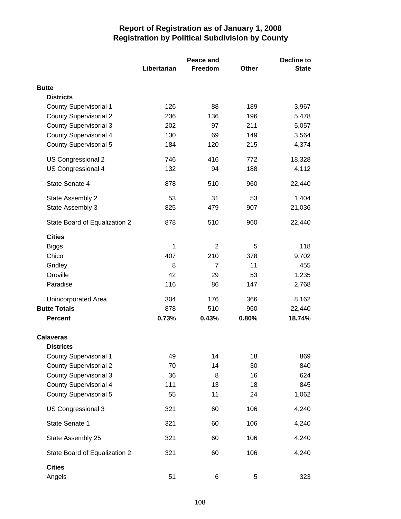|                               |             | Peace and      | <b>Decline to</b> |              |  |
|-------------------------------|-------------|----------------|-------------------|--------------|--|
|                               | Libertarian | Freedom        | Other             | <b>State</b> |  |
| <b>Butte</b>                  |             |                |                   |              |  |
| <b>Districts</b>              |             |                |                   |              |  |
| <b>County Supervisorial 1</b> | 126         | 88             | 189               | 3,967        |  |
| <b>County Supervisorial 2</b> | 236         | 136            | 196               | 5,478        |  |
| <b>County Supervisorial 3</b> | 202         | 97             | 211               | 5,057        |  |
| <b>County Supervisorial 4</b> | 130         | 69             | 149               | 3,564        |  |
| <b>County Supervisorial 5</b> | 184         | 120            | 215               | 4,374        |  |
| US Congressional 2            | 746         | 416            | 772               | 18,328       |  |
| US Congressional 4            | 132         | 94             | 188               | 4,112        |  |
| State Senate 4                | 878         | 510            | 960               | 22,440       |  |
| State Assembly 2              | 53          | 31             | 53                | 1,404        |  |
| State Assembly 3              | 825         | 479            | 907               | 21,036       |  |
| State Board of Equalization 2 | 878         | 510            | 960               | 22,440       |  |
| <b>Cities</b>                 |             |                |                   |              |  |
| Biggs                         | 1           | 2              | 5                 | 118          |  |
| Chico                         | 407         | 210            | 378               | 9,702        |  |
| Gridley                       | 8           | $\overline{7}$ | 11                | 455          |  |
| Oroville                      | 42          | 29             | 53                | 1,235        |  |
| Paradise                      | 116         | 86             | 147               | 2,768        |  |
| Unincorporated Area           | 304         | 176            | 366               | 8,162        |  |
| <b>Butte Totals</b>           | 878         | 510            | 960               | 22,440       |  |
| <b>Percent</b>                | 0.73%       | 0.43%          | 0.80%             | 18.74%       |  |
| <b>Calaveras</b>              |             |                |                   |              |  |
| <b>Districts</b>              |             |                |                   |              |  |
| <b>County Supervisorial 1</b> | 49          | 14             | 18                | 869          |  |
| <b>County Supervisorial 2</b> | 70          | 14             | 30                | 840          |  |
| <b>County Supervisorial 3</b> | 36          | 8              | 16                | 624          |  |
| <b>County Supervisorial 4</b> | 111         | 13             | 18                | 845          |  |
| <b>County Supervisorial 5</b> | 55          | 11             | 24                | 1,062        |  |
| US Congressional 3            | 321         | 60             | 106               | 4,240        |  |
| State Senate 1                | 321         | 60             | 106               | 4,240        |  |
| State Assembly 25             | 321         | 60             | 106               | 4,240        |  |
| State Board of Equalization 2 | 321         | 60             | 106               | 4,240        |  |
| <b>Cities</b><br>Angels       | 51          | 6              | 5                 | 323          |  |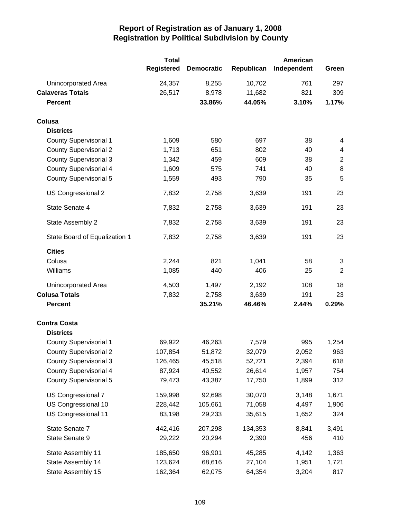|                               | <b>Total</b>      |                   |            | American    |                |
|-------------------------------|-------------------|-------------------|------------|-------------|----------------|
|                               | <b>Registered</b> | <b>Democratic</b> | Republican | Independent | Green          |
| Unincorporated Area           | 24,357            | 8,255             | 10,702     | 761         | 297            |
| <b>Calaveras Totals</b>       | 26,517            | 8,978             | 11,682     | 821         | 309            |
| <b>Percent</b>                |                   | 33.86%            | 44.05%     | 3.10%       | 1.17%          |
| Colusa                        |                   |                   |            |             |                |
| <b>Districts</b>              |                   |                   |            |             |                |
| <b>County Supervisorial 1</b> | 1,609             | 580               | 697        | 38          | 4              |
| <b>County Supervisorial 2</b> | 1,713             | 651               | 802        | 40          | 4              |
| <b>County Supervisorial 3</b> | 1,342             | 459               | 609        | 38          | $\overline{2}$ |
| <b>County Supervisorial 4</b> | 1,609             | 575               | 741        | 40          | 8              |
| <b>County Supervisorial 5</b> | 1,559             | 493               | 790        | 35          | 5              |
| US Congressional 2            | 7,832             | 2,758             | 3,639      | 191         | 23             |
| State Senate 4                | 7,832             | 2,758             | 3,639      | 191         | 23             |
| State Assembly 2              | 7,832             | 2,758             | 3,639      | 191         | 23             |
| State Board of Equalization 1 | 7,832             | 2,758             | 3,639      | 191         | 23             |
| <b>Cities</b>                 |                   |                   |            |             |                |
| Colusa                        | 2,244             | 821               | 1,041      | 58          | 3              |
| Williams                      | 1,085             | 440               | 406        | 25          | $\overline{2}$ |
| Unincorporated Area           | 4,503             | 1,497             | 2,192      | 108         | 18             |
| <b>Colusa Totals</b>          | 7,832             | 2,758             | 3,639      | 191         | 23             |
| <b>Percent</b>                |                   | 35.21%            | 46.46%     | 2.44%       | 0.29%          |
| <b>Contra Costa</b>           |                   |                   |            |             |                |
| <b>Districts</b>              |                   |                   |            |             |                |
| <b>County Supervisorial 1</b> | 69,922            | 46,263            | 7,579      | 995         | 1,254          |
| <b>County Supervisorial 2</b> | 107,854           | 51,872            | 32,079     | 2,052       | 963            |
| <b>County Supervisorial 3</b> | 126,465           | 45,518            | 52,721     | 2,394       | 618            |
| <b>County Supervisorial 4</b> | 87,924            | 40,552            | 26,614     | 1,957       | 754            |
| <b>County Supervisorial 5</b> | 79,473            | 43,387            | 17,750     | 1,899       | 312            |
| US Congressional 7            | 159,998           | 92,698            | 30,070     | 3,148       | 1,671          |
| US Congressional 10           | 228,442           | 105,661           | 71,058     | 4,497       | 1,906          |
| US Congressional 11           | 83,198            | 29,233            | 35,615     | 1,652       | 324            |
| State Senate 7                | 442,416           | 207,298           | 134,353    | 8,841       | 3,491          |
| State Senate 9                | 29,222            | 20,294            | 2,390      | 456         | 410            |
| State Assembly 11             | 185,650           | 96,901            | 45,285     | 4,142       | 1,363          |
| State Assembly 14             | 123,624           | 68,616            | 27,104     | 1,951       | 1,721          |
| State Assembly 15             | 162,364           | 62,075            | 64,354     | 3,204       | 817            |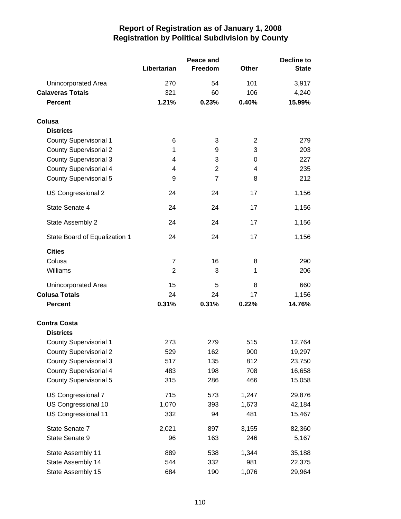|                               |                | Peace and      |                | <b>Decline to</b> |  |
|-------------------------------|----------------|----------------|----------------|-------------------|--|
|                               | Libertarian    | Freedom        | <b>Other</b>   | <b>State</b>      |  |
| Unincorporated Area           | 270            | 54             | 101            | 3,917             |  |
| <b>Calaveras Totals</b>       | 321            | 60             | 106            | 4,240             |  |
| <b>Percent</b>                | 1.21%          | 0.23%          | 0.40%          | 15.99%            |  |
| Colusa                        |                |                |                |                   |  |
| <b>Districts</b>              |                |                |                |                   |  |
| <b>County Supervisorial 1</b> | 6              | 3              | $\overline{2}$ | 279               |  |
| <b>County Supervisorial 2</b> | 1              | 9              | 3              | 203               |  |
| <b>County Supervisorial 3</b> | 4              | 3              | 0              | 227               |  |
| <b>County Supervisorial 4</b> | 4              | $\overline{2}$ | 4              | 235               |  |
| <b>County Supervisorial 5</b> | 9              | $\overline{7}$ | 8              | 212               |  |
| US Congressional 2            | 24             | 24             | 17             | 1,156             |  |
| State Senate 4                | 24             | 24             | 17             | 1,156             |  |
| State Assembly 2              | 24             | 24             | 17             | 1,156             |  |
| State Board of Equalization 1 | 24             | 24             | 17             | 1,156             |  |
| <b>Cities</b>                 |                |                |                |                   |  |
| Colusa                        | $\overline{7}$ | 16             | 8              | 290               |  |
| Williams                      | $\overline{2}$ | 3              | 1              | 206               |  |
| Unincorporated Area           | 15             | 5              | 8              | 660               |  |
| <b>Colusa Totals</b>          | 24             | 24             | 17             | 1,156             |  |
| <b>Percent</b>                | 0.31%          | 0.31%          | 0.22%          | 14.76%            |  |
| <b>Contra Costa</b>           |                |                |                |                   |  |
| <b>Districts</b>              |                |                |                |                   |  |
| <b>County Supervisorial 1</b> | 273            | 279            | 515            | 12,764            |  |
| <b>County Supervisorial 2</b> | 529            | 162            | 900            | 19,297            |  |
| <b>County Supervisorial 3</b> | 517            | 135            | 812            | 23,750            |  |
| <b>County Supervisorial 4</b> | 483            | 198            | 708            | 16,658            |  |
| <b>County Supervisorial 5</b> | 315            | 286            | 466            | 15,058            |  |
| US Congressional 7            | 715            | 573            | 1,247          | 29,876            |  |
| US Congressional 10           | 1,070          | 393            | 1,673          | 42,184            |  |
| US Congressional 11           | 332            | 94             | 481            | 15,467            |  |
| State Senate 7                | 2,021          | 897            | 3,155          | 82,360            |  |
| State Senate 9                | 96             | 163            | 246            | 5,167             |  |
| State Assembly 11             | 889            | 538            | 1,344          | 35,188            |  |
| State Assembly 14             | 544            | 332            | 981            | 22,375            |  |
| State Assembly 15             | 684            | 190            | 1,076          | 29,964            |  |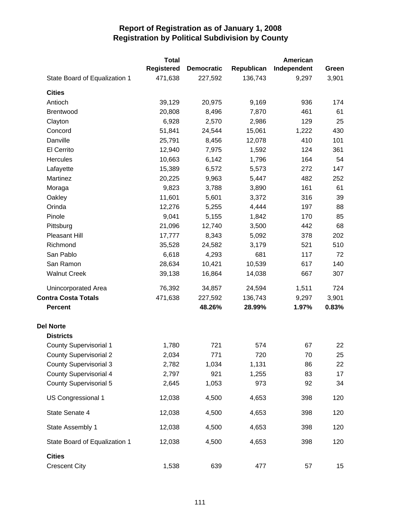|                               | <b>Total</b>      |                   |            | American    |       |
|-------------------------------|-------------------|-------------------|------------|-------------|-------|
|                               | <b>Registered</b> | <b>Democratic</b> | Republican | Independent | Green |
| State Board of Equalization 1 | 471,638           | 227,592           | 136,743    | 9,297       | 3,901 |
| <b>Cities</b>                 |                   |                   |            |             |       |
| Antioch                       | 39,129            | 20,975            | 9,169      | 936         | 174   |
| <b>Brentwood</b>              | 20,808            | 8,496             | 7,870      | 461         | 61    |
| Clayton                       | 6,928             | 2,570             | 2,986      | 129         | 25    |
| Concord                       | 51,841            | 24,544            | 15,061     | 1,222       | 430   |
| Danville                      | 25,791            | 8,456             | 12,078     | 410         | 101   |
| El Cerrito                    | 12,940            | 7,975             | 1,592      | 124         | 361   |
| Hercules                      | 10,663            | 6,142             | 1,796      | 164         | 54    |
| Lafayette                     | 15,389            | 6,572             | 5,573      | 272         | 147   |
| Martinez                      | 20,225            | 9,963             | 5,447      | 482         | 252   |
| Moraga                        | 9,823             | 3,788             | 3,890      | 161         | 61    |
| Oakley                        | 11,601            | 5,601             | 3,372      | 316         | 39    |
| Orinda                        | 12,276            | 5,255             | 4,444      | 197         | 88    |
| Pinole                        | 9,041             | 5,155             | 1,842      | 170         | 85    |
| Pittsburg                     | 21,096            | 12,740            | 3,500      | 442         | 68    |
| Pleasant Hill                 | 17,777            | 8,343             | 5,092      | 378         | 202   |
| Richmond                      | 35,528            | 24,582            | 3,179      | 521         | 510   |
| San Pablo                     | 6,618             | 4,293             | 681        | 117         | 72    |
| San Ramon                     | 28,634            | 10,421            | 10,539     | 617         | 140   |
| <b>Walnut Creek</b>           | 39,138            | 16,864            | 14,038     | 667         | 307   |
| Unincorporated Area           | 76,392            | 34,857            | 24,594     | 1,511       | 724   |
| <b>Contra Costa Totals</b>    | 471,638           | 227,592           | 136,743    | 9,297       | 3,901 |
| <b>Percent</b>                |                   | 48.26%            | 28.99%     | 1.97%       | 0.83% |
| <b>Del Norte</b>              |                   |                   |            |             |       |
| <b>Districts</b>              |                   |                   |            |             |       |
| County Supervisorial 1        | 1,780             | 721               | 574        | 67          | 22    |
| <b>County Supervisorial 2</b> | 2,034             | 771               | 720        | 70          | 25    |
| <b>County Supervisorial 3</b> | 2,782             | 1,034             | 1,131      | 86          | 22    |
| <b>County Supervisorial 4</b> | 2,797             | 921               | 1,255      | 83          | 17    |
| <b>County Supervisorial 5</b> | 2,645             | 1,053             | 973        | 92          | 34    |
| US Congressional 1            | 12,038            | 4,500             | 4,653      | 398         | 120   |
| State Senate 4                | 12,038            | 4,500             | 4,653      | 398         | 120   |
| State Assembly 1              | 12,038            | 4,500             | 4,653      | 398         | 120   |
| State Board of Equalization 1 | 12,038            | 4,500             | 4,653      | 398         | 120   |
| <b>Cities</b>                 |                   |                   |            |             |       |
| <b>Crescent City</b>          | 1,538             | 639               | 477        | 57          | 15    |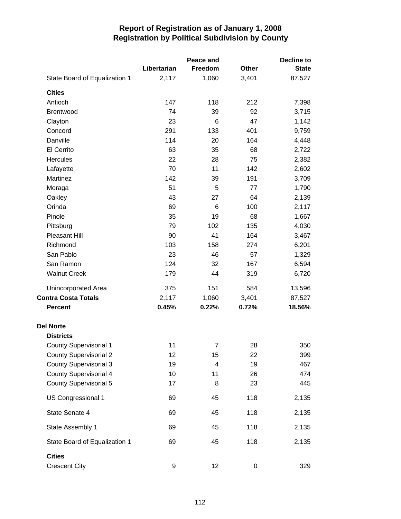|                                       |             | Peace and      |       | <b>Decline to</b> |
|---------------------------------------|-------------|----------------|-------|-------------------|
|                                       | Libertarian | Freedom        | Other | <b>State</b>      |
| State Board of Equalization 1         | 2,117       | 1,060          | 3,401 | 87,527            |
| <b>Cities</b>                         |             |                |       |                   |
| Antioch                               | 147         | 118            | 212   | 7,398             |
| Brentwood                             | 74          | 39             | 92    | 3,715             |
| Clayton                               | 23          | 6              | 47    | 1,142             |
| Concord                               | 291         | 133            | 401   | 9,759             |
| Danville                              | 114         | 20             | 164   | 4,448             |
| El Cerrito                            | 63          | 35             | 68    | 2,722             |
| Hercules                              | 22          | 28             | 75    | 2,382             |
| Lafayette                             | 70          | 11             | 142   | 2,602             |
| Martinez                              | 142         | 39             | 191   | 3,709             |
| Moraga                                | 51          | 5              | 77    | 1,790             |
| Oakley                                | 43          | 27             | 64    | 2,139             |
| Orinda                                | 69          | 6              | 100   | 2,117             |
| Pinole                                | 35          | 19             | 68    | 1,667             |
| Pittsburg                             | 79          | 102            | 135   | 4,030             |
| <b>Pleasant Hill</b>                  | 90          | 41             | 164   | 3,467             |
| Richmond                              | 103         | 158            | 274   | 6,201             |
| San Pablo                             | 23          | 46             | 57    | 1,329             |
| San Ramon                             | 124         | 32             | 167   | 6,594             |
| <b>Walnut Creek</b>                   | 179         | 44             | 319   | 6,720             |
| Unincorporated Area                   | 375         | 151            | 584   | 13,596            |
| <b>Contra Costa Totals</b>            | 2,117       | 1,060          | 3,401 | 87,527            |
| <b>Percent</b>                        | 0.45%       | 0.22%          | 0.72% | 18.56%            |
| <b>Del Norte</b>                      |             |                |       |                   |
| <b>Districts</b>                      |             |                |       |                   |
| County Supervisorial 1                | 11          | $\overline{7}$ | 28    | 350               |
| <b>County Supervisorial 2</b>         | 12          | 15             | 22    | 399               |
| <b>County Supervisorial 3</b>         | 19          | 4              | 19    | 467               |
| <b>County Supervisorial 4</b>         | 10          | 11             | 26    | 474               |
| <b>County Supervisorial 5</b>         | 17          | 8              | 23    | 445               |
| US Congressional 1                    | 69          | 45             | 118   | 2,135             |
| State Senate 4                        | 69          | 45             | 118   | 2,135             |
| State Assembly 1                      | 69          | 45             | 118   | 2,135             |
| State Board of Equalization 1         | 69          | 45             | 118   | 2,135             |
| <b>Cities</b><br><b>Crescent City</b> | 9           | 12             | 0     | 329               |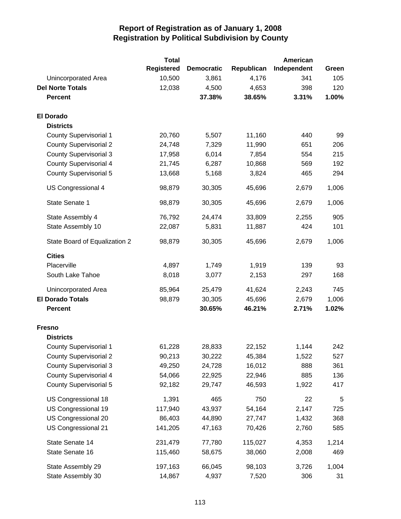|                               | <b>Total</b>      |                   |            | American    |       |
|-------------------------------|-------------------|-------------------|------------|-------------|-------|
|                               | <b>Registered</b> | <b>Democratic</b> | Republican | Independent | Green |
| Unincorporated Area           | 10,500            | 3,861             | 4,176      | 341         | 105   |
| <b>Del Norte Totals</b>       | 12,038            | 4,500             | 4,653      | 398         | 120   |
| <b>Percent</b>                |                   | 37.38%            | 38.65%     | 3.31%       | 1.00% |
| <b>El Dorado</b>              |                   |                   |            |             |       |
| <b>Districts</b>              |                   |                   |            |             |       |
| <b>County Supervisorial 1</b> | 20,760            | 5,507             | 11,160     | 440         | 99    |
| <b>County Supervisorial 2</b> | 24,748            | 7,329             | 11,990     | 651         | 206   |
| <b>County Supervisorial 3</b> | 17,958            | 6,014             | 7,854      | 554         | 215   |
| <b>County Supervisorial 4</b> | 21,745            | 6,287             | 10,868     | 569         | 192   |
| <b>County Supervisorial 5</b> | 13,668            | 5,168             | 3,824      | 465         | 294   |
| US Congressional 4            | 98,879            | 30,305            | 45,696     | 2,679       | 1,006 |
| State Senate 1                | 98,879            | 30,305            | 45,696     | 2,679       | 1,006 |
| State Assembly 4              | 76,792            | 24,474            | 33,809     | 2,255       | 905   |
| State Assembly 10             | 22,087            | 5,831             | 11,887     | 424         | 101   |
| State Board of Equalization 2 | 98,879            | 30,305            | 45,696     | 2,679       | 1,006 |
| <b>Cities</b>                 |                   |                   |            |             |       |
| Placerville                   | 4,897             | 1,749             | 1,919      | 139         | 93    |
| South Lake Tahoe              | 8,018             | 3,077             | 2,153      | 297         | 168   |
| Unincorporated Area           | 85,964            | 25,479            | 41,624     | 2,243       | 745   |
| <b>El Dorado Totals</b>       | 98,879            | 30,305            | 45,696     | 2,679       | 1,006 |
| <b>Percent</b>                |                   | 30.65%            | 46.21%     | 2.71%       | 1.02% |
| <b>Fresno</b>                 |                   |                   |            |             |       |
| <b>Districts</b>              |                   |                   |            |             |       |
| <b>County Supervisorial 1</b> | 61,228            | 28,833            | 22,152     | 1,144       | 242   |
| <b>County Supervisorial 2</b> | 90,213            | 30,222            | 45,384     | 1,522       | 527   |
| <b>County Supervisorial 3</b> | 49,250            | 24,728            | 16,012     | 888         | 361   |
| <b>County Supervisorial 4</b> | 54,066            | 22,925            | 22,946     | 885         | 136   |
| <b>County Supervisorial 5</b> | 92,182            | 29,747            | 46,593     | 1,922       | 417   |
| US Congressional 18           | 1,391             | 465               | 750        | 22          | 5     |
| US Congressional 19           | 117,940           | 43,937            | 54,164     | 2,147       | 725   |
| US Congressional 20           | 86,403            | 44,890            | 27,747     | 1,432       | 368   |
| US Congressional 21           | 141,205           | 47,163            | 70,426     | 2,760       | 585   |
| State Senate 14               | 231,479           | 77,780            | 115,027    | 4,353       | 1,214 |
| State Senate 16               | 115,460           | 58,675            | 38,060     | 2,008       | 469   |
| State Assembly 29             | 197,163           | 66,045            | 98,103     | 3,726       | 1,004 |
| State Assembly 30             | 14,867            | 4,937             | 7,520      | 306         | 31    |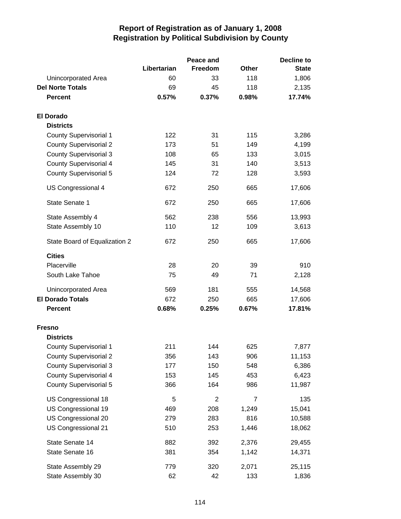|                               |             | Peace and      |              | <b>Decline to</b> |  |
|-------------------------------|-------------|----------------|--------------|-------------------|--|
|                               | Libertarian | Freedom        | <b>Other</b> | <b>State</b>      |  |
| Unincorporated Area           | 60          | 33             | 118          | 1,806             |  |
| <b>Del Norte Totals</b>       | 69          | 45             | 118          | 2,135             |  |
| <b>Percent</b>                | 0.57%       | 0.37%          | 0.98%        | 17.74%            |  |
| <b>El Dorado</b>              |             |                |              |                   |  |
| <b>Districts</b>              |             |                |              |                   |  |
| <b>County Supervisorial 1</b> | 122         | 31             | 115          | 3,286             |  |
| <b>County Supervisorial 2</b> | 173         | 51             | 149          | 4,199             |  |
| <b>County Supervisorial 3</b> | 108         | 65             | 133          | 3,015             |  |
| <b>County Supervisorial 4</b> | 145         | 31             | 140          | 3,513             |  |
| <b>County Supervisorial 5</b> | 124         | 72             | 128          | 3,593             |  |
| US Congressional 4            | 672         | 250            | 665          | 17,606            |  |
| <b>State Senate 1</b>         | 672         | 250            | 665          | 17,606            |  |
| State Assembly 4              | 562         | 238            | 556          | 13,993            |  |
| State Assembly 10             | 110         | 12             | 109          | 3,613             |  |
| State Board of Equalization 2 | 672         | 250            | 665          | 17,606            |  |
| <b>Cities</b>                 |             |                |              |                   |  |
| Placerville                   | 28          | 20             | 39           | 910               |  |
| South Lake Tahoe              | 75          | 49             | 71           | 2,128             |  |
| Unincorporated Area           | 569         | 181            | 555          |                   |  |
| <b>El Dorado Totals</b>       | 672         | 250            | 665          | 14,568<br>17,606  |  |
| <b>Percent</b>                | 0.68%       | 0.25%          | 0.67%        | 17.81%            |  |
|                               |             |                |              |                   |  |
| <b>Fresno</b>                 |             |                |              |                   |  |
| <b>Districts</b>              |             |                |              |                   |  |
| <b>County Supervisorial 1</b> | 211         | 144            | 625          | 7,877             |  |
| <b>County Supervisorial 2</b> | 356         | 143            | 906          | 11,153            |  |
| <b>County Supervisorial 3</b> | 177         | 150            | 548          | 6,386             |  |
| <b>County Supervisorial 4</b> | 153         | 145            | 453          | 6,423             |  |
| <b>County Supervisorial 5</b> | 366         | 164            | 986          | 11,987            |  |
| US Congressional 18           | 5           | $\overline{2}$ | 7            | 135               |  |
| US Congressional 19           | 469         | 208            | 1,249        | 15,041            |  |
| US Congressional 20           | 279         | 283            | 816          | 10,588            |  |
| US Congressional 21           | 510         | 253            | 1,446        | 18,062            |  |
| State Senate 14               | 882         | 392            | 2,376        | 29,455            |  |
| State Senate 16               | 381         | 354            | 1,142        | 14,371            |  |
| State Assembly 29             | 779         | 320            | 2,071        | 25,115            |  |
| State Assembly 30             | 62          | 42             | 133          | 1,836             |  |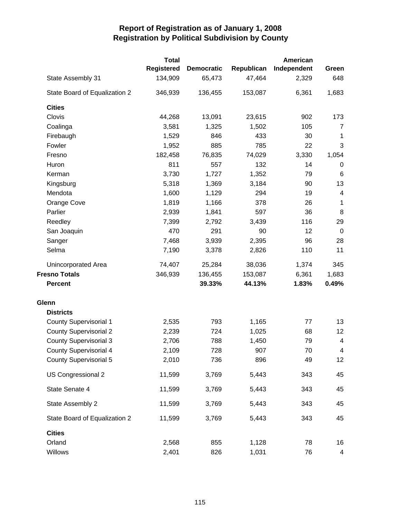|                               | <b>Total</b>      |                   |            |             | American                |  |  |
|-------------------------------|-------------------|-------------------|------------|-------------|-------------------------|--|--|
|                               | <b>Registered</b> | <b>Democratic</b> | Republican | Independent | Green                   |  |  |
| State Assembly 31             | 134,909           | 65,473            | 47,464     | 2,329       | 648                     |  |  |
| State Board of Equalization 2 | 346,939           | 136,455           | 153,087    | 6,361       | 1,683                   |  |  |
| <b>Cities</b>                 |                   |                   |            |             |                         |  |  |
| Clovis                        | 44,268            | 13,091            | 23,615     | 902         | 173                     |  |  |
| Coalinga                      | 3,581             | 1,325             | 1,502      | 105         | 7                       |  |  |
| Firebaugh                     | 1,529             | 846               | 433        | 30          | 1                       |  |  |
| Fowler                        | 1,952             | 885               | 785        | 22          | 3                       |  |  |
| Fresno                        | 182,458           | 76,835            | 74,029     | 3,330       | 1,054                   |  |  |
| Huron                         | 811               | 557               | 132        | 14          | 0                       |  |  |
| Kerman                        | 3,730             | 1,727             | 1,352      | 79          | 6                       |  |  |
| Kingsburg                     | 5,318             | 1,369             | 3,184      | 90          | 13                      |  |  |
| Mendota                       | 1,600             | 1,129             | 294        | 19          | 4                       |  |  |
| Orange Cove                   | 1,819             | 1,166             | 378        | 26          | 1                       |  |  |
| Parlier                       | 2,939             | 1,841             | 597        | 36          | 8                       |  |  |
| Reedley                       | 7,399             | 2,792             | 3,439      | 116         | 29                      |  |  |
| San Joaquin                   | 470               | 291               | 90         | 12          | $\mathbf 0$             |  |  |
| Sanger                        | 7,468             | 3,939             | 2,395      | 96          | 28                      |  |  |
| Selma                         | 7,190             | 3,378             | 2,826      | 110         | 11                      |  |  |
| Unincorporated Area           | 74,407            | 25,284            | 38,036     | 1,374       | 345                     |  |  |
| <b>Fresno Totals</b>          | 346,939           | 136,455           | 153,087    | 6,361       | 1,683                   |  |  |
| <b>Percent</b>                |                   | 39.33%            | 44.13%     | 1.83%       | 0.49%                   |  |  |
| Glenn                         |                   |                   |            |             |                         |  |  |
| <b>Districts</b>              |                   |                   |            |             |                         |  |  |
| <b>County Supervisorial 1</b> | 2,535             | 793               | 1,165      | 77          | 13                      |  |  |
| <b>County Supervisorial 2</b> | 2,239             | 724               | 1,025      | 68          | 12                      |  |  |
| <b>County Supervisorial 3</b> | 2,706             | 788               | 1,450      | 79          | 4                       |  |  |
| <b>County Supervisorial 4</b> | 2,109             | 728               | 907        | 70          | 4                       |  |  |
| <b>County Supervisorial 5</b> | 2,010             | 736               | 896        | 49          | 12                      |  |  |
| US Congressional 2            | 11,599            | 3,769             | 5,443      | 343         | 45                      |  |  |
| State Senate 4                | 11,599            | 3,769             | 5,443      | 343         | 45                      |  |  |
| State Assembly 2              | 11,599            | 3,769             | 5,443      | 343         | 45                      |  |  |
| State Board of Equalization 2 | 11,599            | 3,769             | 5,443      | 343         | 45                      |  |  |
| <b>Cities</b>                 |                   |                   |            |             |                         |  |  |
| Orland                        | 2,568             | 855               | 1,128      | 78          | 16                      |  |  |
| Willows                       | 2,401             | 826               | 1,031      | 76          | $\overline{\mathbf{4}}$ |  |  |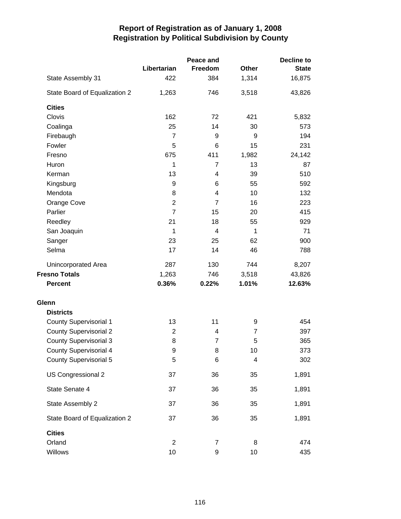|                               |                | Peace and      | <b>Decline to</b> |              |  |
|-------------------------------|----------------|----------------|-------------------|--------------|--|
|                               | Libertarian    | Freedom        | <b>Other</b>      | <b>State</b> |  |
| State Assembly 31             | 422            | 384            | 1,314             | 16,875       |  |
| State Board of Equalization 2 | 1,263          | 746            | 3,518             | 43,826       |  |
| <b>Cities</b>                 |                |                |                   |              |  |
| Clovis                        | 162            | 72             | 421               | 5,832        |  |
| Coalinga                      | 25             | 14             | 30                | 573          |  |
| Firebaugh                     | $\overline{7}$ | 9              | 9                 | 194          |  |
| Fowler                        | 5              | 6              | 15                | 231          |  |
| Fresno                        | 675            | 411            | 1,982             | 24,142       |  |
| Huron                         | 1              | 7              | 13                | 87           |  |
| Kerman                        | 13             | 4              | 39                | 510          |  |
| Kingsburg                     | 9              | 6              | 55                | 592          |  |
| Mendota                       | 8              | 4              | 10                | 132          |  |
| Orange Cove                   | $\overline{2}$ | $\overline{7}$ | 16                | 223          |  |
| Parlier                       | $\overline{7}$ | 15             | 20                | 415          |  |
| Reedley                       | 21             | 18             | 55                | 929          |  |
| San Joaquin                   | 1              | 4              | 1                 | 71           |  |
| Sanger                        | 23             | 25             | 62                | 900          |  |
| Selma                         | 17             | 14             | 46                | 788          |  |
| Unincorporated Area           | 287            | 130            | 744               | 8,207        |  |
| <b>Fresno Totals</b>          | 1,263          | 746            | 3,518             | 43,826       |  |
| <b>Percent</b>                | 0.36%          | 0.22%          | 1.01%             | 12.63%       |  |
| Glenn                         |                |                |                   |              |  |
| <b>Districts</b>              |                |                |                   |              |  |
| <b>County Supervisorial 1</b> | 13             | 11             | 9                 | 454          |  |
| <b>County Supervisorial 2</b> | $\overline{2}$ | 4              | $\overline{7}$    | 397          |  |
| <b>County Supervisorial 3</b> | 8              | $\overline{7}$ | 5                 | 365          |  |
| <b>County Supervisorial 4</b> | 9              | 8              | 10                | 373          |  |
| <b>County Supervisorial 5</b> | 5              | 6              | 4                 | 302          |  |
| US Congressional 2            | 37             | 36             | 35                | 1,891        |  |
| State Senate 4                | 37             | 36             | 35                | 1,891        |  |
| State Assembly 2              | 37             | 36             | 35                | 1,891        |  |
| State Board of Equalization 2 | 37             | 36             | 35                | 1,891        |  |
| <b>Cities</b>                 |                |                |                   |              |  |
| Orland                        | $\overline{2}$ | $\overline{7}$ | 8                 | 474          |  |
| Willows                       | 10             | 9              | 10                | 435          |  |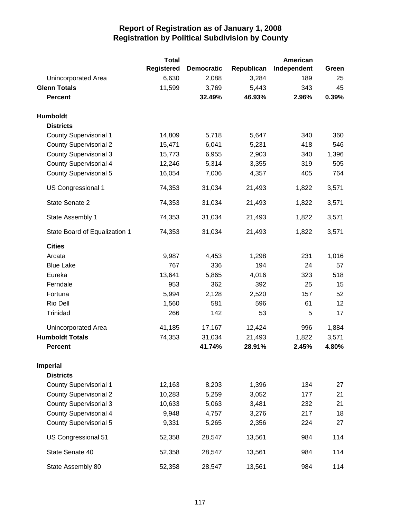|                               | <b>Total</b>      |                   |            | American    |       |
|-------------------------------|-------------------|-------------------|------------|-------------|-------|
|                               | <b>Registered</b> | <b>Democratic</b> | Republican | Independent | Green |
| Unincorporated Area           | 6,630             | 2,088             | 3,284      | 189         | 25    |
| <b>Glenn Totals</b>           | 11,599            | 3,769             | 5,443      | 343         | 45    |
| <b>Percent</b>                |                   | 32.49%            | 46.93%     | 2.96%       | 0.39% |
| Humboldt                      |                   |                   |            |             |       |
| <b>Districts</b>              |                   |                   |            |             |       |
| <b>County Supervisorial 1</b> | 14,809            | 5,718             | 5,647      | 340         | 360   |
| <b>County Supervisorial 2</b> | 15,471            | 6,041             | 5,231      | 418         | 546   |
| <b>County Supervisorial 3</b> | 15,773            | 6,955             | 2,903      | 340         | 1,396 |
| <b>County Supervisorial 4</b> | 12,246            | 5,314             | 3,355      | 319         | 505   |
| <b>County Supervisorial 5</b> | 16,054            | 7,006             | 4,357      | 405         | 764   |
| US Congressional 1            | 74,353            | 31,034            | 21,493     | 1,822       | 3,571 |
| State Senate 2                | 74,353            | 31,034            | 21,493     | 1,822       | 3,571 |
| State Assembly 1              | 74,353            | 31,034            | 21,493     | 1,822       | 3,571 |
| State Board of Equalization 1 | 74,353            | 31,034            | 21,493     | 1,822       | 3,571 |
| <b>Cities</b>                 |                   |                   |            |             |       |
| Arcata                        | 9,987             | 4,453             | 1,298      | 231         | 1,016 |
| <b>Blue Lake</b>              | 767               | 336               | 194        | 24          | 57    |
| Eureka                        | 13,641            | 5,865             | 4,016      | 323         | 518   |
| Ferndale                      | 953               | 362               | 392        | 25          | 15    |
| Fortuna                       | 5,994             | 2,128             | 2,520      | 157         | 52    |
| Rio Dell                      | 1,560             | 581               | 596        | 61          | 12    |
| Trinidad                      | 266               | 142               | 53         | 5           | 17    |
| Unincorporated Area           | 41,185            | 17,167            | 12,424     | 996         | 1,884 |
| <b>Humboldt Totals</b>        | 74,353            | 31,034            | 21,493     | 1,822       | 3,571 |
| <b>Percent</b>                |                   | 41.74%            | 28.91%     | 2.45%       | 4.80% |
| <b>Imperial</b>               |                   |                   |            |             |       |
| <b>Districts</b>              |                   |                   |            |             |       |
| <b>County Supervisorial 1</b> | 12,163            | 8,203             | 1,396      | 134         | 27    |
| <b>County Supervisorial 2</b> | 10,283            | 5,259             | 3,052      | 177         | 21    |
| <b>County Supervisorial 3</b> | 10,633            | 5,063             | 3,481      | 232         | 21    |
| <b>County Supervisorial 4</b> | 9,948             | 4,757             | 3,276      | 217         | 18    |
| <b>County Supervisorial 5</b> | 9,331             | 5,265             | 2,356      | 224         | 27    |
| US Congressional 51           | 52,358            | 28,547            | 13,561     | 984         | 114   |
| State Senate 40               | 52,358            | 28,547            | 13,561     | 984         | 114   |
| State Assembly 80             | 52,358            | 28,547            | 13,561     | 984         | 114   |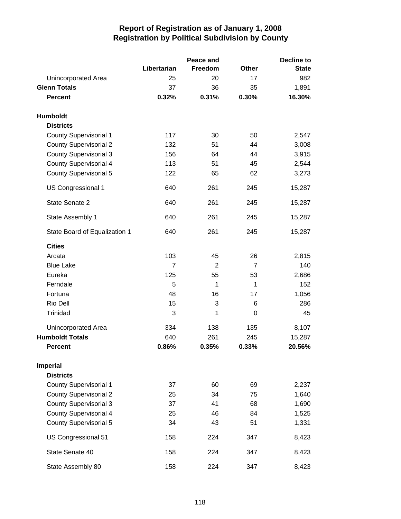|                               |             | Peace and      |                | <b>Decline to</b> |
|-------------------------------|-------------|----------------|----------------|-------------------|
|                               | Libertarian | Freedom        | <b>Other</b>   | <b>State</b>      |
| Unincorporated Area           | 25          | 20             | 17             | 982               |
| <b>Glenn Totals</b>           | 37          | 36             | 35             | 1,891             |
| <b>Percent</b>                | 0.32%       | 0.31%          | 0.30%          | 16.30%            |
| Humboldt                      |             |                |                |                   |
| <b>Districts</b>              |             |                |                |                   |
| County Supervisorial 1        | 117         | 30             | 50             | 2,547             |
| <b>County Supervisorial 2</b> | 132         | 51             | 44             | 3,008             |
| <b>County Supervisorial 3</b> | 156         | 64             | 44             | 3,915             |
| <b>County Supervisorial 4</b> | 113         | 51             | 45             | 2,544             |
| <b>County Supervisorial 5</b> | 122         | 65             | 62             | 3,273             |
| <b>US Congressional 1</b>     | 640         | 261            | 245            | 15,287            |
| State Senate 2                | 640         | 261            | 245            | 15,287            |
| State Assembly 1              | 640         | 261            | 245            | 15,287            |
| State Board of Equalization 1 | 640         | 261            | 245            | 15,287            |
| <b>Cities</b>                 |             |                |                |                   |
| Arcata                        | 103         | 45             | 26             | 2,815             |
| <b>Blue Lake</b>              | 7           | $\overline{2}$ | $\overline{7}$ | 140               |
| Eureka                        | 125         | 55             | 53             | 2,686             |
| Ferndale                      | 5           | 1              | $\mathbf{1}$   | 152               |
| Fortuna                       | 48          | 16             | 17             | 1,056             |
| Rio Dell                      | 15          | 3              | 6              | 286               |
| Trinidad                      | 3           | 1              | 0              | 45                |
| Unincorporated Area           | 334         | 138            | 135            | 8,107             |
| <b>Humboldt Totals</b>        | 640         | 261            | 245            | 15,287            |
| <b>Percent</b>                | 0.86%       | 0.35%          | 0.33%          | 20.56%            |
| <b>Imperial</b>               |             |                |                |                   |
| <b>Districts</b>              |             |                |                |                   |
| <b>County Supervisorial 1</b> | 37          | 60             | 69             | 2,237             |
| <b>County Supervisorial 2</b> | 25          | 34             | 75             | 1,640             |
| <b>County Supervisorial 3</b> | 37          | 41             | 68             | 1,690             |
| <b>County Supervisorial 4</b> | 25          | 46             | 84             | 1,525             |
| <b>County Supervisorial 5</b> | 34          | 43             | 51             | 1,331             |
| US Congressional 51           | 158         | 224            | 347            | 8,423             |
| State Senate 40               | 158         | 224            | 347            | 8,423             |
| State Assembly 80             | 158         | 224            | 347            | 8,423             |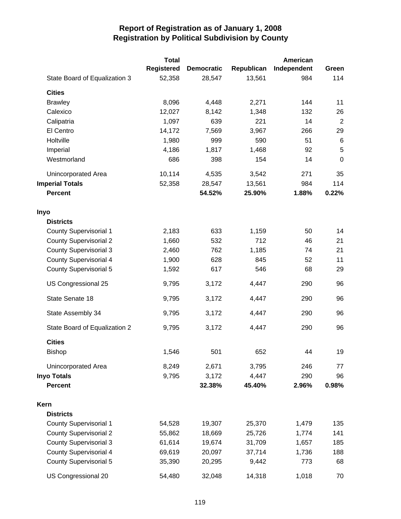|                               | <b>Total</b> |                   |            | American    |                |
|-------------------------------|--------------|-------------------|------------|-------------|----------------|
|                               | Registered   | <b>Democratic</b> | Republican | Independent | Green          |
| State Board of Equalization 3 | 52,358       | 28,547            | 13,561     | 984         | 114            |
| <b>Cities</b>                 |              |                   |            |             |                |
| <b>Brawley</b>                | 8,096        | 4,448             | 2,271      | 144         | 11             |
| Calexico                      | 12,027       | 8,142             | 1,348      | 132         | 26             |
| Calipatria                    | 1,097        | 639               | 221        | 14          | $\overline{2}$ |
| El Centro                     | 14,172       | 7,569             | 3,967      | 266         | 29             |
| Holtville                     | 1,980        | 999               | 590        | 51          | 6              |
| Imperial                      | 4,186        | 1,817             | 1,468      | 92          | 5              |
| Westmorland                   | 686          | 398               | 154        | 14          | $\mathbf 0$    |
| Unincorporated Area           | 10,114       | 4,535             | 3,542      | 271         | 35             |
| <b>Imperial Totals</b>        | 52,358       | 28,547            | 13,561     | 984         | 114            |
| <b>Percent</b>                |              | 54.52%            | 25.90%     | 1.88%       | 0.22%          |
| Inyo                          |              |                   |            |             |                |
| <b>Districts</b>              |              |                   |            |             |                |
| <b>County Supervisorial 1</b> | 2,183        | 633               | 1,159      | 50          | 14             |
| <b>County Supervisorial 2</b> | 1,660        | 532               | 712        | 46          | 21             |
| <b>County Supervisorial 3</b> | 2,460        | 762               | 1,185      | 74          | 21             |
| <b>County Supervisorial 4</b> | 1,900        | 628               | 845        | 52          | 11             |
| <b>County Supervisorial 5</b> | 1,592        | 617               | 546        | 68          | 29             |
| US Congressional 25           | 9,795        | 3,172             | 4,447      | 290         | 96             |
| State Senate 18               | 9,795        | 3,172             | 4,447      | 290         | 96             |
| State Assembly 34             | 9,795        | 3,172             | 4,447      | 290         | 96             |
| State Board of Equalization 2 | 9,795        | 3,172             | 4,447      | 290         | 96             |
| <b>Cities</b>                 |              |                   |            |             |                |
| <b>Bishop</b>                 | 1,546        | 501               | 652        | 44          | 19             |
| Unincorporated Area           | 8,249        | 2,671             | 3,795      | 246         | 77             |
| <b>Inyo Totals</b>            | 9,795        | 3,172             | 4,447      | 290         | 96             |
| <b>Percent</b>                |              | 32.38%            | 45.40%     | 2.96%       | 0.98%          |
| Kern                          |              |                   |            |             |                |
| <b>Districts</b>              |              |                   |            |             |                |
| <b>County Supervisorial 1</b> | 54,528       | 19,307            | 25,370     | 1,479       | 135            |
| <b>County Supervisorial 2</b> | 55,862       | 18,669            | 25,726     | 1,774       | 141            |
| <b>County Supervisorial 3</b> | 61,614       | 19,674            | 31,709     | 1,657       | 185            |
| <b>County Supervisorial 4</b> | 69,619       | 20,097            | 37,714     | 1,736       | 188            |
| <b>County Supervisorial 5</b> | 35,390       | 20,295            | 9,442      | 773         | 68             |
| US Congressional 20           | 54,480       | 32,048            | 14,318     | 1,018       | 70             |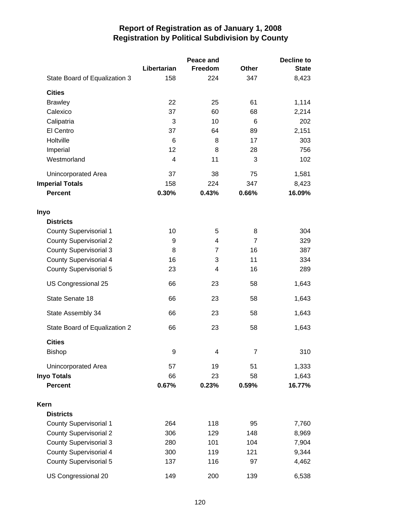|                               |                | Peace and |                | <b>Decline to</b> |
|-------------------------------|----------------|-----------|----------------|-------------------|
|                               | Libertarian    | Freedom   | <b>Other</b>   | <b>State</b>      |
| State Board of Equalization 3 | 158            | 224       | 347            | 8,423             |
| <b>Cities</b>                 |                |           |                |                   |
| <b>Brawley</b>                | 22             | 25        | 61             | 1,114             |
| Calexico                      | 37             | 60        | 68             | 2,214             |
| Calipatria                    | 3              | 10        | 6              | 202               |
| El Centro                     | 37             | 64        | 89             | 2,151             |
| Holtville                     | 6              | 8         | 17             | 303               |
| Imperial                      | 12             | 8         | 28             | 756               |
| Westmorland                   | $\overline{4}$ | 11        | 3              | 102               |
| Unincorporated Area           | 37             | 38        | 75             | 1,581             |
| <b>Imperial Totals</b>        | 158            | 224       | 347            | 8,423             |
| <b>Percent</b>                | 0.30%          | 0.43%     | 0.66%          | 16.09%            |
| Inyo                          |                |           |                |                   |
| <b>Districts</b>              |                |           |                |                   |
| <b>County Supervisorial 1</b> | 10             | 5         | 8              | 304               |
| <b>County Supervisorial 2</b> | 9              | 4         | $\overline{7}$ | 329               |
| <b>County Supervisorial 3</b> | 8              | 7         | 16             | 387               |
| <b>County Supervisorial 4</b> | 16             | 3         | 11             | 334               |
| County Supervisorial 5        | 23             | 4         | 16             | 289               |
| US Congressional 25           | 66             | 23        | 58             | 1,643             |
| State Senate 18               | 66             | 23        | 58             | 1,643             |
| State Assembly 34             | 66             | 23        | 58             | 1,643             |
| State Board of Equalization 2 | 66             | 23        | 58             | 1,643             |
| <b>Cities</b>                 |                |           |                |                   |
| Bishop                        | 9              | 4         | 7              | 310               |
| Unincorporated Area           | 57             | 19        | 51             | 1,333             |
| <b>Inyo Totals</b>            | 66             | 23        | 58             | 1,643             |
| <b>Percent</b>                | 0.67%          | 0.23%     | 0.59%          | 16.77%            |
| Kern                          |                |           |                |                   |
| <b>Districts</b>              |                |           |                |                   |
| <b>County Supervisorial 1</b> | 264            | 118       | 95             | 7,760             |
| <b>County Supervisorial 2</b> | 306            | 129       | 148            | 8,969             |
| <b>County Supervisorial 3</b> | 280            | 101       | 104            | 7,904             |
| <b>County Supervisorial 4</b> | 300            | 119       | 121            | 9,344             |
| <b>County Supervisorial 5</b> | 137            | 116       | 97             | 4,462             |
| US Congressional 20           | 149            | 200       | 139            | 6,538             |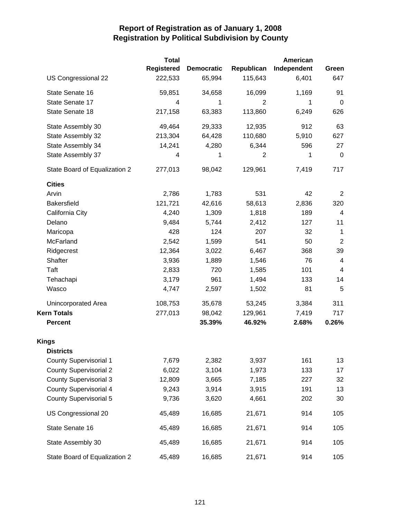|                               | <b>Total</b>      |                   |                | American    |                          |
|-------------------------------|-------------------|-------------------|----------------|-------------|--------------------------|
|                               | <b>Registered</b> | <b>Democratic</b> | Republican     | Independent | Green                    |
| US Congressional 22           | 222,533           | 65,994            | 115,643        | 6,401       | 647                      |
| State Senate 16               | 59,851            | 34,658            | 16,099         | 1,169       | 91                       |
| State Senate 17               | 4                 | 1                 | 2              | 1           | $\mathbf 0$              |
| State Senate 18               | 217,158           | 63,383            | 113,860        | 6,249       | 626                      |
| State Assembly 30             | 49,464            | 29,333            | 12,935         | 912         | 63                       |
| State Assembly 32             | 213,304           | 64,428            | 110,680        | 5,910       | 627                      |
| State Assembly 34             | 14,241            | 4,280             | 6,344          | 596         | 27                       |
| State Assembly 37             | 4                 | 1                 | $\overline{2}$ | 1           | 0                        |
| State Board of Equalization 2 | 277,013           | 98,042            | 129,961        | 7,419       | 717                      |
| <b>Cities</b>                 |                   |                   |                |             |                          |
| Arvin                         | 2,786             | 1,783             | 531            | 42          | 2                        |
| <b>Bakersfield</b>            | 121,721           | 42,616            | 58,613         | 2,836       | 320                      |
| California City               | 4,240             | 1,309             | 1,818          | 189         | $\overline{\mathbf{4}}$  |
| Delano                        | 9,484             | 5,744             | 2,412          | 127         | 11                       |
| Maricopa                      | 428               | 124               | 207            | 32          | 1                        |
| McFarland                     | 2,542             | 1,599             | 541            | 50          | $\overline{2}$           |
| Ridgecrest                    | 12,364            | 3,022             | 6,467          | 368         | 39                       |
| Shafter                       | 3,936             | 1,889             | 1,546          | 76          | $\overline{\mathcal{A}}$ |
| Taft                          | 2,833             | 720               | 1,585          | 101         | $\overline{\mathbf{4}}$  |
| Tehachapi                     | 3,179             | 961               | 1,494          | 133         | 14                       |
| Wasco                         | 4,747             | 2,597             | 1,502          | 81          | 5                        |
| Unincorporated Area           | 108,753           | 35,678            | 53,245         | 3,384       | 311                      |
| <b>Kern Totals</b>            | 277,013           | 98,042            | 129,961        | 7,419       | 717                      |
| <b>Percent</b>                |                   | 35.39%            | 46.92%         | 2.68%       | 0.26%                    |
| <b>Kings</b>                  |                   |                   |                |             |                          |
| <b>Districts</b>              |                   |                   |                |             |                          |
| <b>County Supervisorial 1</b> | 7,679             | 2,382             | 3,937          | 161         | 13                       |
| <b>County Supervisorial 2</b> | 6,022             | 3,104             | 1,973          | 133         | 17                       |
| <b>County Supervisorial 3</b> | 12,809            | 3,665             | 7,185          | 227         | 32                       |
| <b>County Supervisorial 4</b> | 9,243             | 3,914             | 3,915          | 191         | 13                       |
| <b>County Supervisorial 5</b> | 9,736             | 3,620             | 4,661          | 202         | 30                       |
| US Congressional 20           | 45,489            | 16,685            | 21,671         | 914         | 105                      |
| State Senate 16               | 45,489            | 16,685            | 21,671         | 914         | 105                      |
| State Assembly 30             | 45,489            | 16,685            | 21,671         | 914         | 105                      |
| State Board of Equalization 2 | 45,489            | 16,685            | 21,671         | 914         | 105                      |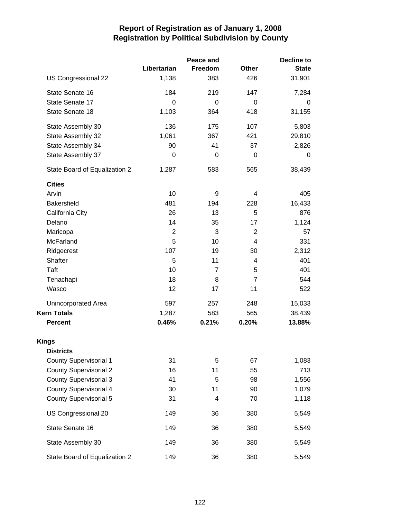|                               |                | Peace and      | <b>Decline to</b>       |              |  |
|-------------------------------|----------------|----------------|-------------------------|--------------|--|
|                               | Libertarian    | Freedom        | <b>Other</b>            | <b>State</b> |  |
| US Congressional 22           | 1,138          | 383            | 426                     | 31,901       |  |
| State Senate 16               | 184            | 219            | 147                     | 7,284        |  |
| State Senate 17               | $\Omega$       | 0              | $\Omega$                | 0            |  |
| State Senate 18               | 1,103          | 364            | 418                     | 31,155       |  |
| State Assembly 30             | 136            | 175            | 107                     | 5,803        |  |
| State Assembly 32             | 1,061          | 367            | 421                     | 29,810       |  |
| State Assembly 34             | 90             | 41             | 37                      | 2,826        |  |
| State Assembly 37             | 0              | 0              | 0                       | 0            |  |
| State Board of Equalization 2 | 1,287          | 583            | 565                     | 38,439       |  |
| <b>Cities</b>                 |                |                |                         |              |  |
| Arvin                         | 10             | 9              | 4                       | 405          |  |
| Bakersfield                   | 481            | 194            | 228                     | 16,433       |  |
| California City               | 26             | 13             | 5                       | 876          |  |
| Delano                        | 14             | 35             | 17                      | 1,124        |  |
| Maricopa                      | $\overline{2}$ | 3              | $\overline{2}$          | 57           |  |
| McFarland                     | 5              | 10             | 4                       | 331          |  |
| Ridgecrest                    | 107            | 19             | 30                      | 2,312        |  |
| Shafter                       | 5              | 11             | $\overline{\mathbf{4}}$ | 401          |  |
| Taft                          | 10             | $\overline{7}$ | 5                       | 401          |  |
| Tehachapi                     | 18             | 8              | $\overline{7}$          | 544          |  |
| Wasco                         | 12             | 17             | 11                      | 522          |  |
| Unincorporated Area           | 597            | 257            | 248                     | 15,033       |  |
| <b>Kern Totals</b>            | 1,287          | 583            | 565                     | 38,439       |  |
| <b>Percent</b>                | 0.46%          | 0.21%          | 0.20%                   | 13.88%       |  |
| <b>Kings</b>                  |                |                |                         |              |  |
| <b>Districts</b>              |                |                |                         |              |  |
| <b>County Supervisorial 1</b> | 31             | 5              | 67                      | 1,083        |  |
| <b>County Supervisorial 2</b> | 16             | 11             | 55                      | 713          |  |
| <b>County Supervisorial 3</b> | 41             | 5              | 98                      | 1,556        |  |
| <b>County Supervisorial 4</b> | 30             | 11             | 90                      | 1,079        |  |
| <b>County Supervisorial 5</b> | 31             | 4              | 70                      | 1,118        |  |
| US Congressional 20           | 149            | 36             | 380                     | 5,549        |  |
| State Senate 16               | 149            | 36             | 380                     | 5,549        |  |
| State Assembly 30             | 149            | 36             | 380                     | 5,549        |  |
| State Board of Equalization 2 | 149            | 36             | 380                     | 5,549        |  |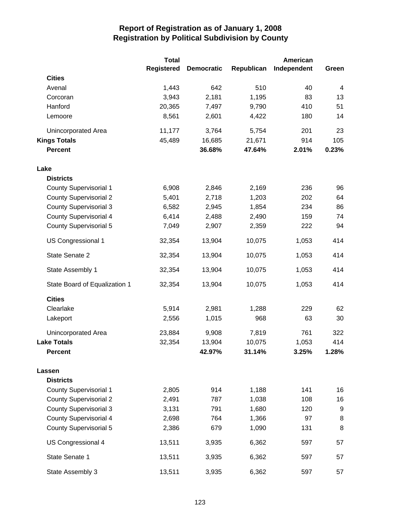|                               | <b>Total</b>      |                   |            | American    |       |
|-------------------------------|-------------------|-------------------|------------|-------------|-------|
|                               | <b>Registered</b> | <b>Democratic</b> | Republican | Independent | Green |
| <b>Cities</b>                 |                   |                   |            |             |       |
| Avenal                        | 1,443             | 642               | 510        | 40          | 4     |
| Corcoran                      | 3,943             | 2,181             | 1,195      | 83          | 13    |
| Hanford                       | 20,365            | 7,497             | 9,790      | 410         | 51    |
| Lemoore                       | 8,561             | 2,601             | 4,422      | 180         | 14    |
| Unincorporated Area           | 11,177            | 3,764             | 5,754      | 201         | 23    |
| <b>Kings Totals</b>           | 45,489            | 16,685            | 21,671     | 914         | 105   |
| <b>Percent</b>                |                   | 36.68%            | 47.64%     | 2.01%       | 0.23% |
| Lake                          |                   |                   |            |             |       |
| <b>Districts</b>              |                   |                   |            |             |       |
| <b>County Supervisorial 1</b> | 6,908             | 2,846             | 2,169      | 236         | 96    |
| <b>County Supervisorial 2</b> | 5,401             | 2,718             | 1,203      | 202         | 64    |
| <b>County Supervisorial 3</b> | 6,582             | 2,945             | 1,854      | 234         | 86    |
| <b>County Supervisorial 4</b> | 6,414             | 2,488             | 2,490      | 159         | 74    |
| <b>County Supervisorial 5</b> | 7,049             | 2,907             | 2,359      | 222         | 94    |
| <b>US Congressional 1</b>     | 32,354            | 13,904            | 10,075     | 1,053       | 414   |
| State Senate 2                | 32,354            | 13,904            | 10,075     | 1,053       | 414   |
| State Assembly 1              | 32,354            | 13,904            | 10,075     | 1,053       | 414   |
| State Board of Equalization 1 | 32,354            | 13,904            | 10,075     | 1,053       | 414   |
| <b>Cities</b>                 |                   |                   |            |             |       |
| Clearlake                     | 5,914             | 2,981             | 1,288      | 229         | 62    |
| Lakeport                      | 2,556             | 1,015             | 968        | 63          | 30    |
| Unincorporated Area           | 23,884            | 9,908             | 7,819      | 761         | 322   |
| <b>Lake Totals</b>            | 32,354            | 13,904            | 10,075     | 1,053       | 414   |
| <b>Percent</b>                |                   | 42.97%            | 31.14%     | 3.25%       | 1.28% |
| Lassen                        |                   |                   |            |             |       |
| <b>Districts</b>              |                   |                   |            |             |       |
| <b>County Supervisorial 1</b> | 2,805             | 914               | 1,188      | 141         | 16    |
| <b>County Supervisorial 2</b> | 2,491             | 787               | 1,038      | 108         | 16    |
| <b>County Supervisorial 3</b> | 3,131             | 791               | 1,680      | 120         | 9     |
| <b>County Supervisorial 4</b> | 2,698             | 764               | 1,366      | 97          | 8     |
| <b>County Supervisorial 5</b> | 2,386             | 679               | 1,090      | 131         | 8     |
| US Congressional 4            | 13,511            | 3,935             | 6,362      | 597         | 57    |
| State Senate 1                | 13,511            | 3,935             | 6,362      | 597         | 57    |
| State Assembly 3              | 13,511            | 3,935             | 6,362      | 597         | 57    |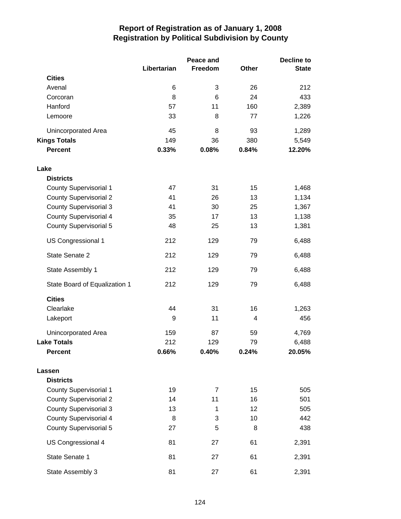|                               |             | Peace and      |       | <b>Decline to</b> |  |
|-------------------------------|-------------|----------------|-------|-------------------|--|
|                               | Libertarian | Freedom        | Other | <b>State</b>      |  |
| <b>Cities</b>                 |             |                |       |                   |  |
| Avenal                        | 6           | 3              | 26    | 212               |  |
| Corcoran                      | 8           | 6              | 24    | 433               |  |
| Hanford                       | 57          | 11             | 160   | 2,389             |  |
| Lemoore                       | 33          | 8              | 77    | 1,226             |  |
| Unincorporated Area           | 45          | 8              | 93    | 1,289             |  |
| <b>Kings Totals</b>           | 149         | 36             | 380   | 5,549             |  |
| <b>Percent</b>                | 0.33%       | 0.08%          | 0.84% | 12.20%            |  |
| Lake                          |             |                |       |                   |  |
| <b>Districts</b>              |             |                |       |                   |  |
| County Supervisorial 1        | 47          | 31             | 15    | 1,468             |  |
| <b>County Supervisorial 2</b> | 41          | 26             | 13    | 1,134             |  |
| <b>County Supervisorial 3</b> | 41          | 30             | 25    | 1,367             |  |
| <b>County Supervisorial 4</b> | 35          | 17             | 13    | 1,138             |  |
| <b>County Supervisorial 5</b> | 48          | 25             | 13    | 1,381             |  |
| US Congressional 1            | 212         | 129            | 79    | 6,488             |  |
| State Senate 2                | 212         | 129            | 79    | 6,488             |  |
| State Assembly 1              | 212         | 129            | 79    | 6,488             |  |
| State Board of Equalization 1 | 212         | 129            | 79    | 6,488             |  |
| <b>Cities</b>                 |             |                |       |                   |  |
| Clearlake                     | 44          | 31             | 16    | 1,263             |  |
| Lakeport                      | 9           | 11             | 4     | 456               |  |
| Unincorporated Area           | 159         | 87             | 59    | 4,769             |  |
| <b>Lake Totals</b>            | 212         | 129            | 79    | 6,488             |  |
| <b>Percent</b>                | 0.66%       | 0.40%          | 0.24% | 20.05%            |  |
| Lassen                        |             |                |       |                   |  |
| <b>Districts</b>              |             |                |       |                   |  |
| <b>County Supervisorial 1</b> | 19          | $\overline{7}$ | 15    | 505               |  |
| <b>County Supervisorial 2</b> | 14          | 11             | 16    | 501               |  |
| <b>County Supervisorial 3</b> | 13          | 1              | 12    | 505               |  |
| <b>County Supervisorial 4</b> | 8           | 3              | 10    | 442               |  |
| <b>County Supervisorial 5</b> | 27          | 5              | 8     | 438               |  |
| US Congressional 4            | 81          | 27             | 61    | 2,391             |  |
| State Senate 1                | 81          | 27             | 61    | 2,391             |  |
| State Assembly 3              | 81          | 27             | 61    | 2,391             |  |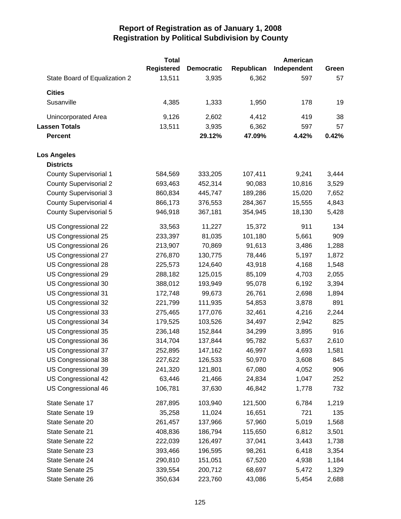|                               | <b>Total</b>      |                   |            | American    |       |
|-------------------------------|-------------------|-------------------|------------|-------------|-------|
|                               | <b>Registered</b> | <b>Democratic</b> | Republican | Independent | Green |
| State Board of Equalization 2 | 13,511            | 3,935             | 6,362      | 597         | 57    |
| <b>Cities</b>                 |                   |                   |            |             |       |
| Susanville                    | 4,385             | 1,333             | 1,950      | 178         | 19    |
| Unincorporated Area           | 9,126             | 2,602             | 4,412      | 419         | 38    |
| <b>Lassen Totals</b>          | 13,511            | 3,935             | 6,362      | 597         | 57    |
| <b>Percent</b>                |                   | 29.12%            | 47.09%     | 4.42%       | 0.42% |
| <b>Los Angeles</b>            |                   |                   |            |             |       |
| <b>Districts</b>              |                   |                   |            |             |       |
| <b>County Supervisorial 1</b> | 584,569           | 333,205           | 107,411    | 9,241       | 3,444 |
| <b>County Supervisorial 2</b> | 693,463           | 452,314           | 90,083     | 10,816      | 3,529 |
| <b>County Supervisorial 3</b> | 860,834           | 445,747           | 189,286    | 15,020      | 7,652 |
| <b>County Supervisorial 4</b> | 866,173           | 376,553           | 284,367    | 15,555      | 4,843 |
| County Supervisorial 5        | 946,918           | 367,181           | 354,945    | 18,130      | 5,428 |
| US Congressional 22           | 33,563            | 11,227            | 15,372     | 911         | 134   |
| US Congressional 25           | 233,397           | 81,035            | 101,180    | 5,661       | 909   |
| US Congressional 26           | 213,907           | 70,869            | 91,613     | 3,486       | 1,288 |
| US Congressional 27           | 276,870           | 130,775           | 78,446     | 5,197       | 1,872 |
| US Congressional 28           | 225,573           | 124,640           | 43,918     | 4,168       | 1,548 |
| US Congressional 29           | 288,182           | 125,015           | 85,109     | 4,703       | 2,055 |
| US Congressional 30           | 388,012           | 193,949           | 95,078     | 6,192       | 3,394 |
| US Congressional 31           | 172,748           | 99,673            | 26,761     | 2,698       | 1,894 |
| US Congressional 32           | 221,799           | 111,935           | 54,853     | 3,878       | 891   |
| US Congressional 33           | 275,465           | 177,076           | 32,461     | 4,216       | 2,244 |
| US Congressional 34           | 179,525           | 103,526           | 34,497     | 2,942       | 825   |
| US Congressional 35           | 236,148           | 152,844           | 34,299     | 3,895       | 916   |
| US Congressional 36           | 314,704           | 137,844           | 95,782     | 5,637       | 2,610 |
| US Congressional 37           | 252,895           | 147,162           | 46,997     | 4,693       | 1,581 |
| US Congressional 38           | 227,622           | 126,533           | 50,970     | 3,608       | 845   |
| US Congressional 39           | 241,320           | 121,801           | 67,080     | 4,052       | 906   |
| US Congressional 42           | 63,446            | 21,466            | 24,834     | 1,047       | 252   |
| US Congressional 46           | 106,781           | 37,630            | 46,842     | 1,778       | 732   |
| State Senate 17               | 287,895           | 103,940           | 121,500    | 6,784       | 1,219 |
| State Senate 19               | 35,258            | 11,024            | 16,651     | 721         | 135   |
| State Senate 20               | 261,457           | 137,966           | 57,960     | 5,019       | 1,568 |
| State Senate 21               | 408,836           | 186,794           | 115,650    | 6,812       | 3,501 |
| State Senate 22               | 222,039           | 126,497           | 37,041     | 3,443       | 1,738 |
| State Senate 23               | 393,466           | 196,595           | 98,261     | 6,418       | 3,354 |
| State Senate 24               | 290,810           | 151,051           | 67,520     | 4,938       | 1,184 |
| State Senate 25               | 339,554           | 200,712           | 68,697     | 5,472       | 1,329 |
| State Senate 26               | 350,634           | 223,760           | 43,086     | 5,454       | 2,688 |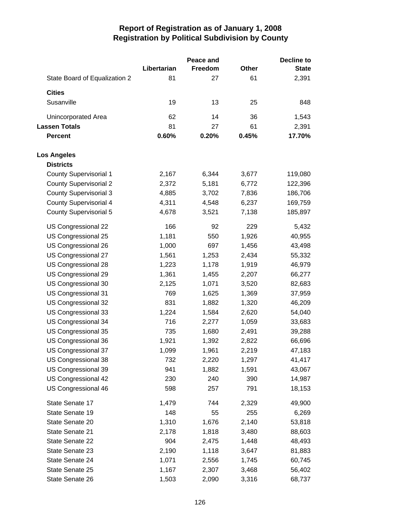|                               |             | Peace and |       | <b>Decline to</b> |
|-------------------------------|-------------|-----------|-------|-------------------|
|                               | Libertarian | Freedom   | Other | <b>State</b>      |
| State Board of Equalization 2 | 81          | 27        | 61    | 2,391             |
| <b>Cities</b>                 |             |           |       |                   |
| Susanville                    | 19          | 13        | 25    | 848               |
| Unincorporated Area           | 62          | 14        | 36    | 1,543             |
| <b>Lassen Totals</b>          | 81          | 27        | 61    | 2,391             |
| <b>Percent</b>                | 0.60%       | 0.20%     | 0.45% | 17.70%            |
| <b>Los Angeles</b>            |             |           |       |                   |
| <b>Districts</b>              |             |           |       |                   |
| <b>County Supervisorial 1</b> | 2,167       | 6,344     | 3,677 | 119,080           |
| <b>County Supervisorial 2</b> | 2,372       | 5,181     | 6,772 | 122,396           |
| <b>County Supervisorial 3</b> | 4,885       | 3,702     | 7,836 | 186,706           |
| <b>County Supervisorial 4</b> | 4,311       | 4,548     | 6,237 | 169,759           |
| County Supervisorial 5        | 4,678       | 3,521     | 7,138 | 185,897           |
| US Congressional 22           | 166         | 92        | 229   | 5,432             |
| US Congressional 25           | 1,181       | 550       | 1,926 | 40,955            |
| US Congressional 26           | 1,000       | 697       | 1,456 | 43,498            |
| US Congressional 27           | 1,561       | 1,253     | 2,434 | 55,332            |
| US Congressional 28           | 1,223       | 1,178     | 1,919 | 46,979            |
| US Congressional 29           | 1,361       | 1,455     | 2,207 | 66,277            |
| US Congressional 30           | 2,125       | 1,071     | 3,520 | 82,683            |
| US Congressional 31           | 769         | 1,625     | 1,369 | 37,959            |
| US Congressional 32           | 831         | 1,882     | 1,320 | 46,209            |
| US Congressional 33           | 1,224       | 1,584     | 2,620 | 54,040            |
| US Congressional 34           | 716         | 2,277     | 1,059 | 33,683            |
| US Congressional 35           | 735         | 1,680     | 2,491 | 39,288            |
| US Congressional 36           | 1,921       | 1,392     | 2,822 | 66,696            |
| US Congressional 37           | 1,099       | 1,961     | 2,219 | 47,183            |
| US Congressional 38           | 732         | 2,220     | 1,297 | 41,417            |
| US Congressional 39           | 941         | 1,882     | 1,591 | 43,067            |
| US Congressional 42           | 230         | 240       | 390   | 14,987            |
| US Congressional 46           | 598         | 257       | 791   | 18,153            |
| State Senate 17               | 1,479       | 744       | 2,329 | 49,900            |
| State Senate 19               | 148         | 55        | 255   | 6,269             |
| State Senate 20               | 1,310       | 1,676     | 2,140 | 53,818            |
| State Senate 21               | 2,178       | 1,818     | 3,480 | 88,603            |
| State Senate 22               | 904         | 2,475     | 1,448 | 48,493            |
| State Senate 23               | 2,190       | 1,118     | 3,647 | 81,883            |
| State Senate 24               | 1,071       | 2,556     | 1,745 | 60,745            |
| State Senate 25               | 1,167       | 2,307     | 3,468 | 56,402            |
| State Senate 26               | 1,503       | 2,090     | 3,316 | 68,737            |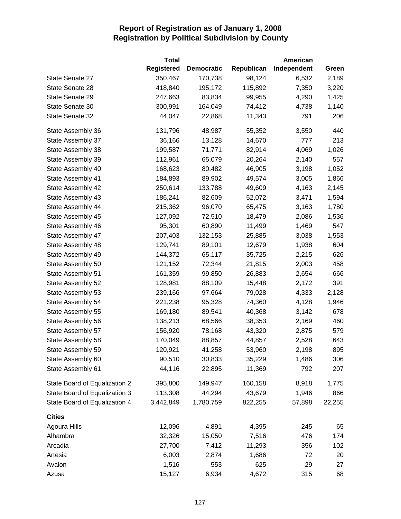|                               | <b>Total</b>      |                   |            | American    |        |
|-------------------------------|-------------------|-------------------|------------|-------------|--------|
|                               | <b>Registered</b> | <b>Democratic</b> | Republican | Independent | Green  |
| State Senate 27               | 350,467           | 170,738           | 98,124     | 6,532       | 2,189  |
| State Senate 28               | 418,840           | 195,172           | 115,892    | 7,350       | 3,220  |
| State Senate 29               | 247,663           | 83,834            | 99,955     | 4,290       | 1,425  |
| State Senate 30               | 300,991           | 164,049           | 74,412     | 4,738       | 1,140  |
| State Senate 32               | 44,047            | 22,868            | 11,343     | 791         | 206    |
| State Assembly 36             | 131,796           | 48,987            | 55,352     | 3,550       | 440    |
| State Assembly 37             | 36,166            | 13,128            | 14,670     | 777         | 213    |
| State Assembly 38             | 199,587           | 71,771            | 82,914     | 4,069       | 1,026  |
| State Assembly 39             | 112,961           | 65,079            | 20,264     | 2,140       | 557    |
| State Assembly 40             | 168,623           | 80,482            | 46,905     | 3,198       | 1,052  |
| State Assembly 41             | 184,893           | 89,902            | 49,574     | 3,005       | 1,866  |
| State Assembly 42             | 250,614           | 133,788           | 49,609     | 4,163       | 2,145  |
| State Assembly 43             | 186,241           | 82,609            | 52,072     | 3,471       | 1,594  |
| State Assembly 44             | 215,362           | 96,070            | 65,475     | 3,163       | 1,780  |
| State Assembly 45             | 127,092           | 72,510            | 18,479     | 2,086       | 1,536  |
| State Assembly 46             | 95,301            | 60,890            | 11,499     | 1,469       | 547    |
| State Assembly 47             | 207,403           | 132,153           | 25,885     | 3,038       | 1,553  |
| State Assembly 48             | 129,741           | 89,101            | 12,679     | 1,938       | 604    |
| State Assembly 49             | 144,372           | 65,117            | 35,725     | 2,215       | 626    |
| State Assembly 50             | 121,152           | 72,344            | 21,815     | 2,003       | 458    |
| State Assembly 51             | 161,359           | 99,850            | 26,883     | 2,654       | 666    |
| State Assembly 52             | 128,981           | 88,109            | 15,448     | 2,172       | 391    |
| State Assembly 53             | 239,166           | 97,664            | 79,028     | 4,333       | 2,128  |
| State Assembly 54             | 221,238           | 95,328            | 74,360     | 4,128       | 1,946  |
| State Assembly 55             | 169,180           | 89,541            | 40,368     | 3,142       | 678    |
| State Assembly 56             | 138,213           | 68,566            | 38,353     | 2,169       | 460    |
| State Assembly 57             | 156,920           | 78,168            | 43,320     | 2,875       | 579    |
| State Assembly 58             | 170,049           | 88,857            | 44,857     | 2,528       | 643    |
| State Assembly 59             | 120,921           | 41,258            | 53,960     | 2,198       | 895    |
| State Assembly 60             | 90,510            | 30,833            | 35,229     | 1,486       | 306    |
| State Assembly 61             | 44,116            | 22,895            | 11,369     | 792         | 207    |
| State Board of Equalization 2 | 395,800           | 149,947           | 160,158    | 8,918       | 1,775  |
| State Board of Equalization 3 | 113,308           | 44,294            | 43,679     | 1,946       | 866    |
| State Board of Equalization 4 | 3,442,849         | 1,780,759         | 822,255    | 57,898      | 22,255 |
| <b>Cities</b>                 |                   |                   |            |             |        |
| Agoura Hills                  | 12,096            | 4,891             | 4,395      | 245         | 65     |
| Alhambra                      | 32,326            | 15,050            | 7,516      | 476         | 174    |
| Arcadia                       | 27,700            | 7,412             | 11,293     | 356         | 102    |
| Artesia                       | 6,003             | 2,874             | 1,686      | 72          | 20     |
| Avalon                        | 1,516             | 553               | 625        | 29          | 27     |
| Azusa                         | 15,127            | 6,934             | 4,672      | 315         | 68     |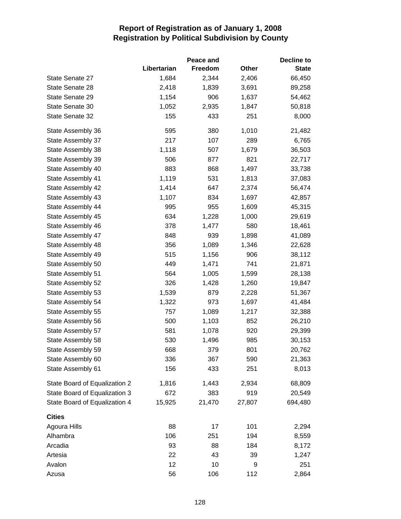|                               | Peace and   |         |        |              |
|-------------------------------|-------------|---------|--------|--------------|
|                               | Libertarian | Freedom | Other  | <b>State</b> |
| State Senate 27               | 1,684       | 2,344   | 2,406  | 66,450       |
| State Senate 28               | 2,418       | 1,839   | 3,691  | 89,258       |
| State Senate 29               | 1,154       | 906     | 1,637  | 54,462       |
| State Senate 30               | 1,052       | 2,935   | 1,847  | 50,818       |
| State Senate 32               | 155         | 433     | 251    | 8,000        |
| State Assembly 36             | 595         | 380     | 1,010  | 21,482       |
| State Assembly 37             | 217         | 107     | 289    | 6,765        |
| State Assembly 38             | 1,118       | 507     | 1,679  | 36,503       |
| State Assembly 39             | 506         | 877     | 821    | 22,717       |
| State Assembly 40             | 883         | 868     | 1,497  | 33,738       |
| State Assembly 41             | 1,119       | 531     | 1,813  | 37,083       |
| State Assembly 42             | 1,414       | 647     | 2,374  | 56,474       |
| State Assembly 43             | 1,107       | 834     | 1,697  | 42,857       |
| State Assembly 44             | 995         | 955     | 1,609  | 45,315       |
| State Assembly 45             | 634         | 1,228   | 1,000  | 29,619       |
| State Assembly 46             | 378         | 1,477   | 580    | 18,461       |
| State Assembly 47             | 848         | 939     | 1,898  | 41,089       |
| State Assembly 48             | 356         | 1,089   | 1,346  | 22,628       |
| State Assembly 49             | 515         | 1,156   | 906    | 38,112       |
| State Assembly 50             | 449         | 1,471   | 741    | 21,871       |
| State Assembly 51             | 564         | 1,005   | 1,599  | 28,138       |
| State Assembly 52             | 326         | 1,428   | 1,260  | 19,847       |
| State Assembly 53             | 1,539       | 879     | 2,228  | 51,367       |
| State Assembly 54             | 1,322       | 973     | 1,697  | 41,484       |
| State Assembly 55             | 757         | 1,089   | 1,217  | 32,388       |
| State Assembly 56             | 500         | 1,103   | 852    | 26,210       |
| State Assembly 57             | 581         | 1,078   | 920    | 29,399       |
| State Assembly 58             | 530         | 1,496   | 985    | 30,153       |
| State Assembly 59             | 668         | 379     | 801    | 20,762       |
| State Assembly 60             | 336         | 367     | 590    | 21,363       |
| State Assembly 61             | 156         | 433     | 251    | 8,013        |
| State Board of Equalization 2 | 1,816       | 1,443   | 2,934  | 68,809       |
| State Board of Equalization 3 | 672         | 383     | 919    | 20,549       |
| State Board of Equalization 4 | 15,925      | 21,470  | 27,807 | 694,480      |
| <b>Cities</b>                 |             |         |        |              |
| Agoura Hills                  | 88          | 17      | 101    | 2,294        |
| Alhambra                      | 106         | 251     | 194    | 8,559        |
| Arcadia                       | 93          | 88      | 184    | 8,172        |
| Artesia                       | 22          | 43      | 39     | 1,247        |
| Avalon                        | 12          | 10      | 9      | 251          |
| Azusa                         | 56          | 106     | 112    | 2,864        |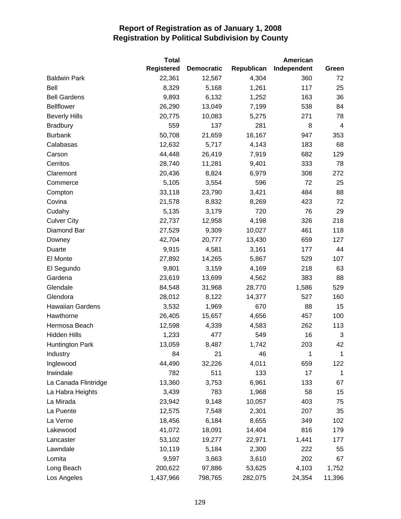|                         | <b>Total</b>      |                   |            | American    |                |
|-------------------------|-------------------|-------------------|------------|-------------|----------------|
|                         | <b>Registered</b> | <b>Democratic</b> | Republican | Independent | Green          |
| <b>Baldwin Park</b>     | 22,361            | 12,567            | 4,304      | 360         | 72             |
| Bell                    | 8,329             | 5,168             | 1,261      | 117         | 25             |
| <b>Bell Gardens</b>     | 9,893             | 6,132             | 1,252      | 163         | 36             |
| <b>Bellflower</b>       | 26,290            | 13,049            | 7,199      | 538         | 84             |
| <b>Beverly Hills</b>    | 20,775            | 10,083            | 5,275      | 271         | 78             |
| <b>Bradbury</b>         | 559               | 137               | 281        | 8           | $\overline{4}$ |
| <b>Burbank</b>          | 50,708            | 21,659            | 16,167     | 947         | 353            |
| Calabasas               | 12,632            | 5,717             | 4,143      | 183         | 68             |
| Carson                  | 44,448            | 26,419            | 7,919      | 682         | 129            |
| Cerritos                | 28,740            | 11,281            | 9,401      | 333         | 78             |
| Claremont               | 20,436            | 8,824             | 6,979      | 308         | 272            |
| Commerce                | 5,105             | 3,554             | 596        | 72          | 25             |
| Compton                 | 33,118            | 23,790            | 3,421      | 484         | 88             |
| Covina                  | 21,578            | 8,832             | 8,269      | 423         | 72             |
| Cudahy                  | 5,135             | 3,179             | 720        | 76          | 29             |
| <b>Culver City</b>      | 22,737            | 12,958            | 4,198      | 326         | 218            |
| Diamond Bar             | 27,529            | 9,309             | 10,027     | 461         | 118            |
| Downey                  | 42,704            | 20,777            | 13,430     | 659         | 127            |
| Duarte                  | 9,915             | 4,581             | 3,161      | 177         | 44             |
| El Monte                | 27,892            | 14,265            | 5,867      | 529         | 107            |
| El Segundo              | 9,801             | 3,159             | 4,169      | 218         | 63             |
| Gardena                 | 23,619            | 13,699            | 4,562      | 383         | 88             |
| Glendale                | 84,548            | 31,968            | 28,770     | 1,586       | 529            |
| Glendora                | 28,012            | 8,122             | 14,377     | 527         | 160            |
| <b>Hawaiian Gardens</b> | 3,532             | 1,969             | 670        | 88          | 15             |
| Hawthorne               | 26,405            | 15,657            | 4,656      | 457         | 100            |
| Hermosa Beach           | 12,598            | 4,339             | 4,583      | 262         | 113            |
| <b>Hidden Hills</b>     | 1,233             | 477               | 549        | 16          | 3              |
| <b>Huntington Park</b>  | 13,059            | 8,487             | 1,742      | 203         | 42             |
| Industry                | 84                | 21                | 46         | 1           | 1              |
| Inglewood               | 44,490            | 32,226            | 4,011      | 659         | 122            |
| Irwindale               | 782               | 511               | 133        | 17          | 1              |
| La Canada Flintridge    | 13,360            | 3,753             | 6,961      | 133         | 67             |
| La Habra Heights        | 3,439             | 783               | 1,968      | 58          | 15             |
| La Mirada               | 23,942            | 9,148             | 10,057     | 403         | 75             |
| La Puente               | 12,575            | 7,548             | 2,301      | 207         | 35             |
| La Verne                | 18,456            | 6,184             | 8,655      | 349         | 102            |
| Lakewood                | 41,072            | 18,091            | 14,404     | 816         | 179            |
| Lancaster               | 53,102            | 19,277            | 22,971     | 1,441       | 177            |
| Lawndale                | 10,119            | 5,184             | 2,300      | 222         | 55             |
| Lomita                  | 9,597             | 3,663             | 3,610      | 202         | 67             |
| Long Beach              | 200,622           | 97,886            | 53,625     | 4,103       | 1,752          |
| Los Angeles             | 1,437,966         | 798,765           | 282,075    | 24,354      | 11,396         |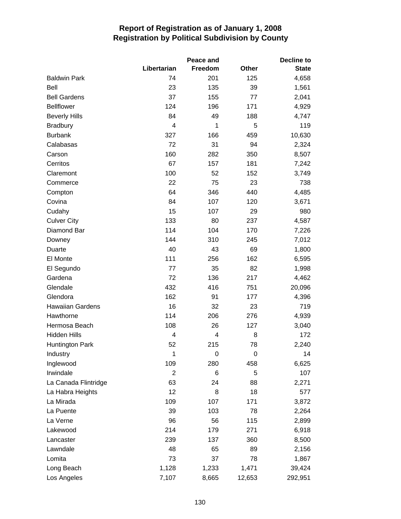|                        |                | Peace and |              |              |  |
|------------------------|----------------|-----------|--------------|--------------|--|
|                        | Libertarian    | Freedom   | <b>Other</b> | <b>State</b> |  |
| <b>Baldwin Park</b>    | 74             | 201       | 125          | 4,658        |  |
| Bell                   | 23             | 135       | 39           | 1,561        |  |
| <b>Bell Gardens</b>    | 37             | 155       | 77           | 2,041        |  |
| <b>Bellflower</b>      | 124            | 196       | 171          | 4,929        |  |
| <b>Beverly Hills</b>   | 84             | 49        | 188          | 4,747        |  |
| <b>Bradbury</b>        | 4              | 1         | 5            | 119          |  |
| <b>Burbank</b>         | 327            | 166       | 459          | 10,630       |  |
| Calabasas              | 72             | 31        | 94           | 2,324        |  |
| Carson                 | 160            | 282       | 350          | 8,507        |  |
| Cerritos               | 67             | 157       | 181          | 7,242        |  |
| Claremont              | 100            | 52        | 152          | 3,749        |  |
| Commerce               | 22             | 75        | 23           | 738          |  |
| Compton                | 64             | 346       | 440          | 4,485        |  |
| Covina                 | 84             | 107       | 120          | 3,671        |  |
| Cudahy                 | 15             | 107       | 29           | 980          |  |
| <b>Culver City</b>     | 133            | 80        | 237          | 4,587        |  |
| Diamond Bar            | 114            | 104       | 170          | 7,226        |  |
| Downey                 | 144            | 310       | 245          | 7,012        |  |
| Duarte                 | 40             | 43        | 69           | 1,800        |  |
| El Monte               | 111            | 256       | 162          | 6,595        |  |
| El Segundo             | 77             | 35        | 82           | 1,998        |  |
| Gardena                | 72             | 136       | 217          | 4,462        |  |
| Glendale               | 432            | 416       | 751          | 20,096       |  |
| Glendora               | 162            | 91        | 177          | 4,396        |  |
| Hawaiian Gardens       | 16             | 32        | 23           | 719          |  |
| Hawthorne              | 114            | 206       | 276          | 4,939        |  |
| Hermosa Beach          | 108            | 26        | 127          | 3,040        |  |
| <b>Hidden Hills</b>    | $\overline{4}$ | 4         | 8            | 172          |  |
| <b>Huntington Park</b> | 52             | 215       | 78           | 2,240        |  |
| Industry               | 1              | 0         | 0            | 14           |  |
| Inglewood              | 109            | 280       | 458          | 6,625        |  |
| Irwindale              | $\overline{2}$ | 6         | 5            | 107          |  |
| La Canada Flintridge   | 63             | 24        | 88           | 2,271        |  |
| La Habra Heights       | 12             | 8         | 18           | 577          |  |
| La Mirada              | 109            | 107       | 171          | 3,872        |  |
| La Puente              | 39             | 103       | 78           | 2,264        |  |
| La Verne               | 96             | 56        | 115          | 2,899        |  |
| Lakewood               | 214            | 179       | 271          | 6,918        |  |
| Lancaster              | 239            | 137       | 360          | 8,500        |  |
| Lawndale               | 48             | 65        | 89           | 2,156        |  |
| Lomita                 | 73             | 37        | 78           | 1,867        |  |
| Long Beach             | 1,128          | 1,233     | 1,471        | 39,424       |  |
| Los Angeles            | 7,107          | 8,665     | 12,653       | 292,951      |  |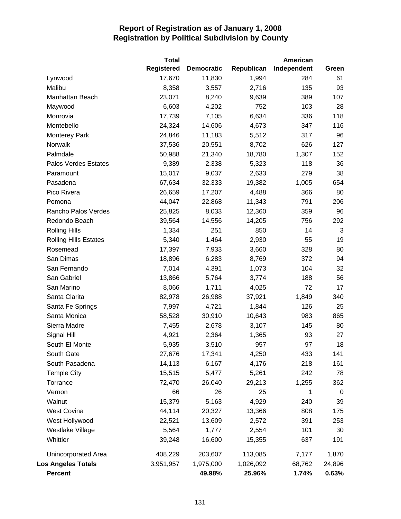|                              | <b>Total</b>      |                   |            | American    |        |
|------------------------------|-------------------|-------------------|------------|-------------|--------|
|                              | <b>Registered</b> | <b>Democratic</b> | Republican | Independent | Green  |
| Lynwood                      | 17,670            | 11,830            | 1,994      | 284         | 61     |
| Malibu                       | 8,358             | 3,557             | 2,716      | 135         | 93     |
| Manhattan Beach              | 23,071            | 8,240             | 9,639      | 389         | 107    |
| Maywood                      | 6,603             | 4,202             | 752        | 103         | 28     |
| Monrovia                     | 17,739            | 7,105             | 6,634      | 336         | 118    |
| Montebello                   | 24,324            | 14,606            | 4,673      | 347         | 116    |
| <b>Monterey Park</b>         | 24,846            | 11,183            | 5,512      | 317         | 96     |
| Norwalk                      | 37,536            | 20,551            | 8,702      | 626         | 127    |
| Palmdale                     | 50,988            | 21,340            | 18,780     | 1,307       | 152    |
| Palos Verdes Estates         | 9,389             | 2,338             | 5,323      | 118         | 36     |
| Paramount                    | 15,017            | 9,037             | 2,633      | 279         | 38     |
| Pasadena                     | 67,634            | 32,333            | 19,382     | 1,005       | 654    |
| Pico Rivera                  | 26,659            | 17,207            | 4,488      | 366         | 80     |
| Pomona                       | 44,047            | 22,868            | 11,343     | 791         | 206    |
| Rancho Palos Verdes          | 25,825            | 8,033             | 12,360     | 359         | 96     |
| Redondo Beach                | 39,564            | 14,556            | 14,205     | 756         | 292    |
| <b>Rolling Hills</b>         | 1,334             | 251               | 850        | 14          | 3      |
| <b>Rolling Hills Estates</b> | 5,340             | 1,464             | 2,930      | 55          | 19     |
| Rosemead                     | 17,397            | 7,933             | 3,660      | 328         | 80     |
| San Dimas                    | 18,896            | 6,283             | 8,769      | 372         | 94     |
| San Fernando                 | 7,014             | 4,391             | 1,073      | 104         | 32     |
| San Gabriel                  | 13,866            | 5,764             | 3,774      | 188         | 56     |
| San Marino                   | 8,066             | 1,711             | 4,025      | 72          | 17     |
| Santa Clarita                | 82,978            | 26,988            | 37,921     | 1,849       | 340    |
| Santa Fe Springs             | 7,997             | 4,721             | 1,844      | 126         | 25     |
| Santa Monica                 | 58,528            | 30,910            | 10,643     | 983         | 865    |
| Sierra Madre                 | 7,455             | 2,678             | 3,107      | 145         | 80     |
| Signal Hill                  | 4,921             | 2,364             | 1,365      | 93          | 27     |
| South El Monte               | 5,935             | 3,510             | 957        | 97          | 18     |
| South Gate                   | 27,676            | 17,341            | 4,250      | 433         | 141    |
| South Pasadena               | 14,113            | 6,167             | 4,176      | 218         | 161    |
| <b>Temple City</b>           | 15,515            | 5,477             | 5,261      | 242         | 78     |
| Torrance                     | 72,470            | 26,040            | 29,213     | 1,255       | 362    |
| Vernon                       | 66                | 26                | 25         | 1           | 0      |
| Walnut                       | 15,379            | 5,163             | 4,929      | 240         | 39     |
| <b>West Covina</b>           | 44,114            | 20,327            | 13,366     | 808         | 175    |
| West Hollywood               | 22,521            | 13,609            | 2,572      | 391         | 253    |
| Westlake Village             | 5,564             | 1,777             | 2,554      | 101         | 30     |
| Whittier                     | 39,248            | 16,600            | 15,355     | 637         | 191    |
| Unincorporated Area          | 408,229           | 203,607           | 113,085    | 7,177       | 1,870  |
| <b>Los Angeles Totals</b>    | 3,951,957         | 1,975,000         | 1,026,092  | 68,762      | 24,896 |
| <b>Percent</b>               |                   | 49.98%            | 25.96%     | 1.74%       | 0.63%  |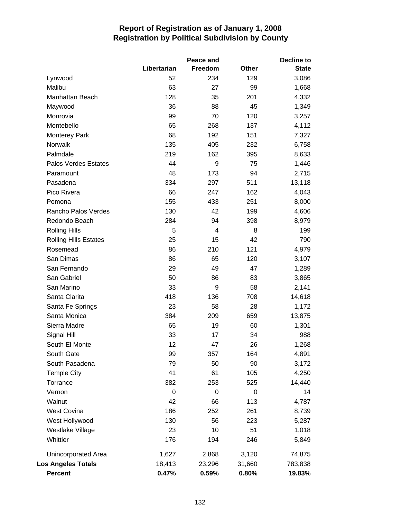|                              |             | Peace and |              | Decline to   |
|------------------------------|-------------|-----------|--------------|--------------|
|                              | Libertarian | Freedom   | <b>Other</b> | <b>State</b> |
| Lynwood                      | 52          | 234       | 129          | 3,086        |
| Malibu                       | 63          | 27        | 99           | 1,668        |
| Manhattan Beach              | 128         | 35        | 201          | 4,332        |
| Maywood                      | 36          | 88        | 45           | 1,349        |
| Monrovia                     | 99          | 70        | 120          | 3,257        |
| Montebello                   | 65          | 268       | 137          | 4,112        |
| <b>Monterey Park</b>         | 68          | 192       | 151          | 7,327        |
| Norwalk                      | 135         | 405       | 232          | 6,758        |
| Palmdale                     | 219         | 162       | 395          | 8,633        |
| <b>Palos Verdes Estates</b>  | 44          | 9         | 75           | 1,446        |
| Paramount                    | 48          | 173       | 94           | 2,715        |
| Pasadena                     | 334         | 297       | 511          | 13,118       |
| Pico Rivera                  | 66          | 247       | 162          | 4,043        |
| Pomona                       | 155         | 433       | 251          | 8,000        |
| Rancho Palos Verdes          | 130         | 42        | 199          | 4,606        |
| Redondo Beach                | 284         | 94        | 398          | 8,979        |
| <b>Rolling Hills</b>         | 5           | 4         | 8            | 199          |
| <b>Rolling Hills Estates</b> | 25          | 15        | 42           | 790          |
| Rosemead                     | 86          | 210       | 121          | 4,979        |
| San Dimas                    | 86          | 65        | 120          | 3,107        |
| San Fernando                 | 29          | 49        | 47           | 1,289        |
| San Gabriel                  | 50          | 86        | 83           | 3,865        |
| San Marino                   | 33          | 9         | 58           | 2,141        |
| Santa Clarita                | 418         | 136       | 708          | 14,618       |
| Santa Fe Springs             | 23          | 58        | 28           | 1,172        |
| Santa Monica                 | 384         | 209       | 659          | 13,875       |
| Sierra Madre                 | 65          | 19        | 60           | 1,301        |
| Signal Hill                  | 33          | 17        | 34           | 988          |
| South El Monte               | 12          | 47        | 26           | 1,268        |
| South Gate                   | 99          | 357       | 164          | 4,891        |
| South Pasadena               | 79          | 50        | 90           | 3,172        |
| <b>Temple City</b>           | 41          | 61        | 105          | 4,250        |
| Torrance                     | 382         | 253       | 525          | 14,440       |
| Vernon                       | 0           | 0         | 0            | 14           |
| Walnut                       | 42          | 66        | 113          | 4,787        |
| West Covina                  | 186         | 252       | 261          | 8,739        |
| West Hollywood               | 130         | 56        | 223          | 5,287        |
| Westlake Village             | 23          | 10        | 51           | 1,018        |
| Whittier                     | 176         | 194       | 246          | 5,849        |
| Unincorporated Area          | 1,627       | 2,868     | 3,120        | 74,875       |
| <b>Los Angeles Totals</b>    | 18,413      | 23,296    | 31,660       | 783,838      |
| <b>Percent</b>               | 0.47%       | 0.59%     | 0.80%        | 19.83%       |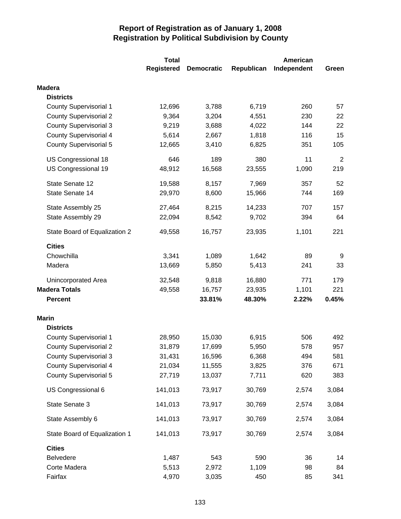|                               | <b>Total</b>      |                   |            | American    |                |  |
|-------------------------------|-------------------|-------------------|------------|-------------|----------------|--|
|                               | <b>Registered</b> | <b>Democratic</b> | Republican | Independent | Green          |  |
| <b>Madera</b>                 |                   |                   |            |             |                |  |
| <b>Districts</b>              |                   |                   |            |             |                |  |
| <b>County Supervisorial 1</b> | 12,696            | 3,788             | 6,719      | 260         | 57             |  |
| <b>County Supervisorial 2</b> | 9,364             | 3,204             | 4,551      | 230         | 22             |  |
| <b>County Supervisorial 3</b> | 9,219             | 3,688             | 4,022      | 144         | 22             |  |
| <b>County Supervisorial 4</b> | 5,614             | 2,667             | 1,818      | 116         | 15             |  |
| <b>County Supervisorial 5</b> | 12,665            | 3,410             | 6,825      | 351         | 105            |  |
| US Congressional 18           | 646               | 189               | 380        | 11          | $\overline{2}$ |  |
| US Congressional 19           | 48,912            | 16,568            | 23,555     | 1,090       | 219            |  |
| State Senate 12               | 19,588            | 8,157             | 7,969      | 357         | 52             |  |
| State Senate 14               | 29,970            | 8,600             | 15,966     | 744         | 169            |  |
| State Assembly 25             | 27,464            | 8,215             | 14,233     | 707         | 157            |  |
| State Assembly 29             | 22,094            | 8,542             | 9,702      | 394         | 64             |  |
| State Board of Equalization 2 | 49,558            | 16,757            | 23,935     | 1,101       | 221            |  |
| <b>Cities</b>                 |                   |                   |            |             |                |  |
| Chowchilla                    | 3,341             | 1,089             | 1,642      | 89          | 9              |  |
| Madera                        | 13,669            | 5,850             | 5,413      | 241         | 33             |  |
| Unincorporated Area           | 32,548            | 9,818             | 16,880     | 771         | 179            |  |
| <b>Madera Totals</b>          | 49,558            | 16,757            | 23,935     | 1,101       | 221            |  |
| <b>Percent</b>                |                   | 33.81%            | 48.30%     | 2.22%       | 0.45%          |  |
| <b>Marin</b>                  |                   |                   |            |             |                |  |
| <b>Districts</b>              |                   |                   |            |             |                |  |
| <b>County Supervisorial 1</b> | 28,950            | 15,030            | 6,915      | 506         | 492            |  |
| <b>County Supervisorial 2</b> | 31,879            | 17,699            | 5,950      | 578         | 957            |  |
| <b>County Supervisorial 3</b> | 31,431            | 16,596            | 6,368      | 494         | 581            |  |
| <b>County Supervisorial 4</b> | 21,034            | 11,555            | 3,825      | 376         | 671            |  |
| <b>County Supervisorial 5</b> | 27,719            | 13,037            | 7,711      | 620         | 383            |  |
| US Congressional 6            | 141,013           | 73,917            | 30,769     | 2,574       | 3,084          |  |
| State Senate 3                | 141,013           | 73,917            | 30,769     | 2,574       | 3,084          |  |
| State Assembly 6              | 141,013           | 73,917            | 30,769     | 2,574       | 3,084          |  |
| State Board of Equalization 1 | 141,013           | 73,917            | 30,769     | 2,574       | 3,084          |  |
| <b>Cities</b>                 |                   |                   |            |             |                |  |
| Belvedere                     | 1,487             | 543               | 590        | 36          | 14             |  |
| Corte Madera                  | 5,513             | 2,972             | 1,109      | 98          | 84             |  |
| Fairfax                       | 4,970             | 3,035             | 450        | 85          | 341            |  |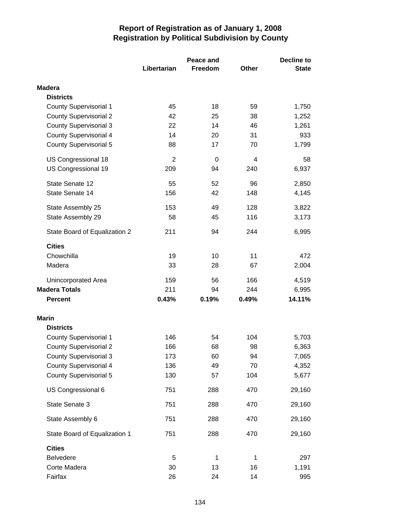|                               |                | Peace and    | <b>Decline to</b> |              |  |
|-------------------------------|----------------|--------------|-------------------|--------------|--|
|                               | Libertarian    | Freedom      | <b>Other</b>      | <b>State</b> |  |
| <b>Madera</b>                 |                |              |                   |              |  |
| <b>Districts</b>              |                |              |                   |              |  |
| <b>County Supervisorial 1</b> | 45             | 18           | 59                | 1,750        |  |
| <b>County Supervisorial 2</b> | 42             | 25           | 38                | 1,252        |  |
| <b>County Supervisorial 3</b> | 22             | 14           | 46                | 1,261        |  |
| <b>County Supervisorial 4</b> | 14             | 20           | 31                | 933          |  |
| <b>County Supervisorial 5</b> | 88             | 17           | 70                | 1,799        |  |
| US Congressional 18           | $\overline{2}$ | 0            | 4                 | 58           |  |
| US Congressional 19           | 209            | 94           | 240               | 6,937        |  |
| State Senate 12               | 55             | 52           | 96                | 2,850        |  |
| State Senate 14               | 156            | 42           | 148               | 4,145        |  |
| State Assembly 25             | 153            | 49           | 128               | 3,822        |  |
| State Assembly 29             | 58             | 45           | 116               | 3,173        |  |
| State Board of Equalization 2 | 211            | 94           | 244               | 6,995        |  |
| <b>Cities</b>                 |                |              |                   |              |  |
| Chowchilla                    | 19             | 10           | 11                | 472          |  |
| Madera                        | 33             | 28           | 67                | 2,004        |  |
| Unincorporated Area           | 159            | 56           | 166               | 4,519        |  |
| <b>Madera Totals</b>          | 211            | 94           | 244               | 6,995        |  |
| <b>Percent</b>                | 0.43%          | 0.19%        | 0.49%             | 14.11%       |  |
| <b>Marin</b>                  |                |              |                   |              |  |
| <b>Districts</b>              |                |              |                   |              |  |
| <b>County Supervisorial 1</b> | 146            | 54           | 104               | 5,703        |  |
| <b>County Supervisorial 2</b> | 166            | 68           | 98                | 6,363        |  |
| <b>County Supervisorial 3</b> | 173            | 60           | 94                | 7,065        |  |
| County Supervisorial 4        | 136            | 49           | 70                | 4,352        |  |
| <b>County Supervisorial 5</b> | 130            | 57           | 104               | 5,677        |  |
| US Congressional 6            | 751            | 288          | 470               | 29,160       |  |
| State Senate 3                | 751            | 288          | 470               | 29,160       |  |
| State Assembly 6              | 751            | 288          | 470               | 29,160       |  |
| State Board of Equalization 1 | 751            | 288          | 470               | 29,160       |  |
| <b>Cities</b>                 |                |              |                   |              |  |
| <b>Belvedere</b>              | 5              | $\mathbf{1}$ | 1                 | 297          |  |
| Corte Madera                  | 30             | 13           | 16                | 1,191        |  |
| Fairfax                       | 26             | 24           | 14                | 995          |  |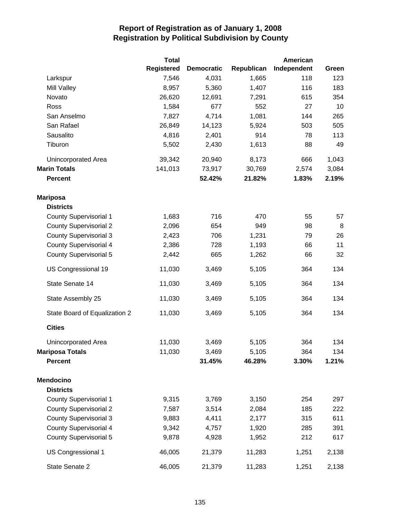|                               | <b>Total</b>      |                   |            | American    |       |
|-------------------------------|-------------------|-------------------|------------|-------------|-------|
|                               | <b>Registered</b> | <b>Democratic</b> | Republican | Independent | Green |
| Larkspur                      | 7,546             | 4,031             | 1,665      | 118         | 123   |
| <b>Mill Valley</b>            | 8,957             | 5,360             | 1,407      | 116         | 183   |
| Novato                        | 26,620            | 12,691            | 7,291      | 615         | 354   |
| Ross                          | 1,584             | 677               | 552        | 27          | 10    |
| San Anselmo                   | 7,827             | 4,714             | 1,081      | 144         | 265   |
| San Rafael                    | 26,849            | 14,123            | 5,924      | 503         | 505   |
| Sausalito                     | 4,816             | 2,401             | 914        | 78          | 113   |
| Tiburon                       | 5,502             | 2,430             | 1,613      | 88          | 49    |
| Unincorporated Area           | 39,342            | 20,940            | 8,173      | 666         | 1,043 |
| <b>Marin Totals</b>           | 141,013           | 73,917            | 30,769     | 2,574       | 3,084 |
| <b>Percent</b>                |                   | 52.42%            | 21.82%     | 1.83%       | 2.19% |
| <b>Mariposa</b>               |                   |                   |            |             |       |
| <b>Districts</b>              |                   |                   |            |             |       |
| <b>County Supervisorial 1</b> | 1,683             | 716               | 470        | 55          | 57    |
| <b>County Supervisorial 2</b> | 2,096             | 654               | 949        | 98          | 8     |
| <b>County Supervisorial 3</b> | 2,423             | 706               | 1,231      | 79          | 26    |
| <b>County Supervisorial 4</b> | 2,386             | 728               | 1,193      | 66          | 11    |
| <b>County Supervisorial 5</b> | 2,442             | 665               | 1,262      | 66          | 32    |
| US Congressional 19           | 11,030            | 3,469             | 5,105      | 364         | 134   |
| State Senate 14               | 11,030            | 3,469             | 5,105      | 364         | 134   |
| State Assembly 25             | 11,030            | 3,469             | 5,105      | 364         | 134   |
| State Board of Equalization 2 | 11,030            | 3,469             | 5,105      | 364         | 134   |
| <b>Cities</b>                 |                   |                   |            |             |       |
| Unincorporated Area           | 11,030            | 3,469             | 5,105      | 364         | 134   |
| <b>Mariposa Totals</b>        | 11,030            | 3,469             | 5,105      | 364         | 134   |
| <b>Percent</b>                |                   | 31.45%            | 46.28%     | 3.30%       | 1.21% |
| <b>Mendocino</b>              |                   |                   |            |             |       |
| <b>Districts</b>              |                   |                   |            |             |       |
| <b>County Supervisorial 1</b> | 9,315             | 3,769             | 3,150      | 254         | 297   |
| <b>County Supervisorial 2</b> | 7,587             | 3,514             | 2,084      | 185         | 222   |
| <b>County Supervisorial 3</b> | 9,883             | 4,411             | 2,177      | 315         | 611   |
| <b>County Supervisorial 4</b> | 9,342             | 4,757             | 1,920      | 285         | 391   |
| <b>County Supervisorial 5</b> | 9,878             | 4,928             | 1,952      | 212         | 617   |
| US Congressional 1            | 46,005            | 21,379            | 11,283     | 1,251       | 2,138 |
| State Senate 2                | 46,005            | 21,379            | 11,283     | 1,251       | 2,138 |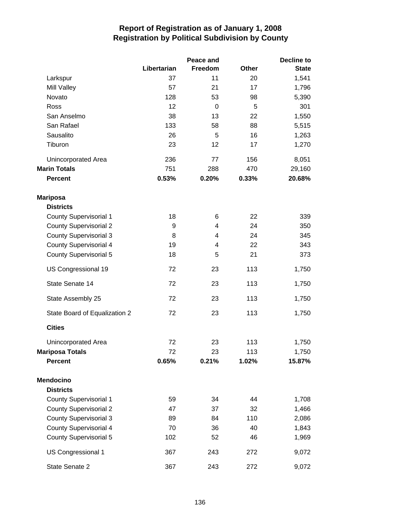|                               |             | Peace and | Decline to   |              |  |
|-------------------------------|-------------|-----------|--------------|--------------|--|
|                               | Libertarian | Freedom   | <b>Other</b> | <b>State</b> |  |
| Larkspur                      | 37          | 11        | 20           | 1,541        |  |
| Mill Valley                   | 57          | 21        | 17           | 1,796        |  |
| Novato                        | 128         | 53        | 98           | 5,390        |  |
| Ross                          | 12          | 0         | 5            | 301          |  |
| San Anselmo                   | 38          | 13        | 22           | 1,550        |  |
| San Rafael                    | 133         | 58        | 88           | 5,515        |  |
| Sausalito                     | 26          | 5         | 16           | 1,263        |  |
| Tiburon                       | 23          | 12        | 17           | 1,270        |  |
| Unincorporated Area           | 236         | 77        | 156          | 8,051        |  |
| <b>Marin Totals</b>           | 751         | 288       | 470          | 29,160       |  |
| <b>Percent</b>                | 0.53%       | 0.20%     | 0.33%        | 20.68%       |  |
| <b>Mariposa</b>               |             |           |              |              |  |
| <b>Districts</b>              |             |           |              |              |  |
| <b>County Supervisorial 1</b> | 18          | 6         | 22           | 339          |  |
| <b>County Supervisorial 2</b> | 9           | 4         | 24           | 350          |  |
| <b>County Supervisorial 3</b> | 8           | 4         | 24           | 345          |  |
| <b>County Supervisorial 4</b> | 19          | 4         | 22           | 343          |  |
| <b>County Supervisorial 5</b> | 18          | 5         | 21           | 373          |  |
| US Congressional 19           | 72          | 23        | 113          | 1,750        |  |
| State Senate 14               | 72          | 23        | 113          | 1,750        |  |
| State Assembly 25             | 72          | 23        | 113          | 1,750        |  |
| State Board of Equalization 2 | 72          | 23        | 113          | 1,750        |  |
| <b>Cities</b>                 |             |           |              |              |  |
| Unincorporated Area           | 72          | 23        | 113          | 1,750        |  |
| <b>Mariposa Totals</b>        | 72          | 23        | 113          | 1,750        |  |
| <b>Percent</b>                | 0.65%       | 0.21%     | 1.02%        | 15.87%       |  |
| <b>Mendocino</b>              |             |           |              |              |  |
| <b>Districts</b>              |             |           |              |              |  |
| <b>County Supervisorial 1</b> | 59          | 34        | 44           | 1,708        |  |
| <b>County Supervisorial 2</b> | 47          | 37        | 32           | 1,466        |  |
| <b>County Supervisorial 3</b> | 89          | 84        | 110          | 2,086        |  |
| <b>County Supervisorial 4</b> | 70          | 36        | 40           | 1,843        |  |
| <b>County Supervisorial 5</b> | 102         | 52        | 46           | 1,969        |  |
| US Congressional 1            | 367         | 243       | 272          | 9,072        |  |
| State Senate 2                | 367         | 243       | 272          | 9,072        |  |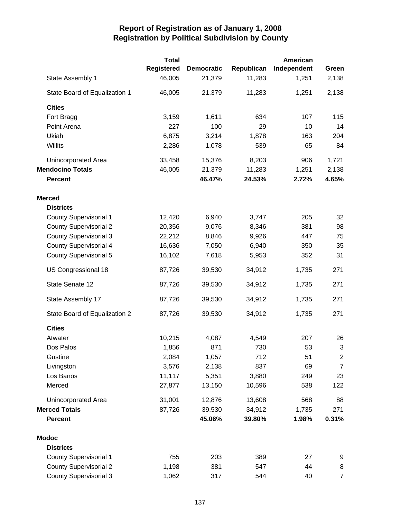| <b>Total</b>                  |                   |                   | American   |             |                |  |
|-------------------------------|-------------------|-------------------|------------|-------------|----------------|--|
|                               | <b>Registered</b> | <b>Democratic</b> | Republican | Independent | Green          |  |
| State Assembly 1              | 46,005            | 21,379            | 11,283     | 1,251       | 2,138          |  |
| State Board of Equalization 1 | 46,005            | 21,379            | 11,283     | 1,251       | 2,138          |  |
| <b>Cities</b>                 |                   |                   |            |             |                |  |
| Fort Bragg                    | 3,159             | 1,611             | 634        | 107         | 115            |  |
| Point Arena                   | 227               | 100               | 29         | 10          | 14             |  |
| Ukiah                         | 6,875             | 3,214             | 1,878      | 163         | 204            |  |
| Willits                       | 2,286             | 1,078             | 539        | 65          | 84             |  |
| Unincorporated Area           | 33,458            | 15,376            | 8,203      | 906         | 1,721          |  |
| <b>Mendocino Totals</b>       | 46,005            | 21,379            | 11,283     | 1,251       | 2,138          |  |
| <b>Percent</b>                |                   | 46.47%            | 24.53%     | 2.72%       | 4.65%          |  |
| <b>Merced</b>                 |                   |                   |            |             |                |  |
| <b>Districts</b>              |                   |                   |            |             |                |  |
| <b>County Supervisorial 1</b> | 12,420            | 6,940             | 3,747      | 205         | 32             |  |
| <b>County Supervisorial 2</b> | 20,356            | 9,076             | 8,346      | 381         | 98             |  |
| <b>County Supervisorial 3</b> | 22,212            | 8,846             | 9,926      | 447         | 75             |  |
| <b>County Supervisorial 4</b> | 16,636            | 7,050             | 6,940      | 350         | 35             |  |
| <b>County Supervisorial 5</b> | 16,102            | 7,618             | 5,953      | 352         | 31             |  |
| US Congressional 18           | 87,726            | 39,530            | 34,912     | 1,735       | 271            |  |
| State Senate 12               | 87,726            | 39,530            | 34,912     | 1,735       | 271            |  |
| State Assembly 17             | 87,726            | 39,530            | 34,912     | 1,735       | 271            |  |
| State Board of Equalization 2 | 87,726            | 39,530            | 34,912     | 1,735       | 271            |  |
| <b>Cities</b>                 |                   |                   |            |             |                |  |
| Atwater                       | 10,215            | 4,087             | 4,549      | 207         | 26             |  |
| Dos Palos                     | 1,856             | 871               | 730        | 53          | 3              |  |
| Gustine                       | 2,084             | 1,057             | 712        | 51          | $\overline{c}$ |  |
| Livingston                    | 3,576             | 2,138             | 837        | 69          | $\overline{7}$ |  |
| Los Banos                     | 11,117            | 5,351             | 3,880      | 249         | 23             |  |
| Merced                        | 27,877            | 13,150            | 10,596     | 538         | 122            |  |
| Unincorporated Area           | 31,001            | 12,876            | 13,608     | 568         | 88             |  |
| <b>Merced Totals</b>          | 87,726            | 39,530            | 34,912     | 1,735       | 271            |  |
| <b>Percent</b>                |                   | 45.06%            | 39.80%     | 1.98%       | 0.31%          |  |
| <b>Modoc</b>                  |                   |                   |            |             |                |  |
| <b>Districts</b>              |                   |                   |            |             |                |  |
| <b>County Supervisorial 1</b> | 755               | 203               | 389        | 27          | 9              |  |
| <b>County Supervisorial 2</b> | 1,198             | 381               | 547        | 44          | 8              |  |
| <b>County Supervisorial 3</b> | 1,062             | 317               | 544        | 40          | $\overline{7}$ |  |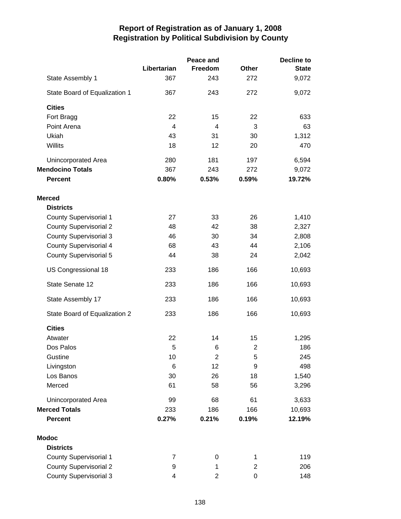|                               |                | Peace and      | <b>Decline to</b> |              |  |
|-------------------------------|----------------|----------------|-------------------|--------------|--|
|                               | Libertarian    | Freedom        | Other             | <b>State</b> |  |
| State Assembly 1              | 367            | 243            | 272               | 9,072        |  |
| State Board of Equalization 1 | 367            | 243            | 272               | 9,072        |  |
| <b>Cities</b>                 |                |                |                   |              |  |
| Fort Bragg                    | 22             | 15             | 22                | 633          |  |
| Point Arena                   | $\overline{4}$ | $\overline{4}$ | 3                 | 63           |  |
| Ukiah                         | 43             | 31             | 30                | 1,312        |  |
| Willits                       | 18             | 12             | 20                | 470          |  |
| Unincorporated Area           | 280            | 181            | 197               | 6,594        |  |
| <b>Mendocino Totals</b>       | 367            | 243            | 272               | 9,072        |  |
| <b>Percent</b>                | 0.80%          | 0.53%          | 0.59%             | 19.72%       |  |
| <b>Merced</b>                 |                |                |                   |              |  |
| <b>Districts</b>              |                |                |                   |              |  |
| <b>County Supervisorial 1</b> | 27             | 33             | 26                | 1,410        |  |
| <b>County Supervisorial 2</b> | 48             | 42             | 38                | 2,327        |  |
| <b>County Supervisorial 3</b> | 46             | 30             | 34                | 2,808        |  |
| <b>County Supervisorial 4</b> | 68             | 43             | 44                | 2,106        |  |
| <b>County Supervisorial 5</b> | 44             | 38             | 24                | 2,042        |  |
| US Congressional 18           | 233            | 186            | 166               | 10,693       |  |
| State Senate 12               | 233            | 186            | 166               | 10,693       |  |
| State Assembly 17             | 233            | 186            | 166               | 10,693       |  |
| State Board of Equalization 2 | 233            | 186            | 166               | 10,693       |  |
| <b>Cities</b>                 |                |                |                   |              |  |
| Atwater                       | 22             | 14             | 15                | 1,295        |  |
| Dos Palos                     | 5              | 6              | 2                 | 186          |  |
| Gustine                       | 10             | $\overline{2}$ | 5                 | 245          |  |
| Livingston                    | 6              | 12             | 9                 | 498          |  |
| Los Banos                     | 30             | 26             | 18                | 1,540        |  |
| Merced                        | 61             | 58             | 56                | 3,296        |  |
| <b>Unincorporated Area</b>    | 99             | 68             | 61                | 3,633        |  |
| <b>Merced Totals</b>          | 233            | 186            | 166               | 10,693       |  |
| <b>Percent</b>                | 0.27%          | 0.21%          | 0.19%             | 12.19%       |  |
| <b>Modoc</b>                  |                |                |                   |              |  |
| <b>Districts</b>              |                |                |                   |              |  |
| <b>County Supervisorial 1</b> | 7              | 0              | 1                 | 119          |  |
| <b>County Supervisorial 2</b> | 9              | 1              | $\overline{2}$    | 206          |  |
| <b>County Supervisorial 3</b> | 4              | 2              | 0                 | 148          |  |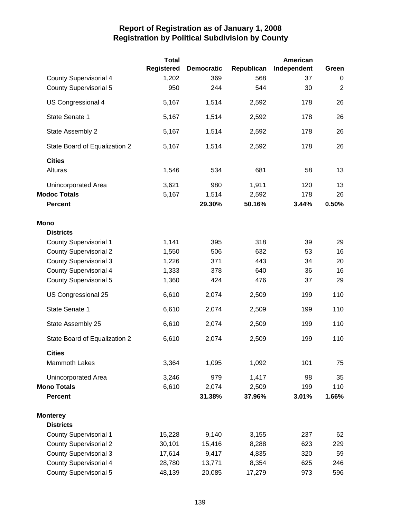|                               | <b>Total</b>      |                   |            | American    |             |
|-------------------------------|-------------------|-------------------|------------|-------------|-------------|
|                               | <b>Registered</b> | <b>Democratic</b> | Republican | Independent | Green       |
| <b>County Supervisorial 4</b> | 1,202             | 369               | 568        | 37          | 0           |
| <b>County Supervisorial 5</b> | 950               | 244               | 544        | 30          | $\mathbf 2$ |
| US Congressional 4            | 5,167             | 1,514             | 2,592      | 178         | 26          |
| State Senate 1                | 5,167             | 1,514             | 2,592      | 178         | 26          |
| State Assembly 2              | 5,167             | 1,514             | 2,592      | 178         | 26          |
| State Board of Equalization 2 | 5,167             | 1,514             | 2,592      | 178         | 26          |
| <b>Cities</b>                 |                   |                   |            |             |             |
| Alturas                       | 1,546             | 534               | 681        | 58          | 13          |
| Unincorporated Area           | 3,621             | 980               | 1,911      | 120         | 13          |
| <b>Modoc Totals</b>           | 5,167             | 1,514             | 2,592      | 178         | 26          |
| <b>Percent</b>                |                   | 29.30%            | 50.16%     | 3.44%       | 0.50%       |
| <b>Mono</b>                   |                   |                   |            |             |             |
| <b>Districts</b>              |                   |                   |            |             |             |
| <b>County Supervisorial 1</b> | 1,141             | 395               | 318        | 39          | 29          |
| <b>County Supervisorial 2</b> | 1,550             | 506               | 632        | 53          | 16          |
| <b>County Supervisorial 3</b> | 1,226             | 371               | 443        | 34          | 20          |
| <b>County Supervisorial 4</b> | 1,333             | 378               | 640        | 36          | 16          |
| <b>County Supervisorial 5</b> | 1,360             | 424               | 476        | 37          | 29          |
| US Congressional 25           | 6,610             | 2,074             | 2,509      | 199         | 110         |
| State Senate 1                | 6,610             | 2,074             | 2,509      | 199         | 110         |
| State Assembly 25             | 6,610             | 2,074             | 2,509      | 199         | 110         |
| State Board of Equalization 2 | 6,610             | 2,074             | 2,509      | 199         | 110         |
| <b>Cities</b>                 |                   |                   |            |             |             |
| <b>Mammoth Lakes</b>          | 3,364             | 1,095             | 1,092      | 101         | 75          |
| Unincorporated Area           | 3,246             | 979               | 1,417      | 98          | 35          |
| <b>Mono Totals</b>            | 6,610             | 2,074             | 2,509      | 199         | 110         |
| <b>Percent</b>                |                   | 31.38%            | 37.96%     | 3.01%       | 1.66%       |
| <b>Monterey</b>               |                   |                   |            |             |             |
| <b>Districts</b>              |                   |                   |            |             |             |
| <b>County Supervisorial 1</b> | 15,228            | 9,140             | 3,155      | 237         | 62          |
| <b>County Supervisorial 2</b> | 30,101            | 15,416            | 8,288      | 623         | 229         |
| <b>County Supervisorial 3</b> | 17,614            | 9,417             | 4,835      | 320         | 59          |
| <b>County Supervisorial 4</b> | 28,780            | 13,771            | 8,354      | 625         | 246         |
| <b>County Supervisorial 5</b> | 48,139            | 20,085            | 17,279     | 973         | 596         |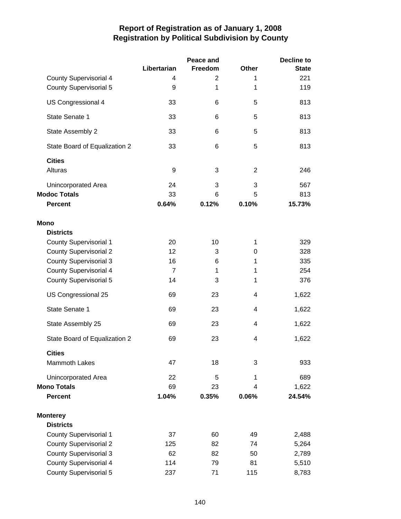|                               |                | Peace and |                | Decline to   |
|-------------------------------|----------------|-----------|----------------|--------------|
|                               | Libertarian    | Freedom   | Other          | <b>State</b> |
| <b>County Supervisorial 4</b> | 4              | 2         | 1              | 221          |
| <b>County Supervisorial 5</b> | 9              | 1         | 1              | 119          |
| US Congressional 4            | 33             | 6         | 5              | 813          |
| State Senate 1                | 33             | 6         | 5              | 813          |
| State Assembly 2              | 33             | 6         | 5              | 813          |
| State Board of Equalization 2 | 33             | 6         | 5              | 813          |
| <b>Cities</b>                 |                |           |                |              |
| Alturas                       | 9              | 3         | $\overline{2}$ | 246          |
| Unincorporated Area           | 24             | 3         | 3              | 567          |
| <b>Modoc Totals</b>           | 33             | 6         | 5              | 813          |
| <b>Percent</b>                | 0.64%          | 0.12%     | 0.10%          | 15.73%       |
| Mono                          |                |           |                |              |
| <b>Districts</b>              |                |           |                |              |
| <b>County Supervisorial 1</b> | 20             | 10        | 1              | 329          |
| <b>County Supervisorial 2</b> | 12             | 3         | 0              | 328          |
| <b>County Supervisorial 3</b> | 16             | 6         | 1              | 335          |
| <b>County Supervisorial 4</b> | $\overline{7}$ | 1         | 1              | 254          |
| <b>County Supervisorial 5</b> | 14             | 3         | 1              | 376          |
| US Congressional 25           | 69             | 23        | 4              | 1,622        |
| State Senate 1                | 69             | 23        | 4              | 1,622        |
| State Assembly 25             | 69             | 23        | 4              | 1,622        |
| State Board of Equalization 2 | 69             | 23        | 4              | 1,622        |
| <b>Cities</b>                 |                |           |                |              |
| <b>Mammoth Lakes</b>          | 47             | 18        | 3              | 933          |
| Unincorporated Area           | 22             | 5         | 1              | 689          |
| <b>Mono Totals</b>            | 69             | 23        | 4              | 1,622        |
| <b>Percent</b>                | 1.04%          | 0.35%     | 0.06%          | 24.54%       |
| <b>Monterey</b>               |                |           |                |              |
| <b>Districts</b>              |                |           |                |              |
| <b>County Supervisorial 1</b> | 37             | 60        | 49             | 2,488        |
| <b>County Supervisorial 2</b> | 125            | 82        | 74             | 5,264        |
| <b>County Supervisorial 3</b> | 62             | 82        | 50             | 2,789        |
| <b>County Supervisorial 4</b> | 114            | 79        | 81             | 5,510        |
| <b>County Supervisorial 5</b> | 237            | 71        | 115            | 8,783        |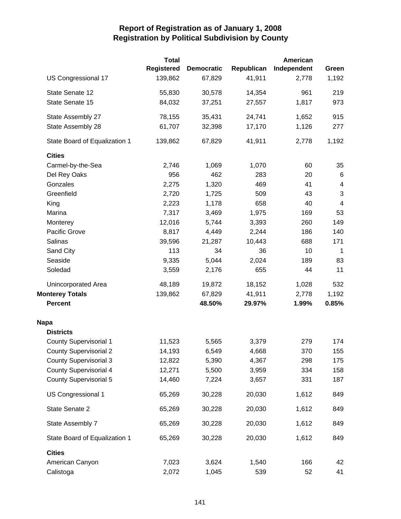|                               | <b>Total</b>      |                   |            | American    |                |
|-------------------------------|-------------------|-------------------|------------|-------------|----------------|
|                               | <b>Registered</b> | <b>Democratic</b> | Republican | Independent | Green          |
| US Congressional 17           | 139,862           | 67,829            | 41,911     | 2,778       | 1,192          |
| State Senate 12               | 55,830            | 30,578            | 14,354     | 961         | 219            |
| State Senate 15               | 84,032            | 37,251            | 27,557     | 1,817       | 973            |
| State Assembly 27             | 78,155            | 35,431            | 24,741     | 1,652       | 915            |
| State Assembly 28             | 61,707            | 32,398            | 17,170     | 1,126       | 277            |
| State Board of Equalization 1 | 139,862           | 67,829            | 41,911     | 2,778       | 1,192          |
| <b>Cities</b>                 |                   |                   |            |             |                |
| Carmel-by-the-Sea             | 2,746             | 1,069             | 1,070      | 60          | 35             |
| Del Rey Oaks                  | 956               | 462               | 283        | 20          | 6              |
| Gonzales                      | 2,275             | 1,320             | 469        | 41          | 4              |
| Greenfield                    | 2,720             | 1,725             | 509        | 43          | 3              |
| King                          | 2,223             | 1,178             | 658        | 40          | $\overline{4}$ |
| Marina                        | 7,317             | 3,469             | 1,975      | 169         | 53             |
| Monterey                      | 12,016            | 5,744             | 3,393      | 260         | 149            |
| Pacific Grove                 | 8,817             | 4,449             | 2,244      | 186         | 140            |
| Salinas                       | 39,596            | 21,287            | 10,443     | 688         | 171            |
| Sand City                     | 113               | 34                | 36         | 10          | $\mathbf 1$    |
| Seaside                       | 9,335             | 5,044             | 2,024      | 189         | 83             |
| Soledad                       | 3,559             | 2,176             | 655        | 44          | 11             |
| Unincorporated Area           | 48,189            | 19,872            | 18,152     | 1,028       | 532            |
| <b>Monterey Totals</b>        | 139,862           | 67,829            | 41,911     | 2,778       | 1,192          |
| <b>Percent</b>                |                   | 48.50%            | 29.97%     | 1.99%       | 0.85%          |
| <b>Napa</b>                   |                   |                   |            |             |                |
| <b>Districts</b>              |                   |                   |            |             |                |
| <b>County Supervisorial 1</b> | 11,523            | 5,565             | 3,379      | 279         | 174            |
| <b>County Supervisorial 2</b> | 14,193            | 6,549             | 4,668      | 370         | 155            |
| <b>County Supervisorial 3</b> | 12,822            | 5,390             | 4,367      | 298         | 175            |
| <b>County Supervisorial 4</b> | 12,271            | 5,500             | 3,959      | 334         | 158            |
| <b>County Supervisorial 5</b> | 14,460            | 7,224             | 3,657      | 331         | 187            |
| US Congressional 1            | 65,269            | 30,228            | 20,030     | 1,612       | 849            |
| State Senate 2                | 65,269            | 30,228            | 20,030     | 1,612       | 849            |
| State Assembly 7              | 65,269            | 30,228            | 20,030     | 1,612       | 849            |
| State Board of Equalization 1 | 65,269            | 30,228            | 20,030     | 1,612       | 849            |
| <b>Cities</b>                 |                   |                   |            |             |                |
| American Canyon               | 7,023             | 3,624             | 1,540      | 166         | 42             |
| Calistoga                     | 2,072             | 1,045             | 539        | 52          | 41             |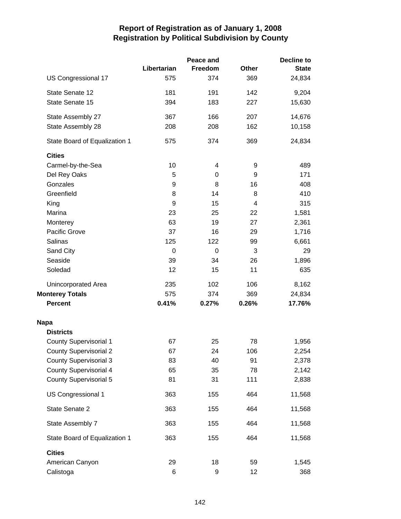|                               |             | Peace and |              | <b>Decline to</b> |
|-------------------------------|-------------|-----------|--------------|-------------------|
|                               | Libertarian | Freedom   | <b>Other</b> | <b>State</b>      |
| US Congressional 17           | 575         | 374       | 369          | 24,834            |
| State Senate 12               | 181         | 191       | 142          | 9,204             |
| State Senate 15               | 394         | 183       | 227          | 15,630            |
| State Assembly 27             | 367         | 166       | 207          | 14,676            |
| State Assembly 28             | 208         | 208       | 162          | 10,158            |
| State Board of Equalization 1 | 575         | 374       | 369          | 24,834            |
| <b>Cities</b>                 |             |           |              |                   |
| Carmel-by-the-Sea             | 10          | 4         | 9            | 489               |
| Del Rey Oaks                  | 5           | 0         | 9            | 171               |
| Gonzales                      | 9           | 8         | 16           | 408               |
| Greenfield                    | 8           | 14        | 8            | 410               |
| King                          | 9           | 15        | 4            | 315               |
| Marina                        | 23          | 25        | 22           | 1,581             |
| Monterey                      | 63          | 19        | 27           | 2,361             |
| Pacific Grove                 | 37          | 16        | 29           | 1,716             |
| Salinas                       | 125         | 122       | 99           | 6,661             |
| Sand City                     | 0           | 0         | 3            | 29                |
| Seaside                       | 39          | 34        | 26           | 1,896             |
| Soledad                       | 12          | 15        | 11           | 635               |
| Unincorporated Area           | 235         | 102       | 106          | 8,162             |
| <b>Monterey Totals</b>        | 575         | 374       | 369          | 24,834            |
| <b>Percent</b>                | 0.41%       | 0.27%     | 0.26%        | 17.76%            |
| <b>Napa</b>                   |             |           |              |                   |
| <b>Districts</b>              |             |           |              |                   |
| <b>County Supervisorial 1</b> | 67          | 25        | 78           | 1,956             |
| <b>County Supervisorial 2</b> | 67          | 24        | 106          | 2,254             |
| <b>County Supervisorial 3</b> | 83          | 40        | 91           | 2,378             |
| <b>County Supervisorial 4</b> | 65          | 35        | 78           | 2,142             |
| <b>County Supervisorial 5</b> | 81          | 31        | 111          | 2,838             |
| US Congressional 1            | 363         | 155       | 464          | 11,568            |
| State Senate 2                | 363         | 155       | 464          | 11,568            |
| State Assembly 7              | 363         | 155       | 464          | 11,568            |
| State Board of Equalization 1 | 363         | 155       | 464          | 11,568            |
| <b>Cities</b>                 |             |           |              |                   |
| American Canyon               | 29          | 18        | 59           | 1,545             |
| Calistoga                     | 6           | 9         | 12           | 368               |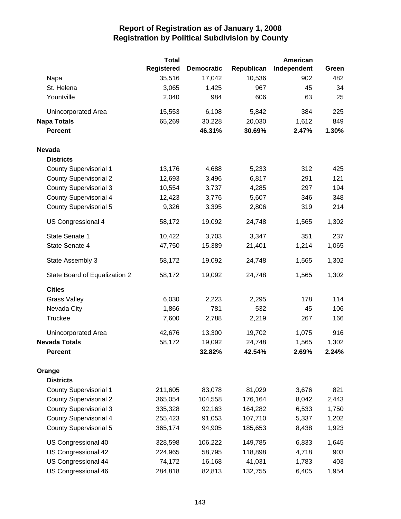|                               | <b>Total</b>      |                   |            | American    |       |
|-------------------------------|-------------------|-------------------|------------|-------------|-------|
|                               | <b>Registered</b> | <b>Democratic</b> | Republican | Independent | Green |
| Napa                          | 35,516            | 17,042            | 10,536     | 902         | 482   |
| St. Helena                    | 3,065             | 1,425             | 967        | 45          | 34    |
| Yountville                    | 2,040             | 984               | 606        | 63          | 25    |
| Unincorporated Area           | 15,553            | 6,108             | 5,842      | 384         | 225   |
| <b>Napa Totals</b>            | 65,269            | 30,228            | 20,030     | 1,612       | 849   |
| <b>Percent</b>                |                   | 46.31%            | 30.69%     | 2.47%       | 1.30% |
| <b>Nevada</b>                 |                   |                   |            |             |       |
| <b>Districts</b>              |                   |                   |            |             |       |
| <b>County Supervisorial 1</b> | 13,176            | 4,688             | 5,233      | 312         | 425   |
| <b>County Supervisorial 2</b> | 12,693            | 3,496             | 6,817      | 291         | 121   |
| <b>County Supervisorial 3</b> | 10,554            | 3,737             | 4,285      | 297         | 194   |
| <b>County Supervisorial 4</b> | 12,423            | 3,776             | 5,607      | 346         | 348   |
| <b>County Supervisorial 5</b> | 9,326             | 3,395             | 2,806      | 319         | 214   |
| US Congressional 4            | 58,172            | 19,092            | 24,748     | 1,565       | 1,302 |
| State Senate 1                | 10,422            | 3,703             | 3,347      | 351         | 237   |
| State Senate 4                | 47,750            | 15,389            | 21,401     | 1,214       | 1,065 |
| State Assembly 3              | 58,172            | 19,092            | 24,748     | 1,565       | 1,302 |
| State Board of Equalization 2 | 58,172            | 19,092            | 24,748     | 1,565       | 1,302 |
| <b>Cities</b>                 |                   |                   |            |             |       |
| <b>Grass Valley</b>           | 6,030             | 2,223             | 2,295      | 178         | 114   |
| Nevada City                   | 1,866             | 781               | 532        | 45          | 106   |
| Truckee                       | 7,600             | 2,788             | 2,219      | 267         | 166   |
| Unincorporated Area           | 42,676            | 13,300            | 19,702     | 1,075       | 916   |
| <b>Nevada Totals</b>          | 58,172            | 19,092            | 24,748     | 1,565       | 1,302 |
| <b>Percent</b>                |                   | 32.82%            | 42.54%     | 2.69%       | 2.24% |
| Orange                        |                   |                   |            |             |       |
| <b>Districts</b>              |                   |                   |            |             |       |
| <b>County Supervisorial 1</b> | 211,605           | 83,078            | 81,029     | 3,676       | 821   |
| <b>County Supervisorial 2</b> | 365,054           | 104,558           | 176,164    | 8,042       | 2,443 |
| <b>County Supervisorial 3</b> | 335,328           | 92,163            | 164,282    | 6,533       | 1,750 |
| <b>County Supervisorial 4</b> | 255,423           | 91,053            | 107,710    | 5,337       | 1,202 |
| <b>County Supervisorial 5</b> | 365,174           | 94,905            | 185,653    | 8,438       | 1,923 |
| US Congressional 40           | 328,598           | 106,222           | 149,785    | 6,833       | 1,645 |
| US Congressional 42           | 224,965           | 58,795            | 118,898    | 4,718       | 903   |
| US Congressional 44           | 74,172            | 16,168            | 41,031     | 1,783       | 403   |
| US Congressional 46           | 284,818           | 82,813            | 132,755    | 6,405       | 1,954 |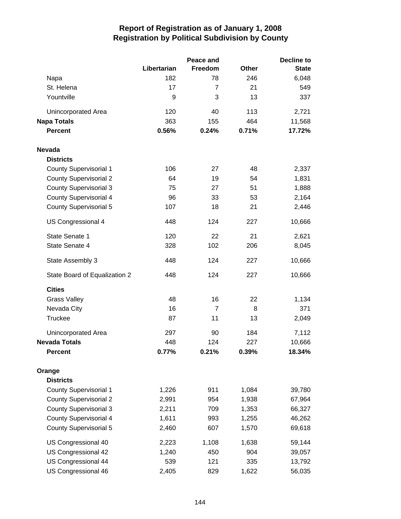|                               |             | Peace and      | <b>Decline to</b> |              |  |
|-------------------------------|-------------|----------------|-------------------|--------------|--|
|                               | Libertarian | Freedom        | <b>Other</b>      | <b>State</b> |  |
| Napa                          | 182         | 78             | 246               | 6,048        |  |
| St. Helena                    | 17          | 7              | 21                | 549          |  |
| Yountville                    | 9           | 3              | 13                | 337          |  |
| Unincorporated Area           | 120         | 40             | 113               | 2,721        |  |
| <b>Napa Totals</b>            | 363         | 155            | 464               | 11,568       |  |
| <b>Percent</b>                | 0.56%       | 0.24%          | 0.71%             | 17.72%       |  |
| <b>Nevada</b>                 |             |                |                   |              |  |
| <b>Districts</b>              |             |                |                   |              |  |
| <b>County Supervisorial 1</b> | 106         | 27             | 48                | 2,337        |  |
| <b>County Supervisorial 2</b> | 64          | 19             | 54                | 1,831        |  |
| <b>County Supervisorial 3</b> | 75          | 27             | 51                | 1,888        |  |
| <b>County Supervisorial 4</b> | 96          | 33             | 53                | 2,164        |  |
| <b>County Supervisorial 5</b> | 107         | 18             | 21                | 2,446        |  |
| US Congressional 4            | 448         | 124            | 227               | 10,666       |  |
| State Senate 1                | 120         | 22             | 21                | 2,621        |  |
| State Senate 4                | 328         | 102            | 206               | 8,045        |  |
| State Assembly 3              | 448         | 124            | 227               | 10,666       |  |
| State Board of Equalization 2 | 448         | 124            | 227               | 10,666       |  |
| <b>Cities</b>                 |             |                |                   |              |  |
| <b>Grass Valley</b>           | 48          | 16             | 22                | 1,134        |  |
| Nevada City                   | 16          | $\overline{7}$ | 8                 | 371          |  |
| <b>Truckee</b>                | 87          | 11             | 13                | 2,049        |  |
| Unincorporated Area           | 297         | 90             | 184               | 7,112        |  |
| <b>Nevada Totals</b>          | 448         | 124            | 227               | 10,666       |  |
| Percent                       | 0.77%       | 0.21%          | 0.39%             | 18.34%       |  |
| Orange                        |             |                |                   |              |  |
| <b>Districts</b>              |             |                |                   |              |  |
| <b>County Supervisorial 1</b> | 1,226       | 911            | 1,084             | 39,780       |  |
| <b>County Supervisorial 2</b> | 2,991       | 954            | 1,938             | 67,964       |  |
| <b>County Supervisorial 3</b> | 2,211       | 709            | 1,353             | 66,327       |  |
| <b>County Supervisorial 4</b> | 1,611       | 993            | 1,255             | 46,262       |  |
| <b>County Supervisorial 5</b> | 2,460       | 607            | 1,570             | 69,618       |  |
| US Congressional 40           | 2,223       | 1,108          | 1,638             | 59,144       |  |
| US Congressional 42           | 1,240       | 450            | 904               | 39,057       |  |
| US Congressional 44           | 539         | 121            | 335               | 13,792       |  |
| US Congressional 46           | 2,405       | 829            | 1,622             | 56,035       |  |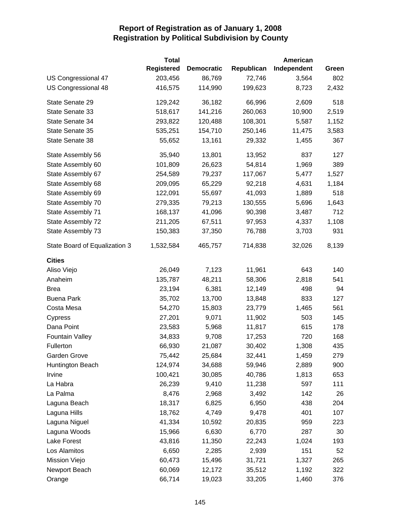|                               | <b>Total</b>      |                   |            | American    |       |
|-------------------------------|-------------------|-------------------|------------|-------------|-------|
|                               | <b>Registered</b> | <b>Democratic</b> | Republican | Independent | Green |
| US Congressional 47           | 203,456           | 86,769            | 72,746     | 3,564       | 802   |
| US Congressional 48           | 416,575           | 114,990           | 199,623    | 8,723       | 2,432 |
| State Senate 29               | 129,242           | 36,182            | 66,996     | 2,609       | 518   |
| State Senate 33               | 518,617           | 141,216           | 260,063    | 10,900      | 2,519 |
| State Senate 34               | 293,822           | 120,488           | 108,301    | 5,587       | 1,152 |
| State Senate 35               | 535,251           | 154,710           | 250,146    | 11,475      | 3,583 |
| State Senate 38               | 55,652            | 13,161            | 29,332     | 1,455       | 367   |
| State Assembly 56             | 35,940            | 13,801            | 13,952     | 837         | 127   |
| State Assembly 60             | 101,809           | 26,623            | 54,814     | 1,969       | 389   |
| State Assembly 67             | 254,589           | 79,237            | 117,067    | 5,477       | 1,527 |
| State Assembly 68             | 209,095           | 65,229            | 92,218     | 4,631       | 1,184 |
| State Assembly 69             | 122,091           | 55,697            | 41,093     | 1,889       | 518   |
| State Assembly 70             | 279,335           | 79,213            | 130,555    | 5,696       | 1,643 |
| State Assembly 71             | 168,137           | 41,096            | 90,398     | 3,487       | 712   |
| State Assembly 72             | 211,205           | 67,511            | 97,953     | 4,337       | 1,108 |
| State Assembly 73             | 150,383           | 37,350            | 76,788     | 3,703       | 931   |
| State Board of Equalization 3 | 1,532,584         | 465,757           | 714,838    | 32,026      | 8,139 |
| <b>Cities</b>                 |                   |                   |            |             |       |
| Aliso Viejo                   | 26,049            | 7,123             | 11,961     | 643         | 140   |
| Anaheim                       | 135,787           | 48,211            | 58,306     | 2,818       | 541   |
| <b>Brea</b>                   | 23,194            | 6,381             | 12,149     | 498         | 94    |
| <b>Buena Park</b>             | 35,702            | 13,700            | 13,848     | 833         | 127   |
| Costa Mesa                    | 54,270            | 15,803            | 23,779     | 1,465       | 561   |
| Cypress                       | 27,201            | 9,071             | 11,902     | 503         | 145   |
| Dana Point                    | 23,583            | 5,968             | 11,817     | 615         | 178   |
| <b>Fountain Valley</b>        | 34,833            | 9,708             | 17,253     | 720         | 168   |
| Fullerton                     | 66,930            | 21,087            | 30,402     | 1,308       | 435   |
| Garden Grove                  | 75,442            | 25,684            | 32,441     | 1,459       | 279   |
| Huntington Beach              | 124,974           | 34,688            | 59,946     | 2,889       | 900   |
| Irvine                        | 100,421           | 30,085            | 40,786     | 1,813       | 653   |
| La Habra                      | 26,239            | 9,410             | 11,238     | 597         | 111   |
| La Palma                      | 8,476             | 2,968             | 3,492      | 142         | 26    |
| Laguna Beach                  | 18,317            | 6,825             | 6,950      | 438         | 204   |
| Laguna Hills                  | 18,762            | 4,749             | 9,478      | 401         | 107   |
| Laguna Niguel                 | 41,334            | 10,592            | 20,835     | 959         | 223   |
| Laguna Woods                  | 15,966            | 6,630             | 6,770      | 287         | 30    |
| Lake Forest                   | 43,816            | 11,350            | 22,243     | 1,024       | 193   |
| Los Alamitos                  | 6,650             | 2,285             | 2,939      | 151         | 52    |
| Mission Viejo                 | 60,473            | 15,496            | 31,721     | 1,327       | 265   |
| Newport Beach                 | 60,069            | 12,172            | 35,512     | 1,192       | 322   |
| Orange                        | 66,714            | 19,023            | 33,205     | 1,460       | 376   |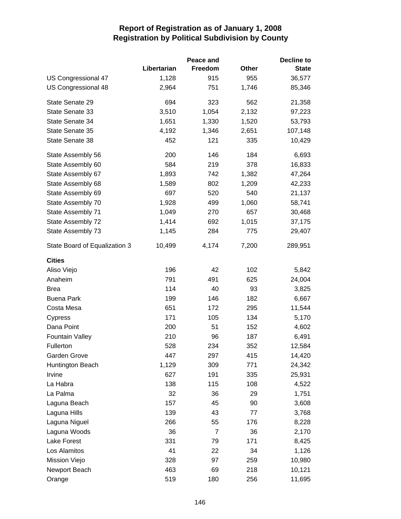|                               |             | Peace and      |              | Decline to   |
|-------------------------------|-------------|----------------|--------------|--------------|
|                               | Libertarian | Freedom        | <b>Other</b> | <b>State</b> |
| US Congressional 47           | 1,128       | 915            | 955          | 36,577       |
| US Congressional 48           | 2,964       | 751            | 1,746        | 85,346       |
| State Senate 29               | 694         | 323            | 562          | 21,358       |
| State Senate 33               | 3,510       | 1,054          | 2,132        | 97,223       |
| State Senate 34               | 1,651       | 1,330          | 1,520        | 53,793       |
| State Senate 35               | 4,192       | 1,346          | 2,651        | 107,148      |
| State Senate 38               | 452         | 121            | 335          | 10,429       |
| State Assembly 56             | 200         | 146            | 184          | 6,693        |
| State Assembly 60             | 584         | 219            | 378          | 16,833       |
| State Assembly 67             | 1,893       | 742            | 1,382        | 47,264       |
| State Assembly 68             | 1,589       | 802            | 1,209        | 42,233       |
| State Assembly 69             | 697         | 520            | 540          | 21,137       |
| State Assembly 70             | 1,928       | 499            | 1,060        | 58,741       |
| State Assembly 71             | 1,049       | 270            | 657          | 30,468       |
| State Assembly 72             | 1,414       | 692            | 1,015        | 37,175       |
| State Assembly 73             | 1,145       | 284            | 775          | 29,407       |
| State Board of Equalization 3 | 10,499      | 4,174          | 7,200        | 289,951      |
| <b>Cities</b>                 |             |                |              |              |
| Aliso Viejo                   | 196         | 42             | 102          | 5,842        |
| Anaheim                       | 791         | 491            | 625          | 24,004       |
| <b>Brea</b>                   | 114         | 40             | 93           | 3,825        |
| <b>Buena Park</b>             | 199         | 146            | 182          | 6,667        |
| Costa Mesa                    | 651         | 172            | 295          | 11,544       |
| Cypress                       | 171         | 105            | 134          | 5,170        |
| Dana Point                    | 200         | 51             | 152          | 4,602        |
| <b>Fountain Valley</b>        | 210         | 96             | 187          | 6,491        |
| Fullerton                     | 528         | 234            | 352          | 12,584       |
| Garden Grove                  | 447         | 297            | 415          | 14,420       |
| Huntington Beach              | 1,129       | 309            | 771          | 24,342       |
| Irvine                        | 627         | 191            | 335          | 25,931       |
| La Habra                      | 138         | 115            | 108          | 4,522        |
| La Palma                      | 32          | 36             | 29           | 1,751        |
| Laguna Beach                  | 157         | 45             | 90           | 3,608        |
| Laguna Hills                  | 139         | 43             | 77           | 3,768        |
| Laguna Niguel                 | 266         | 55             | 176          | 8,228        |
| Laguna Woods                  | 36          | $\overline{7}$ | 36           | 2,170        |
| Lake Forest                   | 331         | 79             | 171          | 8,425        |
| Los Alamitos                  | 41          | 22             | 34           | 1,126        |
| Mission Viejo                 | 328         | 97             | 259          | 10,980       |
| Newport Beach                 | 463         | 69             | 218          | 10,121       |
| Orange                        | 519         | 180            | 256          | 11,695       |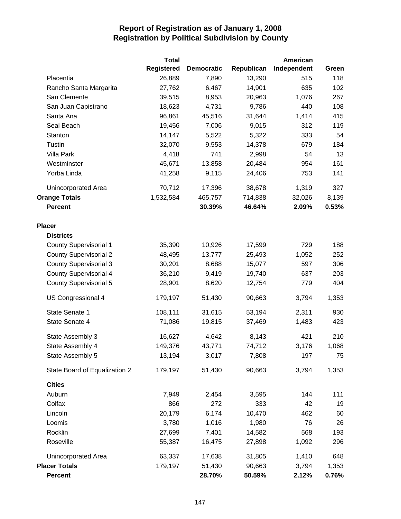|                               | <b>Total</b>      |                   |            | American    |       |
|-------------------------------|-------------------|-------------------|------------|-------------|-------|
|                               | <b>Registered</b> | <b>Democratic</b> | Republican | Independent | Green |
| Placentia                     | 26,889            | 7,890             | 13,290     | 515         | 118   |
| Rancho Santa Margarita        | 27,762            | 6,467             | 14,901     | 635         | 102   |
| San Clemente                  | 39,515            | 8,953             | 20,963     | 1,076       | 267   |
| San Juan Capistrano           | 18,623            | 4,731             | 9,786      | 440         | 108   |
| Santa Ana                     | 96,861            | 45,516            | 31,644     | 1,414       | 415   |
| Seal Beach                    | 19,456            | 7,006             | 9,015      | 312         | 119   |
| Stanton                       | 14,147            | 5,522             | 5,322      | 333         | 54    |
| Tustin                        | 32,070            | 9,553             | 14,378     | 679         | 184   |
| <b>Villa Park</b>             | 4,418             | 741               | 2,998      | 54          | 13    |
| Westminster                   | 45,671            | 13,858            | 20,484     | 954         | 161   |
| Yorba Linda                   | 41,258            | 9,115             | 24,406     | 753         | 141   |
| Unincorporated Area           | 70,712            | 17,396            | 38,678     | 1,319       | 327   |
| <b>Orange Totals</b>          | 1,532,584         | 465,757           | 714,838    | 32,026      | 8,139 |
| <b>Percent</b>                |                   | 30.39%            | 46.64%     | 2.09%       | 0.53% |
| <b>Placer</b>                 |                   |                   |            |             |       |
| <b>Districts</b>              |                   |                   |            |             |       |
| <b>County Supervisorial 1</b> | 35,390            | 10,926            | 17,599     | 729         | 188   |
| <b>County Supervisorial 2</b> | 48,495            | 13,777            | 25,493     | 1,052       | 252   |
| <b>County Supervisorial 3</b> | 30,201            | 8,688             | 15,077     | 597         | 306   |
| <b>County Supervisorial 4</b> | 36,210            | 9,419             | 19,740     | 637         | 203   |
| <b>County Supervisorial 5</b> | 28,901            | 8,620             | 12,754     | 779         | 404   |
| US Congressional 4            | 179,197           | 51,430            | 90,663     | 3,794       | 1,353 |
| State Senate 1                | 108,111           | 31,615            | 53,194     | 2,311       | 930   |
| State Senate 4                | 71,086            | 19,815            | 37,469     | 1,483       | 423   |
| State Assembly 3              | 16,627            | 4,642             | 8,143      | 421         | 210   |
| State Assembly 4              | 149,376           | 43,771            | 74,712     | 3,176       | 1,068 |
| State Assembly 5              | 13,194            | 3,017             | 7,808      | 197         | 75    |
| State Board of Equalization 2 | 179,197           | 51,430            | 90,663     | 3,794       | 1,353 |
| <b>Cities</b>                 |                   |                   |            |             |       |
| Auburn                        | 7,949             | 2,454             | 3,595      | 144         | 111   |
| Colfax                        | 866               | 272               | 333        | 42          | 19    |
| Lincoln                       | 20,179            | 6,174             | 10,470     | 462         | 60    |
| Loomis                        | 3,780             | 1,016             | 1,980      | 76          | 26    |
| Rocklin                       | 27,699            | 7,401             | 14,582     | 568         | 193   |
| Roseville                     | 55,387            | 16,475            | 27,898     | 1,092       | 296   |
| Unincorporated Area           | 63,337            | 17,638            | 31,805     | 1,410       | 648   |
| <b>Placer Totals</b>          | 179,197           | 51,430            | 90,663     | 3,794       | 1,353 |
| <b>Percent</b>                |                   | 28.70%            | 50.59%     | 2.12%       | 0.76% |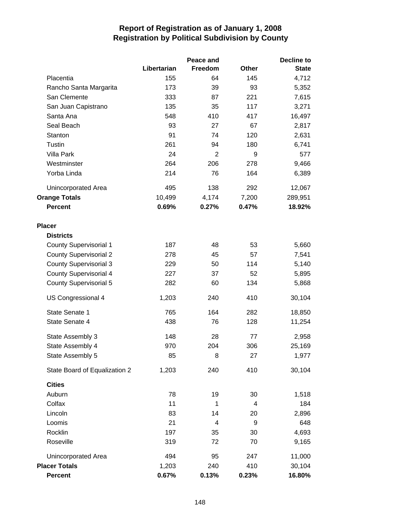|                               |             | Peace and      |              | Decline to   |
|-------------------------------|-------------|----------------|--------------|--------------|
|                               | Libertarian | Freedom        | <b>Other</b> | <b>State</b> |
| Placentia                     | 155         | 64             | 145          | 4,712        |
| Rancho Santa Margarita        | 173         | 39             | 93           | 5,352        |
| San Clemente                  | 333         | 87             | 221          | 7,615        |
| San Juan Capistrano           | 135         | 35             | 117          | 3,271        |
| Santa Ana                     | 548         | 410            | 417          | 16,497       |
| Seal Beach                    | 93          | 27             | 67           | 2,817        |
| Stanton                       | 91          | 74             | 120          | 2,631        |
| Tustin                        | 261         | 94             | 180          | 6,741        |
| <b>Villa Park</b>             | 24          | $\overline{2}$ | 9            | 577          |
| Westminster                   | 264         | 206            | 278          | 9,466        |
| Yorba Linda                   | 214         | 76             | 164          | 6,389        |
| Unincorporated Area           | 495         | 138            | 292          | 12,067       |
| <b>Orange Totals</b>          | 10,499      | 4,174          | 7,200        | 289,951      |
| <b>Percent</b>                | 0.69%       | 0.27%          | 0.47%        | 18.92%       |
| <b>Placer</b>                 |             |                |              |              |
| <b>Districts</b>              |             |                |              |              |
| <b>County Supervisorial 1</b> | 187         | 48             | 53           | 5,660        |
| <b>County Supervisorial 2</b> | 278         | 45             | 57           | 7,541        |
| <b>County Supervisorial 3</b> | 229         | 50             | 114          | 5,140        |
| <b>County Supervisorial 4</b> | 227         | 37             | 52           | 5,895        |
| <b>County Supervisorial 5</b> | 282         | 60             | 134          | 5,868        |
| US Congressional 4            | 1,203       | 240            | 410          | 30,104       |
| State Senate 1                | 765         | 164            | 282          | 18,850       |
| State Senate 4                | 438         | 76             | 128          | 11,254       |
| State Assembly 3              | 148         | 28             | 77           | 2,958        |
| State Assembly 4              | 970         | 204            | 306          | 25,169       |
| State Assembly 5              | 85          | 8              | 27           | 1,977        |
| State Board of Equalization 2 | 1,203       | 240            | 410          | 30,104       |
| <b>Cities</b>                 |             |                |              |              |
| Auburn                        | 78          | 19             | 30           | 1,518        |
| Colfax                        | 11          | 1              | 4            | 184          |
| Lincoln                       | 83          | 14             | 20           | 2,896        |
| Loomis                        | 21          | 4              | 9            | 648          |
| Rocklin                       | 197         | 35             | 30           | 4,693        |
| Roseville                     | 319         | 72             | 70           | 9,165        |
| Unincorporated Area           | 494         | 95             | 247          | 11,000       |
| <b>Placer Totals</b>          | 1,203       | 240            | 410          | 30,104       |
| <b>Percent</b>                | 0.67%       | 0.13%          | 0.23%        | 16.80%       |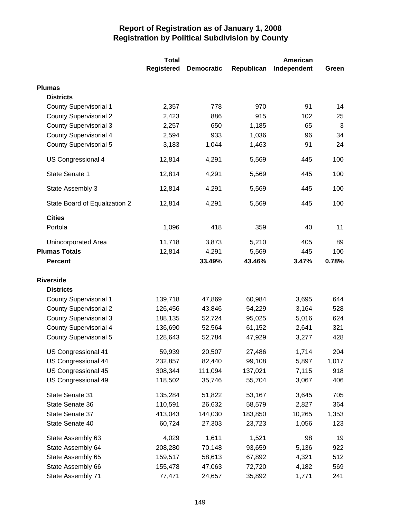|                               | <b>Total</b>      |                   |            | American    |       |
|-------------------------------|-------------------|-------------------|------------|-------------|-------|
|                               | <b>Registered</b> | <b>Democratic</b> | Republican | Independent | Green |
| <b>Plumas</b>                 |                   |                   |            |             |       |
| <b>Districts</b>              |                   |                   |            |             |       |
| <b>County Supervisorial 1</b> | 2,357             | 778               | 970        | 91          | 14    |
| <b>County Supervisorial 2</b> | 2,423             | 886               | 915        | 102         | 25    |
| <b>County Supervisorial 3</b> | 2,257             | 650               | 1,185      | 65          | 3     |
| <b>County Supervisorial 4</b> | 2,594             | 933               | 1,036      | 96          | 34    |
| <b>County Supervisorial 5</b> | 3,183             | 1,044             | 1,463      | 91          | 24    |
| US Congressional 4            | 12,814            | 4,291             | 5,569      | 445         | 100   |
| State Senate 1                | 12,814            | 4,291             | 5,569      | 445         | 100   |
| State Assembly 3              | 12,814            | 4,291             | 5,569      | 445         | 100   |
| State Board of Equalization 2 | 12,814            | 4,291             | 5,569      | 445         | 100   |
| <b>Cities</b>                 |                   |                   |            |             |       |
| Portola                       | 1,096             | 418               | 359        | 40          | 11    |
| <b>Unincorporated Area</b>    | 11,718            | 3,873             | 5,210      | 405         | 89    |
| <b>Plumas Totals</b>          | 12,814            | 4,291             | 5,569      | 445         | 100   |
| <b>Percent</b>                |                   | 33.49%            | 43.46%     | 3.47%       | 0.78% |
| <b>Riverside</b>              |                   |                   |            |             |       |
| <b>Districts</b>              |                   |                   |            |             |       |
| <b>County Supervisorial 1</b> | 139,718           | 47,869            | 60,984     | 3,695       | 644   |
| <b>County Supervisorial 2</b> | 126,456           | 43,846            | 54,229     | 3,164       | 528   |
| <b>County Supervisorial 3</b> | 188,135           | 52,724            | 95,025     | 5,016       | 624   |
| <b>County Supervisorial 4</b> | 136,690           | 52,564            | 61,152     | 2,641       | 321   |
| <b>County Supervisorial 5</b> | 128,643           | 52,784            | 47,929     | 3,277       | 428   |
| US Congressional 41           | 59,939            | 20,507            | 27,486     | 1,714       | 204   |
| US Congressional 44           | 232,857           | 82,440            | 99,108     | 5,897       | 1,017 |
| US Congressional 45           | 308,344           | 111,094           | 137,021    | 7,115       | 918   |
| US Congressional 49           | 118,502           | 35,746            | 55,704     | 3,067       | 406   |
| State Senate 31               | 135,284           | 51,822            | 53,167     | 3,645       | 705   |
| State Senate 36               | 110,591           | 26,632            | 58,579     | 2,827       | 364   |
| State Senate 37               | 413,043           | 144,030           | 183,850    | 10,265      | 1,353 |
| State Senate 40               | 60,724            | 27,303            | 23,723     | 1,056       | 123   |
| State Assembly 63             | 4,029             | 1,611             | 1,521      | 98          | 19    |
| State Assembly 64             | 208,280           | 70,148            | 93,659     | 5,136       | 922   |
| State Assembly 65             | 159,517           | 58,613            | 67,892     | 4,321       | 512   |
| State Assembly 66             | 155,478           | 47,063            | 72,720     | 4,182       | 569   |
| State Assembly 71             | 77,471            | 24,657            | 35,892     | 1,771       | 241   |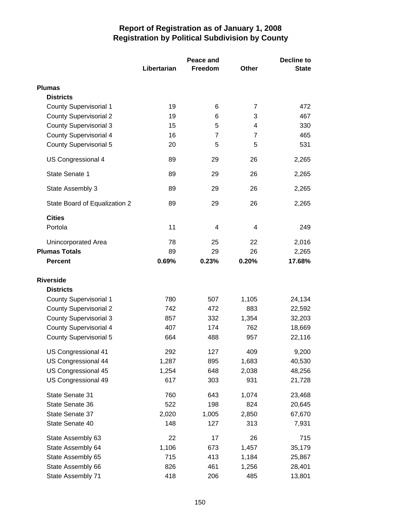|                               |             | Peace and      |                | <b>Decline to</b> |  |
|-------------------------------|-------------|----------------|----------------|-------------------|--|
|                               | Libertarian | Freedom        | <b>Other</b>   | <b>State</b>      |  |
| <b>Plumas</b>                 |             |                |                |                   |  |
| <b>Districts</b>              |             |                |                |                   |  |
| <b>County Supervisorial 1</b> | 19          | 6              | 7              | 472               |  |
| <b>County Supervisorial 2</b> | 19          | 6              | 3              | 467               |  |
| <b>County Supervisorial 3</b> | 15          | 5              | 4              | 330               |  |
| <b>County Supervisorial 4</b> | 16          | $\overline{7}$ | $\overline{7}$ | 465               |  |
| <b>County Supervisorial 5</b> | 20          | 5              | 5              | 531               |  |
| US Congressional 4            | 89          | 29             | 26             | 2,265             |  |
| State Senate 1                | 89          | 29             | 26             | 2,265             |  |
| State Assembly 3              | 89          | 29             | 26             | 2,265             |  |
| State Board of Equalization 2 | 89          | 29             | 26             | 2,265             |  |
| <b>Cities</b>                 |             |                |                |                   |  |
| Portola                       | 11          | 4              | 4              | 249               |  |
| Unincorporated Area           | 78          | 25             | 22             | 2,016             |  |
| <b>Plumas Totals</b>          | 89          | 29             | 26             | 2,265             |  |
| <b>Percent</b>                | 0.69%       | 0.23%          | 0.20%          | 17.68%            |  |
| <b>Riverside</b>              |             |                |                |                   |  |
| <b>Districts</b>              |             |                |                |                   |  |
| <b>County Supervisorial 1</b> | 780         | 507            | 1,105          | 24,134            |  |
| <b>County Supervisorial 2</b> | 742         | 472            | 883            | 22,592            |  |
| <b>County Supervisorial 3</b> | 857         | 332            | 1,354          | 32,203            |  |
| <b>County Supervisorial 4</b> | 407         | 174            | 762            | 18,669            |  |
| <b>County Supervisorial 5</b> | 664         | 488            | 957            | 22,116            |  |
| US Congressional 41           | 292         | 127            | 409            | 9,200             |  |
| <b>US Congressional 44</b>    | 1,287       | 895            | 1,683          | 40,530            |  |
| US Congressional 45           | 1,254       | 648            | 2,038          | 48,256            |  |
| US Congressional 49           | 617         | 303            | 931            | 21,728            |  |
| State Senate 31               | 760         | 643            | 1,074          | 23,468            |  |
| State Senate 36               | 522         | 198            | 824            | 20,645            |  |
| State Senate 37               | 2,020       | 1,005          | 2,850          | 67,670            |  |
| State Senate 40               | 148         | 127            | 313            | 7,931             |  |
| State Assembly 63             | 22          | 17             | 26             | 715               |  |
| State Assembly 64             | 1,106       | 673            | 1,457          | 35,179            |  |
| State Assembly 65             | 715         | 413            | 1,184          | 25,867            |  |
| State Assembly 66             | 826         | 461            | 1,256          | 28,401            |  |
| State Assembly 71             | 418         | 206            | 485            | 13,801            |  |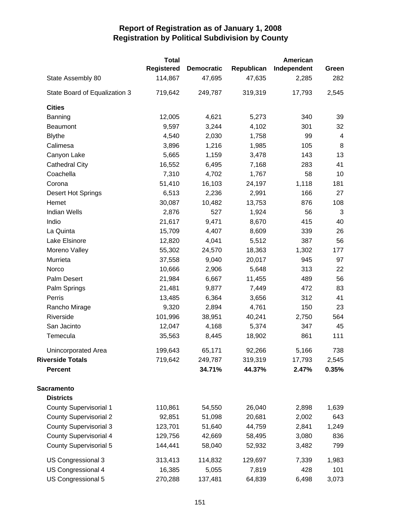|                               | <b>Total</b> |                   |            | American    |                |
|-------------------------------|--------------|-------------------|------------|-------------|----------------|
|                               | Registered   | <b>Democratic</b> | Republican | Independent | Green          |
| State Assembly 80             | 114,867      | 47,695            | 47,635     | 2,285       | 282            |
| State Board of Equalization 3 | 719,642      | 249,787           | 319,319    | 17,793      | 2,545          |
| <b>Cities</b>                 |              |                   |            |             |                |
| Banning                       | 12,005       | 4,621             | 5,273      | 340         | 39             |
| <b>Beaumont</b>               | 9,597        | 3,244             | 4,102      | 301         | 32             |
| <b>Blythe</b>                 | 4,540        | 2,030             | 1,758      | 99          | $\overline{4}$ |
| Calimesa                      | 3,896        | 1,216             | 1,985      | 105         | 8              |
| Canyon Lake                   | 5,665        | 1,159             | 3,478      | 143         | 13             |
| <b>Cathedral City</b>         | 16,552       | 6,495             | 7,168      | 283         | 41             |
| Coachella                     | 7,310        | 4,702             | 1,767      | 58          | 10             |
| Corona                        | 51,410       | 16,103            | 24,197     | 1,118       | 181            |
| <b>Desert Hot Springs</b>     | 6,513        | 2,236             | 2,991      | 166         | 27             |
| Hemet                         | 30,087       | 10,482            | 13,753     | 876         | 108            |
| <b>Indian Wells</b>           | 2,876        | 527               | 1,924      | 56          | 3              |
| Indio                         | 21,617       | 9,471             | 8,670      | 415         | 40             |
| La Quinta                     | 15,709       | 4,407             | 8,609      | 339         | 26             |
| Lake Elsinore                 | 12,820       | 4,041             | 5,512      | 387         | 56             |
| Moreno Valley                 | 55,302       | 24,570            | 18,363     | 1,302       | 177            |
| Murrieta                      | 37,558       | 9,040             | 20,017     | 945         | 97             |
| Norco                         | 10,666       | 2,906             | 5,648      | 313         | 22             |
| Palm Desert                   | 21,984       | 6,667             | 11,455     | 489         | 56             |
| Palm Springs                  | 21,481       | 9,877             | 7,449      | 472         | 83             |
| Perris                        | 13,485       | 6,364             | 3,656      | 312         | 41             |
| Rancho Mirage                 | 9,320        | 2,894             | 4,761      | 150         | 23             |
| Riverside                     | 101,996      | 38,951            | 40,241     | 2,750       | 564            |
| San Jacinto                   | 12,047       | 4,168             | 5,374      | 347         | 45             |
| Temecula                      | 35,563       | 8,445             | 18,902     | 861         | 111            |
| Unincorporated Area           | 199,643      | 65,171            | 92,266     | 5,166       | 738            |
| <b>Riverside Totals</b>       | 719,642      | 249,787           | 319,319    | 17,793      | 2,545          |
| <b>Percent</b>                |              | 34.71%            | 44.37%     | 2.47%       | 0.35%          |
| <b>Sacramento</b>             |              |                   |            |             |                |
| <b>Districts</b>              |              |                   |            |             |                |
| <b>County Supervisorial 1</b> | 110,861      | 54,550            | 26,040     | 2,898       | 1,639          |
| <b>County Supervisorial 2</b> | 92,851       | 51,098            | 20,681     | 2,002       | 643            |
| <b>County Supervisorial 3</b> | 123,701      | 51,640            | 44,759     | 2,841       | 1,249          |
| <b>County Supervisorial 4</b> | 129,756      | 42,669            | 58,495     | 3,080       | 836            |
| <b>County Supervisorial 5</b> | 144,441      | 58,040            | 52,932     | 3,482       | 799            |
| US Congressional 3            | 313,413      | 114,832           | 129,697    | 7,339       | 1,983          |
| US Congressional 4            | 16,385       | 5,055             | 7,819      | 428         | 101            |
| US Congressional 5            | 270,288      | 137,481           | 64,839     | 6,498       | 3,073          |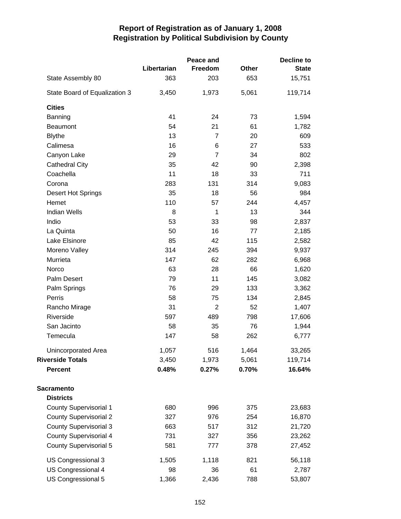|                               |             | Peace and      |       | <b>Decline to</b> |
|-------------------------------|-------------|----------------|-------|-------------------|
|                               | Libertarian | Freedom        | Other | <b>State</b>      |
| State Assembly 80             | 363         | 203            | 653   | 15,751            |
| State Board of Equalization 3 | 3,450       | 1,973          | 5,061 | 119,714           |
| <b>Cities</b>                 |             |                |       |                   |
| Banning                       | 41          | 24             | 73    | 1,594             |
| Beaumont                      | 54          | 21             | 61    | 1,782             |
| <b>Blythe</b>                 | 13          | 7              | 20    | 609               |
| Calimesa                      | 16          | 6              | 27    | 533               |
| Canyon Lake                   | 29          | $\overline{7}$ | 34    | 802               |
| <b>Cathedral City</b>         | 35          | 42             | 90    | 2,398             |
| Coachella                     | 11          | 18             | 33    | 711               |
| Corona                        | 283         | 131            | 314   | 9,083             |
| Desert Hot Springs            | 35          | 18             | 56    | 984               |
| Hemet                         | 110         | 57             | 244   | 4,457             |
| <b>Indian Wells</b>           | 8           | 1              | 13    | 344               |
| Indio                         | 53          | 33             | 98    | 2,837             |
| La Quinta                     | 50          | 16             | 77    | 2,185             |
| Lake Elsinore                 | 85          | 42             | 115   | 2,582             |
| Moreno Valley                 | 314         | 245            | 394   | 9,937             |
| Murrieta                      | 147         | 62             | 282   | 6,968             |
| Norco                         | 63          | 28             | 66    | 1,620             |
| Palm Desert                   | 79          | 11             | 145   | 3,082             |
| Palm Springs                  | 76          | 29             | 133   | 3,362             |
| Perris                        | 58          | 75             | 134   | 2,845             |
| Rancho Mirage                 | 31          | $\overline{2}$ | 52    | 1,407             |
| Riverside                     | 597         | 489            | 798   | 17,606            |
| San Jacinto                   | 58          | 35             | 76    | 1,944             |
| Temecula                      | 147         | 58             | 262   | 6,777             |
| Unincorporated Area           | 1,057       | 516            | 1,464 | 33,265            |
| <b>Riverside Totals</b>       | 3,450       | 1,973          | 5,061 | 119,714           |
| <b>Percent</b>                | 0.48%       | 0.27%          | 0.70% | 16.64%            |
| <b>Sacramento</b>             |             |                |       |                   |
| <b>Districts</b>              |             |                |       |                   |
| <b>County Supervisorial 1</b> | 680         | 996            | 375   | 23,683            |
| <b>County Supervisorial 2</b> | 327         | 976            | 254   | 16,870            |
| <b>County Supervisorial 3</b> | 663         | 517            | 312   | 21,720            |
| County Supervisorial 4        | 731         | 327            | 356   | 23,262            |
| <b>County Supervisorial 5</b> | 581         | 777            | 378   | 27,452            |
| US Congressional 3            | 1,505       | 1,118          | 821   | 56,118            |
| US Congressional 4            | 98          | 36             | 61    | 2,787             |
| US Congressional 5            | 1,366       | 2,436          | 788   | 53,807            |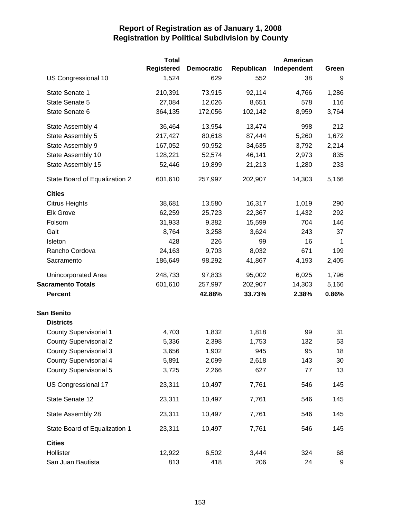|                               | <b>Total</b>      |                   |            | American    |             |
|-------------------------------|-------------------|-------------------|------------|-------------|-------------|
|                               | <b>Registered</b> | <b>Democratic</b> | Republican | Independent | Green       |
| US Congressional 10           | 1,524             | 629               | 552        | 38          | 9           |
| State Senate 1                | 210,391           | 73,915            | 92,114     | 4,766       | 1,286       |
| State Senate 5                | 27,084            | 12,026            | 8,651      | 578         | 116         |
| State Senate 6                | 364,135           | 172,056           | 102,142    | 8,959       | 3,764       |
| State Assembly 4              | 36,464            | 13,954            | 13,474     | 998         | 212         |
| State Assembly 5              | 217,427           | 80,618            | 87,444     | 5,260       | 1,672       |
| State Assembly 9              | 167,052           | 90,952            | 34,635     | 3,792       | 2,214       |
| State Assembly 10             | 128,221           | 52,574            | 46,141     | 2,973       | 835         |
| State Assembly 15             | 52,446            | 19,899            | 21,213     | 1,280       | 233         |
| State Board of Equalization 2 | 601,610           | 257,997           | 202,907    | 14,303      | 5,166       |
| <b>Cities</b>                 |                   |                   |            |             |             |
| <b>Citrus Heights</b>         | 38,681            | 13,580            | 16,317     | 1,019       | 290         |
| <b>Elk Grove</b>              | 62,259            | 25,723            | 22,367     | 1,432       | 292         |
| Folsom                        | 31,933            | 9,382             | 15,599     | 704         | 146         |
| Galt                          | 8,764             | 3,258             | 3,624      | 243         | 37          |
| Isleton                       | 428               | 226               | 99         | 16          | $\mathbf 1$ |
| Rancho Cordova                | 24,163            | 9,703             | 8,032      | 671         | 199         |
| Sacramento                    | 186,649           | 98,292            | 41,867     | 4,193       | 2,405       |
| Unincorporated Area           | 248,733           | 97,833            | 95,002     | 6,025       | 1,796       |
| <b>Sacramento Totals</b>      | 601,610           | 257,997           | 202,907    | 14,303      | 5,166       |
| <b>Percent</b>                |                   | 42.88%            | 33.73%     | 2.38%       | 0.86%       |
| <b>San Benito</b>             |                   |                   |            |             |             |
| <b>Districts</b>              |                   |                   |            |             |             |
| <b>County Supervisorial 1</b> | 4,703             | 1,832             | 1,818      | 99          | 31          |
| <b>County Supervisorial 2</b> | 5,336             | 2,398             | 1,753      | 132         | 53          |
| <b>County Supervisorial 3</b> | 3,656             | 1,902             | 945        | 95          | 18          |
| <b>County Supervisorial 4</b> | 5,891             | 2,099             | 2,618      | 143         | 30          |
| <b>County Supervisorial 5</b> | 3,725             | 2,266             | 627        | 77          | 13          |
| US Congressional 17           | 23,311            | 10,497            | 7,761      | 546         | 145         |
| State Senate 12               | 23,311            | 10,497            | 7,761      | 546         | 145         |
| State Assembly 28             | 23,311            | 10,497            | 7,761      | 546         | 145         |
| State Board of Equalization 1 | 23,311            | 10,497            | 7,761      | 546         | 145         |
| <b>Cities</b>                 |                   |                   |            |             |             |
| Hollister                     | 12,922            | 6,502             | 3,444      | 324         | 68          |
| San Juan Bautista             | 813               | 418               | 206        | 24          | 9           |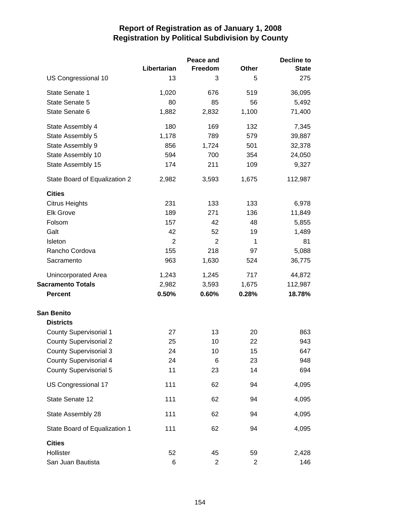|                               |                | Peace and      |                | <b>Decline to</b> |
|-------------------------------|----------------|----------------|----------------|-------------------|
|                               | Libertarian    | Freedom        | Other          | <b>State</b>      |
| US Congressional 10           | 13             | 3              | 5              | 275               |
| State Senate 1                | 1,020          | 676            | 519            | 36,095            |
| State Senate 5                | 80             | 85             | 56             | 5,492             |
| State Senate 6                | 1,882          | 2,832          | 1,100          | 71,400            |
| State Assembly 4              | 180            | 169            | 132            | 7,345             |
| State Assembly 5              | 1,178          | 789            | 579            | 39,887            |
| State Assembly 9              | 856            | 1,724          | 501            | 32,378            |
| State Assembly 10             | 594            | 700            | 354            | 24,050            |
| State Assembly 15             | 174            | 211            | 109            | 9,327             |
| State Board of Equalization 2 | 2,982          | 3,593          | 1,675          | 112,987           |
| <b>Cities</b>                 |                |                |                |                   |
| <b>Citrus Heights</b>         | 231            | 133            | 133            | 6,978             |
| <b>Elk Grove</b>              | 189            | 271            | 136            | 11,849            |
| Folsom                        | 157            | 42             | 48             | 5,855             |
| Galt                          | 42             | 52             | 19             | 1,489             |
| Isleton                       | $\overline{2}$ | $\overline{2}$ | $\mathbf{1}$   | 81                |
| Rancho Cordova                | 155            | 218            | 97             | 5,088             |
| Sacramento                    | 963            | 1,630          | 524            | 36,775            |
| Unincorporated Area           | 1,243          | 1,245          | 717            | 44,872            |
| <b>Sacramento Totals</b>      | 2,982          | 3,593          | 1,675          | 112,987           |
| <b>Percent</b>                | 0.50%          | 0.60%          | 0.28%          | 18.78%            |
| <b>San Benito</b>             |                |                |                |                   |
| <b>Districts</b>              |                |                |                |                   |
| <b>County Supervisorial 1</b> | 27             | 13             | 20             | 863               |
| <b>County Supervisorial 2</b> | 25             | 10             | 22             | 943               |
| <b>County Supervisorial 3</b> | 24             | 10             | 15             | 647               |
| <b>County Supervisorial 4</b> | 24             | 6              | 23             | 948               |
| <b>County Supervisorial 5</b> | 11             | 23             | 14             | 694               |
| US Congressional 17           | 111            | 62             | 94             | 4,095             |
| State Senate 12               | 111            | 62             | 94             | 4,095             |
| State Assembly 28             | 111            | 62             | 94             | 4,095             |
| State Board of Equalization 1 | 111            | 62             | 94             | 4,095             |
| <b>Cities</b>                 |                |                |                |                   |
| Hollister                     | 52             | 45             | 59             | 2,428             |
| San Juan Bautista             | 6              | $\overline{2}$ | $\overline{c}$ | 146               |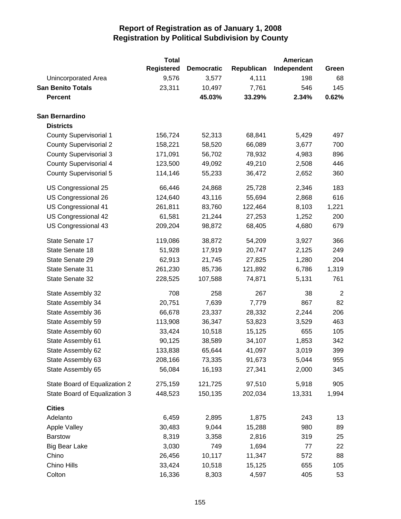|                               | <b>Total</b>      |                   |            | American    |                |
|-------------------------------|-------------------|-------------------|------------|-------------|----------------|
|                               | <b>Registered</b> | <b>Democratic</b> | Republican | Independent | Green          |
| <b>Unincorporated Area</b>    | 9,576             | 3,577             | 4,111      | 198         | 68             |
| <b>San Benito Totals</b>      | 23,311            | 10,497            | 7,761      | 546         | 145            |
| <b>Percent</b>                |                   | 45.03%            | 33.29%     | 2.34%       | 0.62%          |
| San Bernardino                |                   |                   |            |             |                |
| <b>Districts</b>              |                   |                   |            |             |                |
| <b>County Supervisorial 1</b> | 156,724           | 52,313            | 68,841     | 5,429       | 497            |
| <b>County Supervisorial 2</b> | 158,221           | 58,520            | 66,089     | 3,677       | 700            |
| <b>County Supervisorial 3</b> | 171,091           | 56,702            | 78,932     | 4,983       | 896            |
| <b>County Supervisorial 4</b> | 123,500           | 49,092            | 49,210     | 2,508       | 446            |
| <b>County Supervisorial 5</b> | 114,146           | 55,233            | 36,472     | 2,652       | 360            |
| US Congressional 25           | 66,446            | 24,868            | 25,728     | 2,346       | 183            |
| US Congressional 26           | 124,640           | 43,116            | 55,694     | 2,868       | 616            |
| US Congressional 41           | 261,811           | 83,760            | 122,464    | 8,103       | 1,221          |
| US Congressional 42           | 61,581            | 21,244            | 27,253     | 1,252       | 200            |
| US Congressional 43           | 209,204           | 98,872            | 68,405     | 4,680       | 679            |
| State Senate 17               | 119,086           | 38,872            | 54,209     | 3,927       | 366            |
| State Senate 18               | 51,928            | 17,919            | 20,747     | 2,125       | 249            |
| State Senate 29               | 62,913            | 21,745            | 27,825     | 1,280       | 204            |
| State Senate 31               | 261,230           | 85,736            | 121,892    | 6,786       | 1,319          |
| State Senate 32               | 228,525           | 107,588           | 74,871     | 5,131       | 761            |
| State Assembly 32             | 708               | 258               | 267        | 38          | $\overline{2}$ |
| State Assembly 34             | 20,751            | 7,639             | 7,779      | 867         | 82             |
| State Assembly 36             | 66,678            | 23,337            | 28,332     | 2,244       | 206            |
| State Assembly 59             | 113,908           | 36,347            | 53,823     | 3,529       | 463            |
| State Assembly 60             | 33,424            | 10,518            | 15,125     | 655         | 105            |
| State Assembly 61             | 90,125            | 38,589            | 34,107     | 1,853       | 342            |
| State Assembly 62             | 133,838           | 65,644            | 41,097     | 3,019       | 399            |
| State Assembly 63             | 208,166           | 73,335            | 91,673     | 5,044       | 955            |
| State Assembly 65             | 56,084            | 16,193            | 27,341     | 2,000       | 345            |
| State Board of Equalization 2 | 275,159           | 121,725           | 97,510     | 5,918       | 905            |
| State Board of Equalization 3 | 448,523           | 150,135           | 202,034    | 13,331      | 1,994          |
| <b>Cities</b>                 |                   |                   |            |             |                |
| Adelanto                      | 6,459             | 2,895             | 1,875      | 243         | 13             |
| <b>Apple Valley</b>           | 30,483            | 9,044             | 15,288     | 980         | 89             |
| <b>Barstow</b>                | 8,319             | 3,358             | 2,816      | 319         | 25             |
| <b>Big Bear Lake</b>          | 3,030             | 749               | 1,694      | 77          | 22             |
| Chino                         | 26,456            | 10,117            | 11,347     | 572         | 88             |
| Chino Hills                   | 33,424            | 10,518            | 15,125     | 655         | 105            |
| Colton                        | 16,336            | 8,303             | 4,597      | 405         | 53             |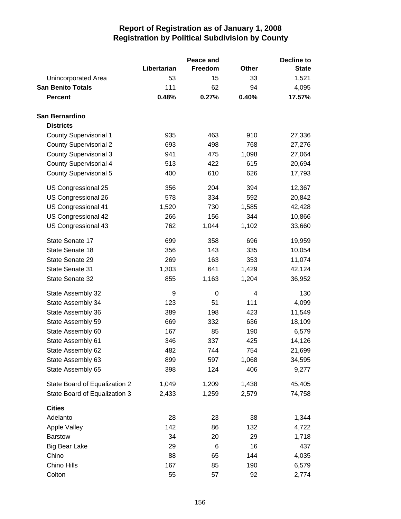|                               |             | Peace and   |              | <b>Decline to</b> |  |
|-------------------------------|-------------|-------------|--------------|-------------------|--|
|                               | Libertarian | Freedom     | <b>Other</b> | <b>State</b>      |  |
| Unincorporated Area           | 53          | 15          | 33           | 1,521             |  |
| <b>San Benito Totals</b>      | 111         | 62          | 94           | 4,095             |  |
| <b>Percent</b>                | 0.48%       | 0.27%       | 0.40%        | 17.57%            |  |
| San Bernardino                |             |             |              |                   |  |
| <b>Districts</b>              |             |             |              |                   |  |
| County Supervisorial 1        | 935         | 463         | 910          | 27,336            |  |
| <b>County Supervisorial 2</b> | 693         | 498         | 768          | 27,276            |  |
| <b>County Supervisorial 3</b> | 941         | 475         | 1,098        | 27,064            |  |
| <b>County Supervisorial 4</b> | 513         | 422         | 615          | 20,694            |  |
| <b>County Supervisorial 5</b> | 400         | 610         | 626          | 17,793            |  |
| US Congressional 25           | 356         | 204         | 394          | 12,367            |  |
| US Congressional 26           | 578         | 334         | 592          | 20,842            |  |
| US Congressional 41           | 1,520       | 730         | 1,585        | 42,428            |  |
| US Congressional 42           | 266         | 156         | 344          | 10,866            |  |
| US Congressional 43           | 762         | 1,044       | 1,102        | 33,660            |  |
| State Senate 17               | 699         | 358         | 696          | 19,959            |  |
| State Senate 18               | 356         | 143         | 335          | 10,054            |  |
| State Senate 29               | 269         | 163         | 353          | 11,074            |  |
| State Senate 31               | 1,303       | 641         | 1,429        | 42,124            |  |
| State Senate 32               | 855         | 1,163       | 1,204        | 36,952            |  |
| State Assembly 32             | 9           | $\mathbf 0$ | 4            | 130               |  |
| State Assembly 34             | 123         | 51          | 111          | 4,099             |  |
| State Assembly 36             | 389         | 198         | 423          | 11,549            |  |
| State Assembly 59             | 669         | 332         | 636          | 18,109            |  |
| State Assembly 60             | 167         | 85          | 190          | 6,579             |  |
| State Assembly 61             | 346         | 337         | 425          | 14,126            |  |
| State Assembly 62             | 482         | 744         | 754          | 21,699            |  |
| State Assembly 63             | 899         | 597         | 1,068        | 34,595            |  |
| State Assembly 65             | 398         | 124         | 406          | 9,277             |  |
| State Board of Equalization 2 | 1,049       | 1,209       | 1,438        | 45,405            |  |
| State Board of Equalization 3 | 2,433       | 1,259       | 2,579        | 74,758            |  |
| <b>Cities</b>                 |             |             |              |                   |  |
| Adelanto                      | 28          | 23          | 38           | 1,344             |  |
| <b>Apple Valley</b>           | 142         | 86          | 132          | 4,722             |  |
| <b>Barstow</b>                | 34          | 20          | 29           | 1,718             |  |
| <b>Big Bear Lake</b>          | 29          | 6           | 16           | 437               |  |
| Chino                         | 88          | 65          | 144          | 4,035             |  |
| Chino Hills                   | 167         | 85          | 190          | 6,579             |  |
| Colton                        | 55          | 57          | 92           | 2,774             |  |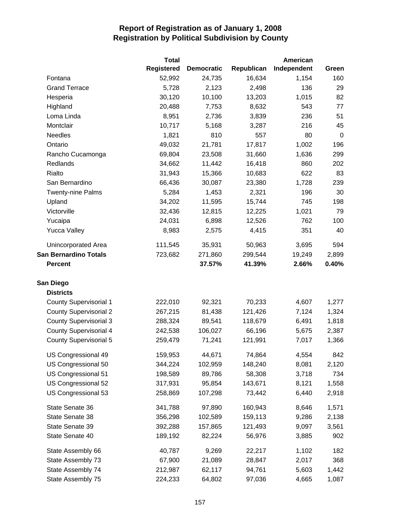|                               | <b>Total</b>      |                   |            | American    |             |
|-------------------------------|-------------------|-------------------|------------|-------------|-------------|
|                               | <b>Registered</b> | <b>Democratic</b> | Republican | Independent | Green       |
| Fontana                       | 52,992            | 24,735            | 16,634     | 1,154       | 160         |
| <b>Grand Terrace</b>          | 5,728             | 2,123             | 2,498      | 136         | 29          |
| Hesperia                      | 30,120            | 10,100            | 13,203     | 1,015       | 82          |
| Highland                      | 20,488            | 7,753             | 8,632      | 543         | 77          |
| Loma Linda                    | 8,951             | 2,736             | 3,839      | 236         | 51          |
| Montclair                     | 10,717            | 5,168             | 3,287      | 216         | 45          |
| <b>Needles</b>                | 1,821             | 810               | 557        | 80          | $\mathbf 0$ |
| Ontario                       | 49,032            | 21,781            | 17,817     | 1,002       | 196         |
| Rancho Cucamonga              | 69,804            | 23,508            | 31,660     | 1,636       | 299         |
| Redlands                      | 34,662            | 11,442            | 16,418     | 860         | 202         |
| Rialto                        | 31,943            | 15,366            | 10,683     | 622         | 83          |
| San Bernardino                | 66,436            | 30,087            | 23,380     | 1,728       | 239         |
| <b>Twenty-nine Palms</b>      | 5,284             | 1,453             | 2,321      | 196         | 30          |
| Upland                        | 34,202            | 11,595            | 15,744     | 745         | 198         |
| Victorville                   | 32,436            | 12,815            | 12,225     | 1,021       | 79          |
| Yucaipa                       | 24,031            | 6,898             | 12,526     | 762         | 100         |
| <b>Yucca Valley</b>           | 8,983             | 2,575             | 4,415      | 351         | 40          |
| Unincorporated Area           | 111,545           | 35,931            | 50,963     | 3,695       | 594         |
| <b>San Bernardino Totals</b>  | 723,682           | 271,860           | 299,544    | 19,249      | 2,899       |
| <b>Percent</b>                |                   | 37.57%            | 41.39%     | 2.66%       | 0.40%       |
| San Diego                     |                   |                   |            |             |             |
| <b>Districts</b>              |                   |                   |            |             |             |
| <b>County Supervisorial 1</b> | 222,010           | 92,321            | 70,233     | 4,607       | 1,277       |
| <b>County Supervisorial 2</b> | 267,215           | 81,438            | 121,426    | 7,124       | 1,324       |
| <b>County Supervisorial 3</b> | 288,324           | 89,541            | 118,679    | 6,491       | 1,818       |
| <b>County Supervisorial 4</b> | 242,538           | 106,027           | 66,196     | 5,675       | 2,387       |
| <b>County Supervisorial 5</b> | 259,479           | 71,241            | 121,991    | 7,017       | 1,366       |
| US Congressional 49           | 159,953           | 44,671            | 74,864     | 4,554       | 842         |
| US Congressional 50           | 344,224           | 102,959           | 148,240    | 8,081       | 2,120       |
| US Congressional 51           | 198,589           | 89,786            | 58,308     | 3,718       | 734         |
| US Congressional 52           | 317,931           | 95,854            | 143,671    | 8,121       | 1,558       |
| US Congressional 53           | 258,869           | 107,298           | 73,442     | 6,440       | 2,918       |
| State Senate 36               | 341,788           | 97,890            | 160,943    | 8,646       | 1,571       |
| State Senate 38               | 356,298           | 102,589           | 159,113    | 9,286       | 2,138       |
| State Senate 39               | 392,288           | 157,865           | 121,493    | 9,097       | 3,561       |
| State Senate 40               | 189,192           | 82,224            | 56,976     | 3,885       | 902         |
| State Assembly 66             | 40,787            | 9,269             | 22,217     | 1,102       | 182         |
| State Assembly 73             | 67,900            | 21,089            | 28,847     | 2,017       | 368         |
| State Assembly 74             | 212,987           | 62,117            | 94,761     | 5,603       | 1,442       |
| State Assembly 75             | 224,233           | 64,802            | 97,036     | 4,665       | 1,087       |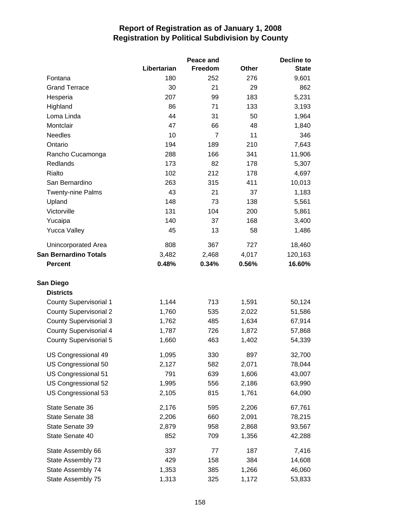|                               |             | Peace and      |              | Decline to   |
|-------------------------------|-------------|----------------|--------------|--------------|
|                               | Libertarian | Freedom        | <b>Other</b> | <b>State</b> |
| Fontana                       | 180         | 252            | 276          | 9,601        |
| <b>Grand Terrace</b>          | 30          | 21             | 29           | 862          |
| Hesperia                      | 207         | 99             | 183          | 5,231        |
| Highland                      | 86          | 71             | 133          | 3,193        |
| Loma Linda                    | 44          | 31             | 50           | 1,964        |
| Montclair                     | 47          | 66             | 48           | 1,840        |
| Needles                       | 10          | $\overline{7}$ | 11           | 346          |
| Ontario                       | 194         | 189            | 210          | 7,643        |
| Rancho Cucamonga              | 288         | 166            | 341          | 11,906       |
| Redlands                      | 173         | 82             | 178          | 5,307        |
| Rialto                        | 102         | 212            | 178          | 4,697        |
| San Bernardino                | 263         | 315            | 411          | 10,013       |
| <b>Twenty-nine Palms</b>      | 43          | 21             | 37           | 1,183        |
| Upland                        | 148         | 73             | 138          | 5,561        |
| Victorville                   | 131         | 104            | 200          | 5,861        |
| Yucaipa                       | 140         | 37             | 168          | 3,400        |
| <b>Yucca Valley</b>           | 45          | 13             | 58           | 1,486        |
| Unincorporated Area           | 808         | 367            | 727          | 18,460       |
| <b>San Bernardino Totals</b>  | 3,482       | 2,468          | 4,017        | 120,163      |
| <b>Percent</b>                | 0.48%       | 0.34%          | 0.56%        | 16.60%       |
| San Diego                     |             |                |              |              |
| <b>Districts</b>              |             |                |              |              |
| <b>County Supervisorial 1</b> | 1,144       | 713            | 1,591        | 50,124       |
| <b>County Supervisorial 2</b> | 1,760       | 535            | 2,022        | 51,586       |
| <b>County Supervisorial 3</b> | 1,762       | 485            | 1,634        | 67,914       |
| <b>County Supervisorial 4</b> | 1,787       | 726            | 1,872        | 57,868       |
| <b>County Supervisorial 5</b> | 1,660       | 463            | 1,402        | 54,339       |
| US Congressional 49           | 1,095       | 330            | 897          | 32,700       |
| US Congressional 50           | 2,127       | 582            | 2,071        | 78,044       |
| US Congressional 51           | 791         | 639            | 1,606        | 43,007       |
| US Congressional 52           | 1,995       | 556            | 2,186        | 63,990       |
| US Congressional 53           | 2,105       | 815            | 1,761        | 64,090       |
| State Senate 36               | 2,176       | 595            | 2,206        | 67,761       |
| State Senate 38               | 2,206       | 660            | 2,091        | 78,215       |
| State Senate 39               | 2,879       | 958            | 2,868        | 93,567       |
| State Senate 40               | 852         | 709            | 1,356        | 42,288       |
| State Assembly 66             | 337         | 77             | 187          | 7,416        |
| State Assembly 73             | 429         | 158            | 384          | 14,608       |
| State Assembly 74             | 1,353       | 385            | 1,266        | 46,060       |
| State Assembly 75             | 1,313       | 325            | 1,172        | 53,833       |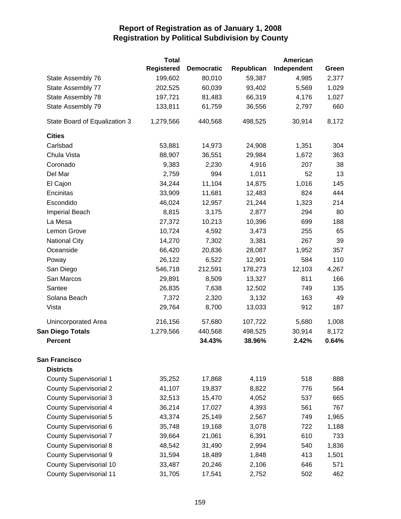|                                | <b>Total</b>      |                   |            | American    |       |
|--------------------------------|-------------------|-------------------|------------|-------------|-------|
|                                | <b>Registered</b> | <b>Democratic</b> | Republican | Independent | Green |
| State Assembly 76              | 199,602           | 80,010            | 59,387     | 4,985       | 2,377 |
| State Assembly 77              | 202,525           | 60,039            | 93,402     | 5,569       | 1,029 |
| State Assembly 78              | 197,721           | 81,483            | 66,319     | 4,176       | 1,027 |
| State Assembly 79              | 133,811           | 61,759            | 36,556     | 2,797       | 660   |
| State Board of Equalization 3  | 1,279,566         | 440,568           | 498,525    | 30,914      | 8,172 |
| <b>Cities</b>                  |                   |                   |            |             |       |
| Carlsbad                       | 53,881            | 14,973            | 24,908     | 1,351       | 304   |
| Chula Vista                    | 88,907            | 36,551            | 29,984     | 1,672       | 363   |
| Coronado                       | 9,383             | 2,230             | 4,916      | 207         | 38    |
| Del Mar                        | 2,759             | 994               | 1,011      | 52          | 13    |
| El Cajon                       | 34,244            | 11,104            | 14,875     | 1,016       | 145   |
| Encinitas                      | 33,909            | 11,681            | 12,483     | 824         | 444   |
| Escondido                      | 46,024            | 12,957            | 21,244     | 1,323       | 214   |
| Imperial Beach                 | 8,815             | 3,175             | 2,877      | 294         | 80    |
| La Mesa                        | 27,372            | 10,213            | 10,396     | 699         | 188   |
| Lemon Grove                    | 10,724            | 4,592             | 3,473      | 255         | 65    |
| <b>National City</b>           | 14,270            | 7,302             | 3,381      | 267         | 39    |
| Oceanside                      | 66,420            | 20,836            | 28,087     | 1,952       | 357   |
| Poway                          | 26,122            | 6,522             | 12,901     | 584         | 110   |
| San Diego                      | 546,718           | 212,591           | 178,273    | 12,103      | 4,267 |
| San Marcos                     | 29,891            | 8,509             | 13,327     | 811         | 166   |
| Santee                         | 26,835            | 7,638             | 12,502     | 749         | 135   |
| Solana Beach                   | 7,372             | 2,320             | 3,132      | 163         | 49    |
| Vista                          | 29,764            | 8,700             | 13,033     | 912         | 187   |
| Unincorporated Area            | 216,156           | 57,680            | 107,722    | 5,680       | 1,008 |
| <b>San Diego Totals</b>        | 1,279,566         | 440,568           | 498,525    | 30,914      | 8,172 |
| <b>Percent</b>                 |                   | 34.43%            | 38.96%     | 2.42%       | 0.64% |
| <b>San Francisco</b>           |                   |                   |            |             |       |
| <b>Districts</b>               |                   |                   |            |             |       |
| <b>County Supervisorial 1</b>  | 35,252            | 17,868            | 4,119      | 518         | 888   |
| <b>County Supervisorial 2</b>  | 41,107            | 19,837            | 8,822      | 776         | 564   |
| <b>County Supervisorial 3</b>  | 32,513            | 15,470            | 4,052      | 537         | 665   |
| <b>County Supervisorial 4</b>  | 36,214            | 17,027            | 4,393      | 561         | 767   |
| <b>County Supervisorial 5</b>  | 43,374            | 25,149            | 2,567      | 749         | 1,965 |
| County Supervisorial 6         | 35,748            | 19,168            | 3,078      | 722         | 1,188 |
| <b>County Supervisorial 7</b>  | 39,664            | 21,061            | 6,391      | 610         | 733   |
| <b>County Supervisorial 8</b>  | 48,542            | 31,490            | 2,994      | 540         | 1,836 |
| County Supervisorial 9         | 31,594            | 18,489            | 1,848      | 413         | 1,501 |
| <b>County Supervisorial 10</b> | 33,487            | 20,246            | 2,106      | 646         | 571   |
| <b>County Supervisorial 11</b> | 31,705            | 17,541            | 2,752      | 502         | 462   |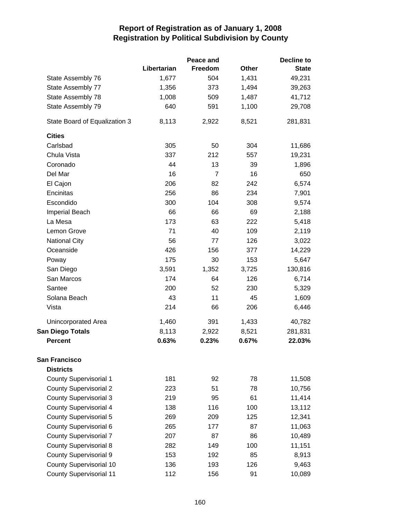|                                |             | Peace and      |       | <b>Decline to</b> |
|--------------------------------|-------------|----------------|-------|-------------------|
|                                | Libertarian | Freedom        | Other | <b>State</b>      |
| State Assembly 76              | 1,677       | 504            | 1,431 | 49,231            |
| State Assembly 77              | 1,356       | 373            | 1,494 | 39,263            |
| State Assembly 78              | 1,008       | 509            | 1,487 | 41,712            |
| State Assembly 79              | 640         | 591            | 1,100 | 29,708            |
| State Board of Equalization 3  | 8,113       | 2,922          | 8,521 | 281,831           |
| <b>Cities</b>                  |             |                |       |                   |
| Carlsbad                       | 305         | 50             | 304   | 11,686            |
| Chula Vista                    | 337         | 212            | 557   | 19,231            |
| Coronado                       | 44          | 13             | 39    | 1,896             |
| Del Mar                        | 16          | $\overline{7}$ | 16    | 650               |
| El Cajon                       | 206         | 82             | 242   | 6,574             |
| Encinitas                      | 256         | 86             | 234   | 7,901             |
| Escondido                      | 300         | 104            | 308   | 9,574             |
| Imperial Beach                 | 66          | 66             | 69    | 2,188             |
| La Mesa                        | 173         | 63             | 222   | 5,418             |
| Lemon Grove                    | 71          | 40             | 109   | 2,119             |
| <b>National City</b>           | 56          | 77             | 126   | 3,022             |
| Oceanside                      | 426         | 156            | 377   | 14,229            |
| Poway                          | 175         | 30             | 153   | 5,647             |
| San Diego                      | 3,591       | 1,352          | 3,725 | 130,816           |
| San Marcos                     | 174         | 64             | 126   | 6,714             |
| Santee                         | 200         | 52             | 230   | 5,329             |
| Solana Beach                   | 43          | 11             | 45    | 1,609             |
| Vista                          | 214         | 66             | 206   | 6,446             |
| Unincorporated Area            | 1,460       | 391            | 1,433 | 40,782            |
| <b>San Diego Totals</b>        | 8,113       | 2,922          | 8,521 | 281,831           |
| <b>Percent</b>                 | 0.63%       | 0.23%          | 0.67% | 22.03%            |
| <b>San Francisco</b>           |             |                |       |                   |
| <b>Districts</b>               |             |                |       |                   |
| <b>County Supervisorial 1</b>  | 181         | 92             | 78    | 11,508            |
| <b>County Supervisorial 2</b>  | 223         | 51             | 78    | 10,756            |
| <b>County Supervisorial 3</b>  | 219         | 95             | 61    | 11,414            |
| <b>County Supervisorial 4</b>  | 138         | 116            | 100   | 13,112            |
| <b>County Supervisorial 5</b>  | 269         | 209            | 125   | 12,341            |
| County Supervisorial 6         | 265         | 177            | 87    | 11,063            |
| <b>County Supervisorial 7</b>  | 207         | 87             | 86    | 10,489            |
| <b>County Supervisorial 8</b>  | 282         | 149            | 100   | 11,151            |
| County Supervisorial 9         | 153         | 192            | 85    | 8,913             |
| County Supervisorial 10        | 136         | 193            | 126   | 9,463             |
| <b>County Supervisorial 11</b> | 112         | 156            | 91    | 10,089            |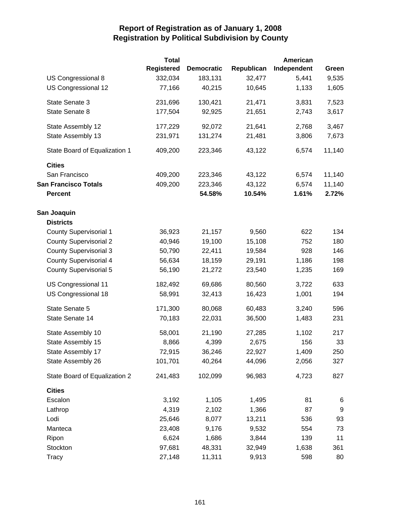|                               | <b>Total</b>      |                   |            | American    |                  |
|-------------------------------|-------------------|-------------------|------------|-------------|------------------|
|                               | <b>Registered</b> | <b>Democratic</b> | Republican | Independent | Green            |
| US Congressional 8            | 332,034           | 183,131           | 32,477     | 5,441       | 9,535            |
| US Congressional 12           | 77,166            | 40,215            | 10,645     | 1,133       | 1,605            |
| State Senate 3                | 231,696           | 130,421           | 21,471     | 3,831       | 7,523            |
| State Senate 8                | 177,504           | 92,925            | 21,651     | 2,743       | 3,617            |
| State Assembly 12             | 177,229           | 92,072            | 21,641     | 2,768       | 3,467            |
| State Assembly 13             | 231,971           | 131,274           | 21,481     | 3,806       | 7,673            |
| State Board of Equalization 1 | 409,200           | 223,346           | 43,122     | 6,574       | 11,140           |
| <b>Cities</b>                 |                   |                   |            |             |                  |
| San Francisco                 | 409,200           | 223,346           | 43,122     | 6,574       | 11,140           |
| <b>San Francisco Totals</b>   | 409,200           | 223,346           | 43,122     | 6,574       | 11,140           |
| <b>Percent</b>                |                   | 54.58%            | 10.54%     | 1.61%       | 2.72%            |
| San Joaquin                   |                   |                   |            |             |                  |
| <b>Districts</b>              |                   |                   |            |             |                  |
| <b>County Supervisorial 1</b> | 36,923            | 21,157            | 9,560      | 622         | 134              |
| <b>County Supervisorial 2</b> | 40,946            | 19,100            | 15,108     | 752         | 180              |
| <b>County Supervisorial 3</b> | 50,790            | 22,411            | 19,584     | 928         | 146              |
| <b>County Supervisorial 4</b> | 56,634            | 18,159            | 29,191     | 1,186       | 198              |
| <b>County Supervisorial 5</b> | 56,190            | 21,272            | 23,540     | 1,235       | 169              |
| US Congressional 11           | 182,492           | 69,686            | 80,560     | 3,722       | 633              |
| US Congressional 18           | 58,991            | 32,413            | 16,423     | 1,001       | 194              |
| State Senate 5                | 171,300           | 80,068            | 60,483     | 3,240       | 596              |
| State Senate 14               | 70,183            | 22,031            | 36,500     | 1,483       | 231              |
| State Assembly 10             | 58,001            | 21,190            | 27,285     | 1,102       | 217              |
| State Assembly 15             | 8,866             | 4,399             | 2,675      | 156         | 33               |
| State Assembly 17             | 72,915            | 36,246            | 22,927     | 1,409       | 250              |
| State Assembly 26             | 101,701           | 40,264            | 44,096     | 2,056       | 327              |
| State Board of Equalization 2 | 241,483           | 102,099           | 96,983     | 4,723       | 827              |
| <b>Cities</b>                 |                   |                   |            |             |                  |
| Escalon                       | 3,192             | 1,105             | 1,495      | 81          | 6                |
| Lathrop                       | 4,319             | 2,102             | 1,366      | 87          | $\boldsymbol{9}$ |
| Lodi                          | 25,646            | 8,077             | 13,211     | 536         | 93               |
| Manteca                       | 23,408            | 9,176             | 9,532      | 554         | 73               |
| Ripon                         | 6,624             | 1,686             | 3,844      | 139         | 11               |
| Stockton                      | 97,681            | 48,331            | 32,949     | 1,638       | 361              |
| <b>Tracy</b>                  | 27,148            | 11,311            | 9,913      | 598         | 80               |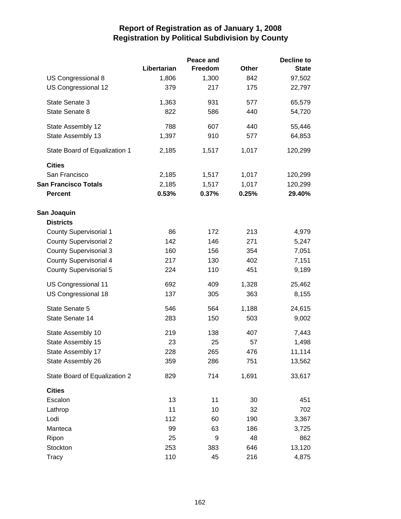|                               |             | Peace and |       | <b>Decline to</b> |
|-------------------------------|-------------|-----------|-------|-------------------|
|                               | Libertarian | Freedom   | Other | <b>State</b>      |
| US Congressional 8            | 1,806       | 1,300     | 842   | 97,502            |
| US Congressional 12           | 379         | 217       | 175   | 22,797            |
| State Senate 3                | 1,363       | 931       | 577   | 65,579            |
| State Senate 8                | 822         | 586       | 440   | 54,720            |
| State Assembly 12             | 788         | 607       | 440   | 55,446            |
| State Assembly 13             | 1,397       | 910       | 577   | 64,853            |
| State Board of Equalization 1 | 2,185       | 1,517     | 1,017 | 120,299           |
| <b>Cities</b>                 |             |           |       |                   |
| San Francisco                 | 2,185       | 1,517     | 1,017 | 120,299           |
| <b>San Francisco Totals</b>   | 2,185       | 1,517     | 1,017 | 120,299           |
| <b>Percent</b>                | 0.53%       | 0.37%     | 0.25% | 29.40%            |
| San Joaquin                   |             |           |       |                   |
| <b>Districts</b>              |             |           |       |                   |
| <b>County Supervisorial 1</b> | 86          | 172       | 213   | 4,979             |
| <b>County Supervisorial 2</b> | 142         | 146       | 271   | 5,247             |
| <b>County Supervisorial 3</b> | 160         | 156       | 354   | 7,051             |
| <b>County Supervisorial 4</b> | 217         | 130       | 402   | 7,151             |
| <b>County Supervisorial 5</b> | 224         | 110       | 451   | 9,189             |
| US Congressional 11           | 692         | 409       | 1,328 | 25,462            |
| US Congressional 18           | 137         | 305       | 363   | 8,155             |
| State Senate 5                | 546         | 564       | 1,188 | 24,615            |
| State Senate 14               | 283         | 150       | 503   | 9,002             |
| State Assembly 10             | 219         | 138       | 407   | 7,443             |
| State Assembly 15             | 23          | 25        | 57    | 1,498             |
| State Assembly 17             | 228         | 265       | 476   | 11,114            |
| State Assembly 26             | 359         | 286       | 751   | 13,562            |
| State Board of Equalization 2 | 829         | 714       | 1,691 | 33,617            |
| <b>Cities</b>                 |             |           |       |                   |
| Escalon                       | 13          | 11        | 30    | 451               |
| Lathrop                       | 11          | 10        | 32    | 702               |
| Lodi                          | 112         | 60        | 190   | 3,367             |
| Manteca                       | 99          | 63        | 186   | 3,725             |
| Ripon                         | 25          | 9         | 48    | 862               |
| Stockton                      | 253         | 383       | 646   | 13,120            |
| Tracy                         | 110         | 45        | 216   | 4,875             |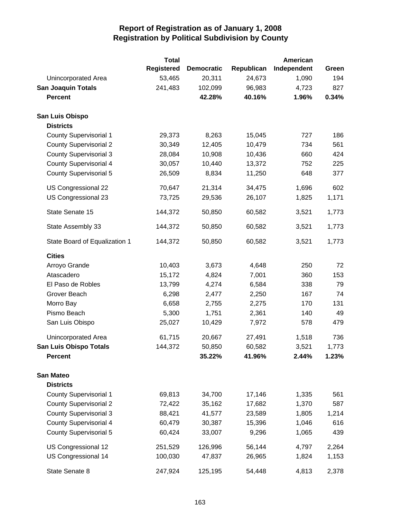|                               | <b>Total</b> |                   |            | American    |       |
|-------------------------------|--------------|-------------------|------------|-------------|-------|
|                               | Registered   | <b>Democratic</b> | Republican | Independent | Green |
| Unincorporated Area           | 53,465       | 20,311            | 24,673     | 1,090       | 194   |
| <b>San Joaquin Totals</b>     | 241,483      | 102,099           | 96,983     | 4,723       | 827   |
| <b>Percent</b>                |              | 42.28%            | 40.16%     | 1.96%       | 0.34% |
| <b>San Luis Obispo</b>        |              |                   |            |             |       |
| <b>Districts</b>              |              |                   |            |             |       |
| <b>County Supervisorial 1</b> | 29,373       | 8,263             | 15,045     | 727         | 186   |
| <b>County Supervisorial 2</b> | 30,349       | 12,405            | 10,479     | 734         | 561   |
| <b>County Supervisorial 3</b> | 28,084       | 10,908            | 10,436     | 660         | 424   |
| <b>County Supervisorial 4</b> | 30,057       | 10,440            | 13,372     | 752         | 225   |
| <b>County Supervisorial 5</b> | 26,509       | 8,834             | 11,250     | 648         | 377   |
| US Congressional 22           | 70,647       | 21,314            | 34,475     | 1,696       | 602   |
| US Congressional 23           | 73,725       | 29,536            | 26,107     | 1,825       | 1,171 |
| State Senate 15               | 144,372      | 50,850            | 60,582     | 3,521       | 1,773 |
| State Assembly 33             | 144,372      | 50,850            | 60,582     | 3,521       | 1,773 |
| State Board of Equalization 1 | 144,372      | 50,850            | 60,582     | 3,521       | 1,773 |
| <b>Cities</b>                 |              |                   |            |             |       |
| Arroyo Grande                 | 10,403       | 3,673             | 4,648      | 250         | 72    |
| Atascadero                    | 15,172       | 4,824             | 7,001      | 360         | 153   |
| El Paso de Robles             | 13,799       | 4,274             | 6,584      | 338         | 79    |
| Grover Beach                  | 6,298        | 2,477             | 2,250      | 167         | 74    |
| Morro Bay                     | 6,658        | 2,755             | 2,275      | 170         | 131   |
| Pismo Beach                   | 5,300        | 1,751             | 2,361      | 140         | 49    |
| San Luis Obispo               | 25,027       | 10,429            | 7,972      | 578         | 479   |
| Unincorporated Area           | 61,715       | 20,667            | 27,491     | 1,518       | 736   |
| <b>San Luis Obispo Totals</b> | 144,372      | 50,850            | 60,582     | 3,521       | 1,773 |
| <b>Percent</b>                |              | 35.22%            | 41.96%     | 2.44%       | 1.23% |
| <b>San Mateo</b>              |              |                   |            |             |       |
| <b>Districts</b>              |              |                   |            |             |       |
| <b>County Supervisorial 1</b> | 69,813       | 34,700            | 17,146     | 1,335       | 561   |
| <b>County Supervisorial 2</b> | 72,422       | 35,162            | 17,682     | 1,370       | 587   |
| <b>County Supervisorial 3</b> | 88,421       | 41,577            | 23,589     | 1,805       | 1,214 |
| <b>County Supervisorial 4</b> | 60,479       | 30,387            | 15,396     | 1,046       | 616   |
| <b>County Supervisorial 5</b> | 60,424       | 33,007            | 9,296      | 1,065       | 439   |
| US Congressional 12           | 251,529      | 126,996           | 56,144     | 4,797       | 2,264 |
| US Congressional 14           | 100,030      | 47,837            | 26,965     | 1,824       | 1,153 |
| State Senate 8                | 247,924      | 125,195           | 54,448     | 4,813       | 2,378 |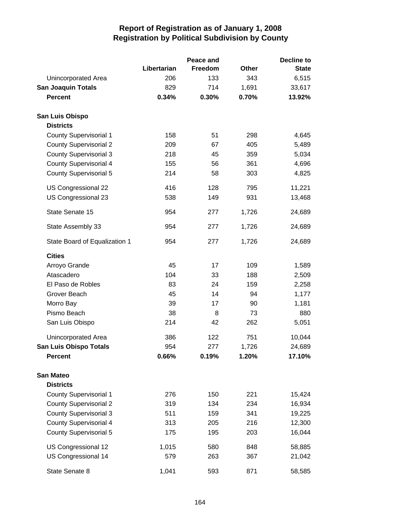|                               |             | Peace and |              | <b>Decline to</b> |
|-------------------------------|-------------|-----------|--------------|-------------------|
|                               | Libertarian | Freedom   | <b>Other</b> | <b>State</b>      |
| Unincorporated Area           | 206         | 133       | 343          | 6,515             |
| <b>San Joaquin Totals</b>     | 829         | 714       | 1,691        | 33,617            |
| <b>Percent</b>                | 0.34%       | 0.30%     | 0.70%        | 13.92%            |
| San Luis Obispo               |             |           |              |                   |
| <b>Districts</b>              |             |           |              |                   |
| <b>County Supervisorial 1</b> | 158         | 51        | 298          | 4,645             |
| <b>County Supervisorial 2</b> | 209         | 67        | 405          | 5,489             |
| <b>County Supervisorial 3</b> | 218         | 45        | 359          | 5,034             |
| <b>County Supervisorial 4</b> | 155         | 56        | 361          | 4,696             |
| <b>County Supervisorial 5</b> | 214         | 58        | 303          | 4,825             |
| US Congressional 22           | 416         | 128       | 795          | 11,221            |
| US Congressional 23           | 538         | 149       | 931          | 13,468            |
| State Senate 15               | 954         | 277       | 1,726        | 24,689            |
| State Assembly 33             | 954         | 277       | 1,726        | 24,689            |
| State Board of Equalization 1 | 954         | 277       | 1,726        | 24,689            |
| <b>Cities</b>                 |             |           |              |                   |
| Arroyo Grande                 | 45          | 17        | 109          | 1,589             |
| Atascadero                    | 104         | 33        | 188          | 2,509             |
| El Paso de Robles             | 83          | 24        | 159          | 2,258             |
| Grover Beach                  | 45          | 14        | 94           | 1,177             |
| Morro Bay                     | 39          | 17        | 90           | 1,181             |
| Pismo Beach                   | 38          | 8         | 73           | 880               |
| San Luis Obispo               | 214         | 42        | 262          | 5,051             |
| Unincorporated Area           | 386         | 122       | 751          | 10,044            |
| <b>San Luis Obispo Totals</b> | 954         | 277       | 1,726        | 24,689            |
| <b>Percent</b>                | 0.66%       | 0.19%     | 1.20%        | 17.10%            |
| <b>San Mateo</b>              |             |           |              |                   |
| <b>Districts</b>              |             |           |              |                   |
| <b>County Supervisorial 1</b> | 276         | 150       | 221          | 15,424            |
| <b>County Supervisorial 2</b> | 319         | 134       | 234          | 16,934            |
| <b>County Supervisorial 3</b> | 511         | 159       | 341          | 19,225            |
| <b>County Supervisorial 4</b> | 313         | 205       | 216          | 12,300            |
| <b>County Supervisorial 5</b> | 175         | 195       | 203          | 16,044            |
| US Congressional 12           | 1,015       | 580       | 848          | 58,885            |
| US Congressional 14           | 579         | 263       | 367          | 21,042            |
| State Senate 8                | 1,041       | 593       | 871          | 58,585            |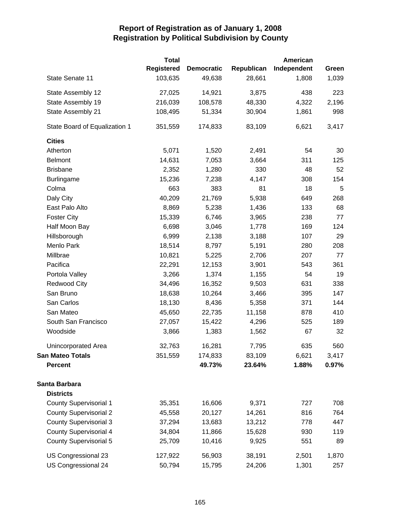|                               | <b>Total</b>      |                   |            | American    |       |
|-------------------------------|-------------------|-------------------|------------|-------------|-------|
|                               | <b>Registered</b> | <b>Democratic</b> | Republican | Independent | Green |
| State Senate 11               | 103,635           | 49,638            | 28,661     | 1,808       | 1,039 |
| State Assembly 12             | 27,025            | 14,921            | 3,875      | 438         | 223   |
| State Assembly 19             | 216,039           | 108,578           | 48,330     | 4,322       | 2,196 |
| State Assembly 21             | 108,495           | 51,334            | 30,904     | 1,861       | 998   |
| State Board of Equalization 1 | 351,559           | 174,833           | 83,109     | 6,621       | 3,417 |
| <b>Cities</b>                 |                   |                   |            |             |       |
| Atherton                      | 5,071             | 1,520             | 2,491      | 54          | 30    |
| <b>Belmont</b>                | 14,631            | 7,053             | 3,664      | 311         | 125   |
| <b>Brisbane</b>               | 2,352             | 1,280             | 330        | 48          | 52    |
| <b>Burlingame</b>             | 15,236            | 7,238             | 4,147      | 308         | 154   |
| Colma                         | 663               | 383               | 81         | 18          | 5     |
| Daly City                     | 40,209            | 21,769            | 5,938      | 649         | 268   |
| East Palo Alto                | 8,869             | 5,238             | 1,436      | 133         | 68    |
| <b>Foster City</b>            | 15,339            | 6,746             | 3,965      | 238         | 77    |
| Half Moon Bay                 | 6,698             | 3,046             | 1,778      | 169         | 124   |
| Hillsborough                  | 6,999             | 2,138             | 3,188      | 107         | 29    |
| Menlo Park                    | 18,514            | 8,797             | 5,191      | 280         | 208   |
| Millbrae                      | 10,821            | 5,225             | 2,706      | 207         | 77    |
| Pacifica                      | 22,291            | 12,153            | 3,901      | 543         | 361   |
| Portola Valley                | 3,266             | 1,374             | 1,155      | 54          | 19    |
| <b>Redwood City</b>           | 34,496            | 16,352            | 9,503      | 631         | 338   |
| San Bruno                     | 18,638            | 10,264            | 3,466      | 395         | 147   |
| San Carlos                    | 18,130            | 8,436             | 5,358      | 371         | 144   |
| San Mateo                     | 45,650            | 22,735            | 11,158     | 878         | 410   |
| South San Francisco           | 27,057            | 15,422            | 4,296      | 525         | 189   |
| Woodside                      | 3,866             | 1,383             | 1,562      | 67          | 32    |
| <b>Unincorporated Area</b>    | 32,763            | 16,281            | 7,795      | 635         | 560   |
| <b>San Mateo Totals</b>       | 351,559           | 174,833           | 83,109     | 6,621       | 3,417 |
| <b>Percent</b>                |                   | 49.73%            | 23.64%     | 1.88%       | 0.97% |
| Santa Barbara                 |                   |                   |            |             |       |
| <b>Districts</b>              |                   |                   |            |             |       |
| <b>County Supervisorial 1</b> | 35,351            | 16,606            | 9,371      | 727         | 708   |
| <b>County Supervisorial 2</b> | 45,558            | 20,127            | 14,261     | 816         | 764   |
| <b>County Supervisorial 3</b> | 37,294            | 13,683            | 13,212     | 778         | 447   |
| <b>County Supervisorial 4</b> | 34,804            | 11,866            | 15,628     | 930         | 119   |
| <b>County Supervisorial 5</b> | 25,709            | 10,416            | 9,925      | 551         | 89    |
| US Congressional 23           | 127,922           | 56,903            | 38,191     | 2,501       | 1,870 |
| US Congressional 24           | 50,794            | 15,795            | 24,206     | 1,301       | 257   |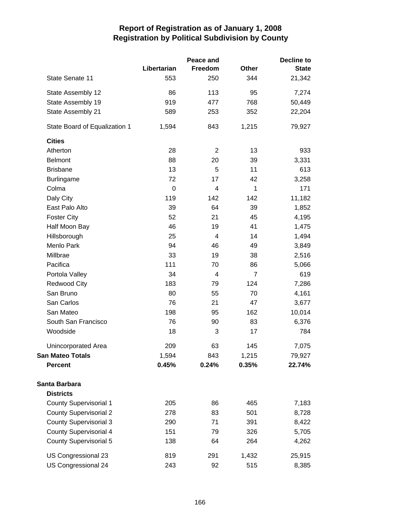|                               | Peace and   |                |                | <b>Decline to</b> |  |  |
|-------------------------------|-------------|----------------|----------------|-------------------|--|--|
|                               | Libertarian | Freedom        | Other          | <b>State</b>      |  |  |
| State Senate 11               | 553         | 250            | 344            | 21,342            |  |  |
| State Assembly 12             | 86          | 113            | 95             | 7,274             |  |  |
| State Assembly 19             | 919         | 477            | 768            | 50,449            |  |  |
| State Assembly 21             | 589         | 253            | 352            | 22,204            |  |  |
| State Board of Equalization 1 | 1,594       | 843            | 1,215          | 79,927            |  |  |
| <b>Cities</b>                 |             |                |                |                   |  |  |
| Atherton                      | 28          | $\overline{2}$ | 13             | 933               |  |  |
| <b>Belmont</b>                | 88          | 20             | 39             | 3,331             |  |  |
| <b>Brisbane</b>               | 13          | 5              | 11             | 613               |  |  |
| <b>Burlingame</b>             | 72          | 17             | 42             | 3,258             |  |  |
| Colma                         | $\mathbf 0$ | 4              | $\mathbf{1}$   | 171               |  |  |
| Daly City                     | 119         | 142            | 142            | 11,182            |  |  |
| East Palo Alto                | 39          | 64             | 39             | 1,852             |  |  |
| <b>Foster City</b>            | 52          | 21             | 45             | 4,195             |  |  |
| Half Moon Bay                 | 46          | 19             | 41             | 1,475             |  |  |
| Hillsborough                  | 25          | 4              | 14             | 1,494             |  |  |
| Menlo Park                    | 94          | 46             | 49             | 3,849             |  |  |
| Millbrae                      | 33          | 19             | 38             | 2,516             |  |  |
| Pacifica                      | 111         | 70             | 86             | 5,066             |  |  |
| Portola Valley                | 34          | 4              | $\overline{7}$ | 619               |  |  |
| <b>Redwood City</b>           | 183         | 79             | 124            | 7,286             |  |  |
| San Bruno                     | 80          | 55             | 70             | 4,161             |  |  |
| San Carlos                    | 76          | 21             | 47             | 3,677             |  |  |
| San Mateo                     | 198         | 95             | 162            | 10,014            |  |  |
| South San Francisco           | 76          | 90             | 83             | 6,376             |  |  |
| Woodside                      | 18          | 3              | 17             | 784               |  |  |
| Unincorporated Area           | 209         | 63             | 145            | 7,075             |  |  |
| <b>San Mateo Totals</b>       | 1,594       | 843            | 1,215          | 79,927            |  |  |
| <b>Percent</b>                | 0.45%       | 0.24%          | 0.35%          | 22.74%            |  |  |
| Santa Barbara                 |             |                |                |                   |  |  |
| <b>Districts</b>              |             |                |                |                   |  |  |
| <b>County Supervisorial 1</b> | 205         | 86             | 465            | 7,183             |  |  |
| <b>County Supervisorial 2</b> | 278         | 83             | 501            | 8,728             |  |  |
| <b>County Supervisorial 3</b> | 290         | 71             | 391            | 8,422             |  |  |
| <b>County Supervisorial 4</b> | 151         | 79             | 326            | 5,705             |  |  |
| <b>County Supervisorial 5</b> | 138         | 64             | 264            | 4,262             |  |  |
| US Congressional 23           | 819         | 291            | 1,432          | 25,915            |  |  |
| US Congressional 24           | 243         | 92             | 515            | 8,385             |  |  |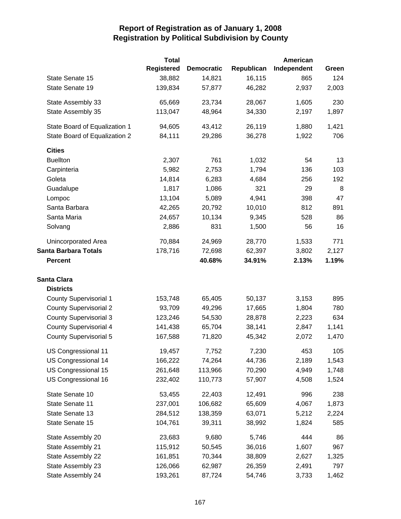|                               | <b>Total</b>      |                   |            | <b>American</b> |       |
|-------------------------------|-------------------|-------------------|------------|-----------------|-------|
|                               | <b>Registered</b> | <b>Democratic</b> | Republican | Independent     | Green |
| State Senate 15               | 38,882            | 14,821            | 16,115     | 865             | 124   |
| State Senate 19               | 139,834           | 57,877            | 46,282     | 2,937           | 2,003 |
| State Assembly 33             | 65,669            | 23,734            | 28,067     | 1,605           | 230   |
| State Assembly 35             | 113,047           | 48,964            | 34,330     | 2,197           | 1,897 |
| State Board of Equalization 1 | 94,605            | 43,412            | 26,119     | 1,880           | 1,421 |
| State Board of Equalization 2 | 84,111            | 29,286            | 36,278     | 1,922           | 706   |
| <b>Cities</b>                 |                   |                   |            |                 |       |
| <b>Buellton</b>               | 2,307             | 761               | 1,032      | 54              | 13    |
| Carpinteria                   | 5,982             | 2,753             | 1,794      | 136             | 103   |
| Goleta                        | 14,814            | 6,283             | 4,684      | 256             | 192   |
| Guadalupe                     | 1,817             | 1,086             | 321        | 29              | 8     |
| Lompoc                        | 13,104            | 5,089             | 4,941      | 398             | 47    |
| Santa Barbara                 | 42,265            | 20,792            | 10,010     | 812             | 891   |
| Santa Maria                   | 24,657            | 10,134            | 9,345      | 528             | 86    |
| Solvang                       | 2,886             | 831               | 1,500      | 56              | 16    |
| Unincorporated Area           | 70,884            | 24,969            | 28,770     | 1,533           | 771   |
| <b>Santa Barbara Totals</b>   | 178,716           | 72,698            | 62,397     | 3,802           | 2,127 |
| <b>Percent</b>                |                   | 40.68%            | 34.91%     | 2.13%           | 1.19% |
| <b>Santa Clara</b>            |                   |                   |            |                 |       |
| <b>Districts</b>              |                   |                   |            |                 |       |
| <b>County Supervisorial 1</b> | 153,748           | 65,405            | 50,137     | 3,153           | 895   |
| <b>County Supervisorial 2</b> | 93,709            | 49,296            | 17,665     | 1,804           | 780   |
| <b>County Supervisorial 3</b> | 123,246           | 54,530            | 28,878     | 2,223           | 634   |
| <b>County Supervisorial 4</b> | 141,438           | 65,704            | 38,141     | 2,847           | 1,141 |
| <b>County Supervisorial 5</b> | 167,588           | 71,820            | 45,342     | 2,072           | 1,470 |
| US Congressional 11           | 19,457            | 7,752             | 7,230      | 453             | 105   |
| US Congressional 14           | 166,222           | 74,264            | 44,736     | 2,189           | 1,543 |
| US Congressional 15           | 261,648           | 113,966           | 70,290     | 4,949           | 1,748 |
| US Congressional 16           | 232,402           | 110,773           | 57,907     | 4,508           | 1,524 |
| State Senate 10               | 53,455            | 22,403            | 12,491     | 996             | 238   |
| State Senate 11               | 237,001           | 106,682           | 65,609     | 4,067           | 1,873 |
| State Senate 13               | 284,512           | 138,359           | 63,071     | 5,212           | 2,224 |
| State Senate 15               | 104,761           | 39,311            | 38,992     | 1,824           | 585   |
| State Assembly 20             | 23,683            | 9,680             | 5,746      | 444             | 86    |
| State Assembly 21             | 115,912           | 50,545            | 36,016     | 1,607           | 967   |
| State Assembly 22             | 161,851           | 70,344            | 38,809     | 2,627           | 1,325 |
| State Assembly 23             | 126,066           | 62,987            | 26,359     | 2,491           | 797   |
| State Assembly 24             | 193,261           | 87,724            | 54,746     | 3,733           | 1,462 |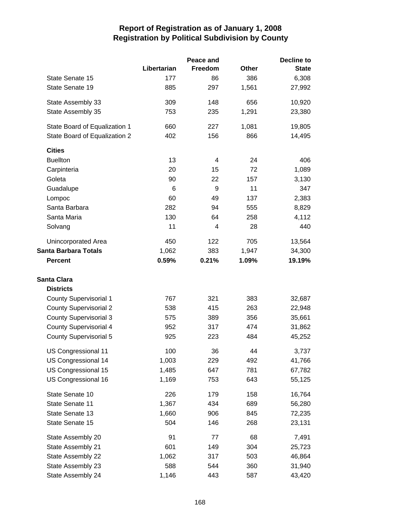|                               |             | Peace and |              | <b>Decline to</b> |
|-------------------------------|-------------|-----------|--------------|-------------------|
|                               | Libertarian | Freedom   | <b>Other</b> | <b>State</b>      |
| State Senate 15               | 177         | 86        | 386          | 6,308             |
| State Senate 19               | 885         | 297       | 1,561        | 27,992            |
| State Assembly 33             | 309         | 148       | 656          | 10,920            |
| State Assembly 35             | 753         | 235       | 1,291        | 23,380            |
| State Board of Equalization 1 | 660         | 227       | 1,081        | 19,805            |
| State Board of Equalization 2 | 402         | 156       | 866          | 14,495            |
| <b>Cities</b>                 |             |           |              |                   |
| <b>Buellton</b>               | 13          | 4         | 24           | 406               |
| Carpinteria                   | 20          | 15        | 72           | 1,089             |
| Goleta                        | 90          | 22        | 157          | 3,130             |
| Guadalupe                     | 6           | 9         | 11           | 347               |
| Lompoc                        | 60          | 49        | 137          | 2,383             |
| Santa Barbara                 | 282         | 94        | 555          | 8,829             |
| Santa Maria                   | 130         | 64        | 258          | 4,112             |
| Solvang                       | 11          | 4         | 28           | 440               |
| Unincorporated Area           | 450         | 122       | 705          | 13,564            |
| <b>Santa Barbara Totals</b>   | 1,062       | 383       | 1,947        | 34,300            |
| <b>Percent</b>                | 0.59%       | 0.21%     | 1.09%        | 19.19%            |
| <b>Santa Clara</b>            |             |           |              |                   |
| <b>Districts</b>              |             |           |              |                   |
| <b>County Supervisorial 1</b> | 767         | 321       | 383          | 32,687            |
| <b>County Supervisorial 2</b> | 538         | 415       | 263          | 22,948            |
| <b>County Supervisorial 3</b> | 575         | 389       | 356          | 35,661            |
| <b>County Supervisorial 4</b> | 952         | 317       | 474          | 31,862            |
| <b>County Supervisorial 5</b> | 925         | 223       | 484          | 45,252            |
| US Congressional 11           | 100         | 36        | 44           | 3,737             |
| US Congressional 14           | 1,003       | 229       | 492          | 41,766            |
| US Congressional 15           | 1,485       | 647       | 781          | 67,782            |
| US Congressional 16           | 1,169       | 753       | 643          | 55,125            |
| State Senate 10               | 226         | 179       | 158          | 16,764            |
| State Senate 11               | 1,367       | 434       | 689          | 56,280            |
| State Senate 13               | 1,660       | 906       | 845          | 72,235            |
| State Senate 15               | 504         | 146       | 268          | 23,131            |
| State Assembly 20             | 91          | 77        | 68           | 7,491             |
| State Assembly 21             | 601         | 149       | 304          | 25,723            |
| State Assembly 22             | 1,062       | 317       | 503          | 46,864            |
| State Assembly 23             | 588         | 544       | 360          | 31,940            |
| State Assembly 24             | 1,146       | 443       | 587          | 43,420            |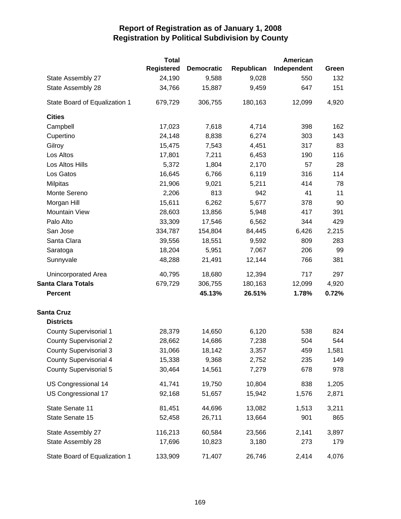|                               | <b>Total</b>      |                   |            | American    |       |
|-------------------------------|-------------------|-------------------|------------|-------------|-------|
|                               | <b>Registered</b> | <b>Democratic</b> | Republican | Independent | Green |
| State Assembly 27             | 24,190            | 9,588             | 9,028      | 550         | 132   |
| State Assembly 28             | 34,766            | 15,887            | 9,459      | 647         | 151   |
| State Board of Equalization 1 | 679,729           | 306,755           | 180,163    | 12,099      | 4,920 |
| <b>Cities</b>                 |                   |                   |            |             |       |
| Campbell                      | 17,023            | 7,618             | 4,714      | 398         | 162   |
| Cupertino                     | 24,148            | 8,838             | 6,274      | 303         | 143   |
| Gilroy                        | 15,475            | 7,543             | 4,451      | 317         | 83    |
| Los Altos                     | 17,801            | 7,211             | 6,453      | 190         | 116   |
| Los Altos Hills               | 5,372             | 1,804             | 2,170      | 57          | 28    |
| Los Gatos                     | 16,645            | 6,766             | 6,119      | 316         | 114   |
| <b>Milpitas</b>               | 21,906            | 9,021             | 5,211      | 414         | 78    |
| Monte Sereno                  | 2,206             | 813               | 942        | 41          | 11    |
| Morgan Hill                   | 15,611            | 6,262             | 5,677      | 378         | 90    |
| <b>Mountain View</b>          | 28,603            | 13,856            | 5,948      | 417         | 391   |
| Palo Alto                     | 33,309            | 17,546            | 6,562      | 344         | 429   |
| San Jose                      | 334,787           | 154,804           | 84,445     | 6,426       | 2,215 |
| Santa Clara                   | 39,556            | 18,551            | 9,592      | 809         | 283   |
| Saratoga                      | 18,204            | 5,951             | 7,067      | 206         | 99    |
| Sunnyvale                     | 48,288            | 21,491            | 12,144     | 766         | 381   |
| Unincorporated Area           | 40,795            | 18,680            | 12,394     | 717         | 297   |
| <b>Santa Clara Totals</b>     | 679,729           | 306,755           | 180,163    | 12,099      | 4,920 |
| <b>Percent</b>                |                   | 45.13%            | 26.51%     | 1.78%       | 0.72% |
| <b>Santa Cruz</b>             |                   |                   |            |             |       |
| <b>Districts</b>              |                   |                   |            |             |       |
| <b>County Supervisorial 1</b> | 28,379            | 14,650            | 6,120      | 538         | 824   |
| <b>County Supervisorial 2</b> | 28,662            | 14,686            | 7,238      | 504         | 544   |
| <b>County Supervisorial 3</b> | 31,066            | 18,142            | 3,357      | 459         | 1,581 |
| <b>County Supervisorial 4</b> | 15,338            | 9,368             | 2,752      | 235         | 149   |
| <b>County Supervisorial 5</b> | 30,464            | 14,561            | 7,279      | 678         | 978   |
| US Congressional 14           | 41,741            | 19,750            | 10,804     | 838         | 1,205 |
| US Congressional 17           | 92,168            | 51,657            | 15,942     | 1,576       | 2,871 |
| State Senate 11               | 81,451            | 44,696            | 13,082     | 1,513       | 3,211 |
| State Senate 15               | 52,458            | 26,711            | 13,664     | 901         | 865   |
|                               |                   |                   |            |             |       |
| State Assembly 27             | 116,213           | 60,584            | 23,566     | 2,141       | 3,897 |
| State Assembly 28             | 17,696            | 10,823            | 3,180      | 273         | 179   |
| State Board of Equalization 1 | 133,909           | 71,407            | 26,746     | 2,414       | 4,076 |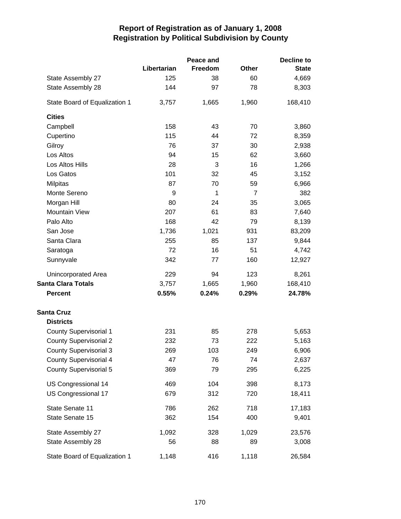|                               |             | Peace and | <b>Decline to</b> |              |  |
|-------------------------------|-------------|-----------|-------------------|--------------|--|
|                               | Libertarian | Freedom   | <b>Other</b>      | <b>State</b> |  |
| State Assembly 27             | 125         | 38        | 60                | 4,669        |  |
| State Assembly 28             | 144         | 97        | 78                | 8,303        |  |
| State Board of Equalization 1 | 3,757       | 1,665     | 1,960             | 168,410      |  |
| <b>Cities</b>                 |             |           |                   |              |  |
| Campbell                      | 158         | 43        | 70                | 3,860        |  |
| Cupertino                     | 115         | 44        | 72                | 8,359        |  |
| Gilroy                        | 76          | 37        | 30                | 2,938        |  |
| Los Altos                     | 94          | 15        | 62                | 3,660        |  |
| Los Altos Hills               | 28          | 3         | 16                | 1,266        |  |
| Los Gatos                     | 101         | 32        | 45                | 3,152        |  |
| <b>Milpitas</b>               | 87          | 70        | 59                | 6,966        |  |
| Monte Sereno                  | 9           | 1         | $\overline{7}$    | 382          |  |
| Morgan Hill                   | 80          | 24        | 35                | 3,065        |  |
| Mountain View                 | 207         | 61        | 83                | 7,640        |  |
| Palo Alto                     | 168         | 42        | 79                | 8,139        |  |
| San Jose                      | 1,736       | 1,021     | 931               | 83,209       |  |
| Santa Clara                   | 255         | 85        | 137               | 9,844        |  |
| Saratoga                      | 72          | 16        | 51                | 4,742        |  |
| Sunnyvale                     | 342         | 77        | 160               | 12,927       |  |
| <b>Unincorporated Area</b>    | 229         | 94        | 123               | 8,261        |  |
| <b>Santa Clara Totals</b>     | 3,757       | 1,665     | 1,960             | 168,410      |  |
| <b>Percent</b>                | 0.55%       | 0.24%     | 0.29%             | 24.78%       |  |
| <b>Santa Cruz</b>             |             |           |                   |              |  |
| <b>Districts</b>              |             |           |                   |              |  |
| <b>County Supervisorial 1</b> | 231         | 85        | 278               | 5,653        |  |
| <b>County Supervisorial 2</b> | 232         | 73        | 222               | 5,163        |  |
| <b>County Supervisorial 3</b> | 269         | 103       | 249               | 6,906        |  |
| <b>County Supervisorial 4</b> | 47          | 76        | 74                | 2,637        |  |
| <b>County Supervisorial 5</b> | 369         | 79        | 295               | 6,225        |  |
| US Congressional 14           | 469         | 104       | 398               | 8,173        |  |
| US Congressional 17           | 679         | 312       | 720               | 18,411       |  |
| State Senate 11               | 786         | 262       | 718               | 17,183       |  |
| State Senate 15               | 362         | 154       | 400               | 9,401        |  |
| State Assembly 27             | 1,092       | 328       | 1,029             | 23,576       |  |
| State Assembly 28             | 56          | 88        | 89                | 3,008        |  |
| State Board of Equalization 1 | 1,148       | 416       | 1,118             | 26,584       |  |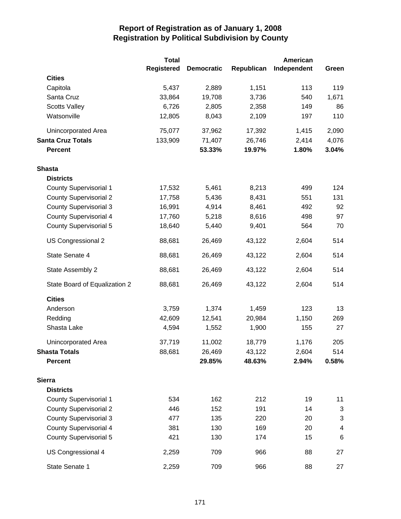|                               | <b>Total</b> |                   |            | American    |                          |
|-------------------------------|--------------|-------------------|------------|-------------|--------------------------|
|                               | Registered   | <b>Democratic</b> | Republican | Independent | Green                    |
| <b>Cities</b>                 |              |                   |            |             |                          |
| Capitola                      | 5,437        | 2,889             | 1,151      | 113         | 119                      |
| Santa Cruz                    | 33,864       | 19,708            | 3,736      | 540         | 1,671                    |
| <b>Scotts Valley</b>          | 6,726        | 2,805             | 2,358      | 149         | 86                       |
| Watsonville                   | 12,805       | 8,043             | 2,109      | 197         | 110                      |
| <b>Unincorporated Area</b>    | 75,077       | 37,962            | 17,392     | 1,415       | 2,090                    |
| <b>Santa Cruz Totals</b>      | 133,909      | 71,407            | 26,746     | 2,414       | 4,076                    |
| <b>Percent</b>                |              | 53.33%            | 19.97%     | 1.80%       | 3.04%                    |
| <b>Shasta</b>                 |              |                   |            |             |                          |
| <b>Districts</b>              |              |                   |            |             |                          |
| <b>County Supervisorial 1</b> | 17,532       | 5,461             | 8,213      | 499         | 124                      |
| <b>County Supervisorial 2</b> | 17,758       | 5,436             | 8,431      | 551         | 131                      |
| <b>County Supervisorial 3</b> | 16,991       | 4,914             | 8,461      | 492         | 92                       |
| <b>County Supervisorial 4</b> | 17,760       | 5,218             | 8,616      | 498         | 97                       |
| <b>County Supervisorial 5</b> | 18,640       | 5,440             | 9,401      | 564         | 70                       |
| US Congressional 2            | 88,681       | 26,469            | 43,122     | 2,604       | 514                      |
| State Senate 4                | 88,681       | 26,469            | 43,122     | 2,604       | 514                      |
| State Assembly 2              | 88,681       | 26,469            | 43,122     | 2,604       | 514                      |
| State Board of Equalization 2 | 88,681       | 26,469            | 43,122     | 2,604       | 514                      |
| <b>Cities</b>                 |              |                   |            |             |                          |
| Anderson                      | 3,759        | 1,374             | 1,459      | 123         | 13                       |
| Redding                       | 42,609       | 12,541            | 20,984     | 1,150       | 269                      |
| Shasta Lake                   | 4,594        | 1,552             | 1,900      | 155         | 27                       |
| Unincorporated Area           | 37,719       | 11,002            | 18,779     | 1,176       | 205                      |
| Shasta Totals                 | 88,681       | 26,469            | 43,122     | 2,604       | 514                      |
| <b>Percent</b>                |              | 29.85%            | 48.63%     | 2.94%       | 0.58%                    |
| <b>Sierra</b>                 |              |                   |            |             |                          |
| <b>Districts</b>              |              |                   |            |             |                          |
| <b>County Supervisorial 1</b> | 534          | 162               | 212        | 19          | 11                       |
| <b>County Supervisorial 2</b> | 446          | 152               | 191        | 14          | 3                        |
| <b>County Supervisorial 3</b> | 477          | 135               | 220        | 20          | 3                        |
| <b>County Supervisorial 4</b> | 381          | 130               | 169        | 20          | $\overline{\mathcal{A}}$ |
| <b>County Supervisorial 5</b> | 421          | 130               | 174        | 15          | 6                        |
| US Congressional 4            | 2,259        | 709               | 966        | 88          | 27                       |
| State Senate 1                | 2,259        | 709               | 966        | 88          | 27                       |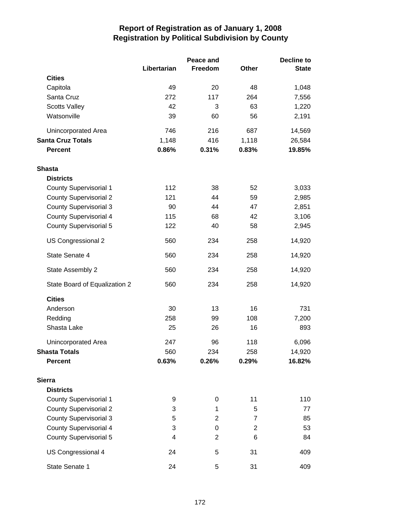|                               |             | Peace and      |                | <b>Decline to</b> |  |
|-------------------------------|-------------|----------------|----------------|-------------------|--|
|                               | Libertarian | Freedom        | Other          | <b>State</b>      |  |
| <b>Cities</b>                 |             |                |                |                   |  |
| Capitola                      | 49          | 20             | 48             | 1,048             |  |
| Santa Cruz                    | 272         | 117            | 264            | 7,556             |  |
| <b>Scotts Valley</b>          | 42          | 3              | 63             | 1,220             |  |
| Watsonville                   | 39          | 60             | 56             | 2,191             |  |
| Unincorporated Area           | 746         | 216            | 687            | 14,569            |  |
| <b>Santa Cruz Totals</b>      | 1,148       | 416            | 1,118          | 26,584            |  |
| <b>Percent</b>                | 0.86%       | 0.31%          | 0.83%          | 19.85%            |  |
| <b>Shasta</b>                 |             |                |                |                   |  |
| <b>Districts</b>              |             |                |                |                   |  |
| <b>County Supervisorial 1</b> | 112         | 38             | 52             | 3,033             |  |
| <b>County Supervisorial 2</b> | 121         | 44             | 59             | 2,985             |  |
| <b>County Supervisorial 3</b> | 90          | 44             | 47             | 2,851             |  |
| <b>County Supervisorial 4</b> | 115         | 68             | 42             | 3,106             |  |
| <b>County Supervisorial 5</b> | 122         | 40             | 58             | 2,945             |  |
| US Congressional 2            | 560         | 234            | 258            | 14,920            |  |
| State Senate 4                | 560         | 234            | 258            | 14,920            |  |
| State Assembly 2              | 560         | 234            | 258            | 14,920            |  |
| State Board of Equalization 2 | 560         | 234            | 258            | 14,920            |  |
| <b>Cities</b>                 |             |                |                |                   |  |
| Anderson                      | 30          | 13             | 16             | 731               |  |
| Redding                       | 258         | 99             | 108            | 7,200             |  |
| Shasta Lake                   | 25          | 26             | 16             | 893               |  |
| Unincorporated Area           | 247         | 96             | 118            | 6,096             |  |
| <b>Shasta Totals</b>          | 560         | 234            | 258            | 14,920            |  |
| <b>Percent</b>                | 0.63%       | 0.26%          | 0.29%          | 16.82%            |  |
| <b>Sierra</b>                 |             |                |                |                   |  |
| <b>Districts</b>              |             |                |                |                   |  |
| <b>County Supervisorial 1</b> | 9           | 0              | 11             | 110               |  |
| <b>County Supervisorial 2</b> | 3           | 1              | 5              | 77                |  |
| <b>County Supervisorial 3</b> | 5           | $\overline{2}$ | $\overline{7}$ | 85                |  |
| <b>County Supervisorial 4</b> | 3           | 0              | $\overline{2}$ | 53                |  |
| <b>County Supervisorial 5</b> | 4           | $\overline{2}$ | 6              | 84                |  |
| US Congressional 4            | 24          | 5              | 31             | 409               |  |
| State Senate 1                | 24          | 5              | 31             | 409               |  |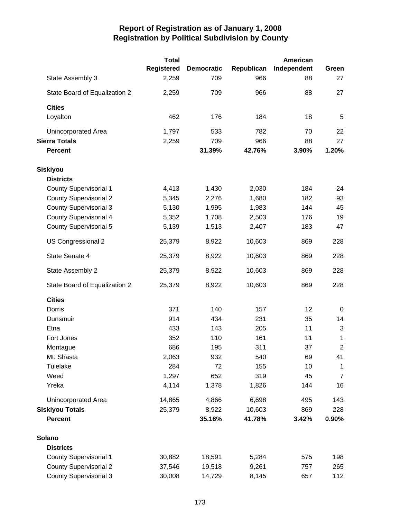|                               | <b>Total</b>      |                   |            | American    |                |
|-------------------------------|-------------------|-------------------|------------|-------------|----------------|
|                               | <b>Registered</b> | <b>Democratic</b> | Republican | Independent | Green          |
| State Assembly 3              | 2,259             | 709               | 966        | 88          | 27             |
| State Board of Equalization 2 | 2,259             | 709               | 966        | 88          | 27             |
| <b>Cities</b>                 |                   |                   |            |             |                |
| Loyalton                      | 462               | 176               | 184        | 18          | 5              |
| Unincorporated Area           | 1,797             | 533               | 782        | 70          | 22             |
| <b>Sierra Totals</b>          | 2,259             | 709               | 966        | 88          | 27             |
| <b>Percent</b>                |                   | 31.39%            | 42.76%     | 3.90%       | 1.20%          |
| <b>Siskiyou</b>               |                   |                   |            |             |                |
| <b>Districts</b>              |                   |                   |            |             |                |
| County Supervisorial 1        | 4,413             | 1,430             | 2,030      | 184         | 24             |
| <b>County Supervisorial 2</b> | 5,345             | 2,276             | 1,680      | 182         | 93             |
| <b>County Supervisorial 3</b> | 5,130             | 1,995             | 1,983      | 144         | 45             |
| <b>County Supervisorial 4</b> | 5,352             | 1,708             | 2,503      | 176         | 19             |
| <b>County Supervisorial 5</b> | 5,139             | 1,513             | 2,407      | 183         | 47             |
| US Congressional 2            | 25,379            | 8,922             | 10,603     | 869         | 228            |
| State Senate 4                | 25,379            | 8,922             | 10,603     | 869         | 228            |
| State Assembly 2              | 25,379            | 8,922             | 10,603     | 869         | 228            |
| State Board of Equalization 2 | 25,379            | 8,922             | 10,603     | 869         | 228            |
| <b>Cities</b>                 |                   |                   |            |             |                |
| Dorris                        | 371               | 140               | 157        | 12          | 0              |
| Dunsmuir                      | 914               | 434               | 231        | 35          | 14             |
| Etna                          | 433               | 143               | 205        | 11          | 3              |
| Fort Jones                    | 352               | 110               | 161        | 11          | 1              |
| Montague                      | 686               | 195               | 311        | 37          | 2              |
| Mt. Shasta                    | 2,063             | 932               | 540        | 69          | 41             |
| Tulelake                      | 284               | 72                | 155        | 10          | $\mathbf 1$    |
| Weed                          | 1,297             | 652               | 319        | 45          | $\overline{7}$ |
| Yreka                         | 4,114             | 1,378             | 1,826      | 144         | 16             |
| Unincorporated Area           | 14,865            | 4,866             | 6,698      | 495         | 143            |
| <b>Siskiyou Totals</b>        | 25,379            | 8,922             | 10,603     | 869         | 228            |
| <b>Percent</b>                |                   | 35.16%            | 41.78%     | 3.42%       | 0.90%          |
| Solano                        |                   |                   |            |             |                |
| <b>Districts</b>              |                   |                   |            |             |                |
| <b>County Supervisorial 1</b> | 30,882            | 18,591            | 5,284      | 575         | 198            |
| <b>County Supervisorial 2</b> | 37,546            | 19,518            | 9,261      | 757         | 265            |
| <b>County Supervisorial 3</b> | 30,008            | 14,729            | 8,145      | 657         | 112            |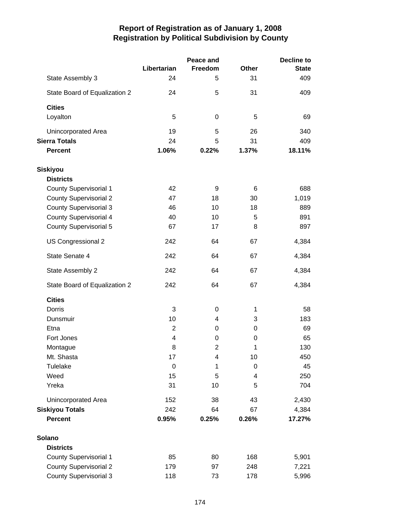|                               |                         | Peace and | <b>Decline to</b> |              |  |
|-------------------------------|-------------------------|-----------|-------------------|--------------|--|
|                               | Libertarian             | Freedom   | <b>Other</b>      | <b>State</b> |  |
| State Assembly 3              | 24                      | 5         | 31                | 409          |  |
| State Board of Equalization 2 | 24                      | 5         | 31                | 409          |  |
| <b>Cities</b>                 |                         |           |                   |              |  |
| Loyalton                      | 5                       | 0         | 5                 | 69           |  |
| Unincorporated Area           | 19                      | 5         | 26                | 340          |  |
| <b>Sierra Totals</b>          | 24                      | 5         | 31                | 409          |  |
| <b>Percent</b>                | 1.06%                   | 0.22%     | 1.37%             | 18.11%       |  |
| <b>Siskiyou</b>               |                         |           |                   |              |  |
| <b>Districts</b>              |                         |           |                   |              |  |
| <b>County Supervisorial 1</b> | 42                      | 9         | 6                 | 688          |  |
| <b>County Supervisorial 2</b> | 47                      | 18        | 30                | 1,019        |  |
| <b>County Supervisorial 3</b> | 46                      | 10        | 18                | 889          |  |
| <b>County Supervisorial 4</b> | 40                      | 10        | 5                 | 891          |  |
| <b>County Supervisorial 5</b> | 67                      | 17        | 8                 | 897          |  |
| US Congressional 2            | 242                     | 64        | 67                | 4,384        |  |
| State Senate 4                | 242                     | 64        | 67                | 4,384        |  |
| State Assembly 2              | 242                     | 64        | 67                | 4,384        |  |
| State Board of Equalization 2 | 242                     | 64        | 67                | 4,384        |  |
| <b>Cities</b>                 |                         |           |                   |              |  |
| Dorris                        | 3                       | 0         | 1                 | 58           |  |
| Dunsmuir                      | 10                      | 4         | 3                 | 183          |  |
| Etna                          | $\overline{2}$          | 0         | 0                 | 69           |  |
| Fort Jones                    | $\overline{\mathbf{4}}$ | 0         | 0                 | 65           |  |
| Montague                      | 8                       | 2         | 1                 | 130          |  |
| Mt. Shasta                    | 17                      | 4         | 10                | 450          |  |
| Tulelake                      | $\pmb{0}$               | 1         | 0                 | 45           |  |
| Weed                          | 15                      | 5         | 4                 | 250          |  |
| Yreka                         | 31                      | 10        | 5                 | 704          |  |
| Unincorporated Area           | 152                     | 38        | 43                | 2,430        |  |
| <b>Siskiyou Totals</b>        | 242                     | 64        | 67                | 4,384        |  |
| <b>Percent</b>                | 0.95%                   | 0.25%     | 0.26%             | 17.27%       |  |
| Solano                        |                         |           |                   |              |  |
| <b>Districts</b>              |                         |           |                   |              |  |
| County Supervisorial 1        | 85                      | 80        | 168               | 5,901        |  |
| <b>County Supervisorial 2</b> | 179                     | 97        | 248               | 7,221        |  |
| <b>County Supervisorial 3</b> | 118                     | 73        | 178               | 5,996        |  |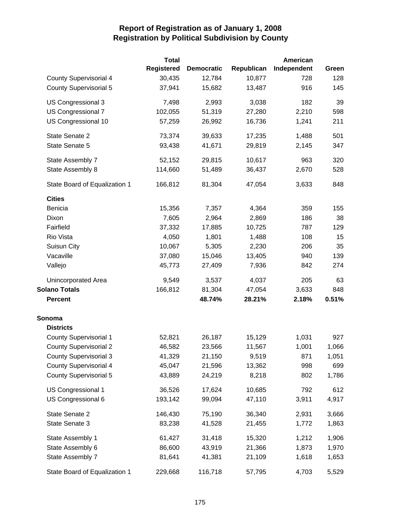|                               | <b>Total</b>      |                   |            | American    |       |
|-------------------------------|-------------------|-------------------|------------|-------------|-------|
|                               | <b>Registered</b> | <b>Democratic</b> | Republican | Independent | Green |
| <b>County Supervisorial 4</b> | 30,435            | 12,784            | 10,877     | 728         | 128   |
| <b>County Supervisorial 5</b> | 37,941            | 15,682            | 13,487     | 916         | 145   |
| US Congressional 3            | 7,498             | 2,993             | 3,038      | 182         | 39    |
| US Congressional 7            | 102,055           | 51,319            | 27,280     | 2,210       | 598   |
| US Congressional 10           | 57,259            | 26,992            | 16,736     | 1,241       | 211   |
| State Senate 2                | 73,374            | 39,633            | 17,235     | 1,488       | 501   |
| State Senate 5                | 93,438            | 41,671            | 29,819     | 2,145       | 347   |
| State Assembly 7              | 52,152            | 29,815            | 10,617     | 963         | 320   |
| State Assembly 8              | 114,660           | 51,489            | 36,437     | 2,670       | 528   |
| State Board of Equalization 1 | 166,812           | 81,304            | 47,054     | 3,633       | 848   |
| <b>Cities</b>                 |                   |                   |            |             |       |
| Benicia                       | 15,356            | 7,357             | 4,364      | 359         | 155   |
| Dixon                         | 7,605             | 2,964             | 2,869      | 186         | 38    |
| Fairfield                     | 37,332            | 17,885            | 10,725     | 787         | 129   |
| Rio Vista                     | 4,050             | 1,801             | 1,488      | 108         | 15    |
| Suisun City                   | 10,067            | 5,305             | 2,230      | 206         | 35    |
| Vacaville                     | 37,080            | 15,046            | 13,405     | 940         | 139   |
| Vallejo                       | 45,773            | 27,409            | 7,936      | 842         | 274   |
| Unincorporated Area           | 9,549             | 3,537             | 4,037      | 205         | 63    |
| <b>Solano Totals</b>          | 166,812           | 81,304            | 47,054     | 3,633       | 848   |
| <b>Percent</b>                |                   | 48.74%            | 28.21%     | 2.18%       | 0.51% |
| Sonoma                        |                   |                   |            |             |       |
| <b>Districts</b>              |                   |                   |            |             |       |
| <b>County Supervisorial 1</b> | 52,821            | 26,187            | 15,129     | 1,031       | 927   |
| <b>County Supervisorial 2</b> | 46,582            | 23,566            | 11,567     | 1,001       | 1,066 |
| <b>County Supervisorial 3</b> | 41,329            | 21,150            | 9,519      | 871         | 1,051 |
| <b>County Supervisorial 4</b> | 45,047            | 21,596            | 13,362     | 998         | 699   |
| <b>County Supervisorial 5</b> | 43,889            | 24,219            | 8,218      | 802         | 1,786 |
| US Congressional 1            | 36,526            | 17,624            | 10,685     | 792         | 612   |
| US Congressional 6            | 193,142           | 99,094            | 47,110     | 3,911       | 4,917 |
| State Senate 2                | 146,430           | 75,190            | 36,340     | 2,931       | 3,666 |
| State Senate 3                | 83,238            | 41,528            | 21,455     | 1,772       | 1,863 |
| State Assembly 1              | 61,427            | 31,418            | 15,320     | 1,212       | 1,906 |
| State Assembly 6              | 86,600            | 43,919            | 21,366     | 1,873       | 1,970 |
| State Assembly 7              | 81,641            | 41,381            | 21,109     | 1,618       | 1,653 |
| State Board of Equalization 1 | 229,668           | 116,718           | 57,795     | 4,703       | 5,529 |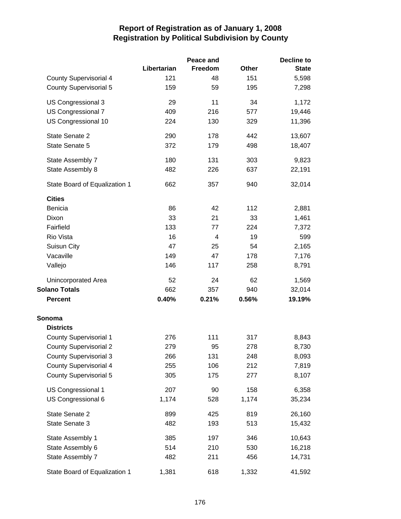|                               |             | Peace and |       | <b>Decline to</b> |
|-------------------------------|-------------|-----------|-------|-------------------|
|                               | Libertarian | Freedom   | Other | <b>State</b>      |
| <b>County Supervisorial 4</b> | 121         | 48        | 151   | 5,598             |
| <b>County Supervisorial 5</b> | 159         | 59        | 195   | 7,298             |
| US Congressional 3            | 29          | 11        | 34    | 1,172             |
| US Congressional 7            | 409         | 216       | 577   | 19,446            |
| US Congressional 10           | 224         | 130       | 329   | 11,396            |
| State Senate 2                | 290         | 178       | 442   | 13,607            |
| State Senate 5                | 372         | 179       | 498   | 18,407            |
| State Assembly 7              | 180         | 131       | 303   | 9,823             |
| State Assembly 8              | 482         | 226       | 637   | 22,191            |
| State Board of Equalization 1 | 662         | 357       | 940   | 32,014            |
| <b>Cities</b>                 |             |           |       |                   |
| <b>Benicia</b>                | 86          | 42        | 112   | 2,881             |
| Dixon                         | 33          | 21        | 33    | 1,461             |
| Fairfield                     | 133         | 77        | 224   | 7,372             |
| Rio Vista                     | 16          | 4         | 19    | 599               |
| Suisun City                   | 47          | 25        | 54    | 2,165             |
| Vacaville                     | 149         | 47        | 178   | 7,176             |
| Vallejo                       | 146         | 117       | 258   | 8,791             |
| Unincorporated Area           | 52          | 24        | 62    | 1,569             |
| <b>Solano Totals</b>          | 662         | 357       | 940   | 32,014            |
| <b>Percent</b>                | 0.40%       | 0.21%     | 0.56% | 19.19%            |
| Sonoma                        |             |           |       |                   |
| <b>Districts</b>              |             |           |       |                   |
| <b>County Supervisorial 1</b> | 276         | 111       | 317   | 8,843             |
| <b>County Supervisorial 2</b> | 279         | 95        | 278   | 8,730             |
| <b>County Supervisorial 3</b> | 266         | 131       | 248   | 8,093             |
| <b>County Supervisorial 4</b> | 255         | 106       | 212   | 7,819             |
| <b>County Supervisorial 5</b> | 305         | 175       | 277   | 8,107             |
| US Congressional 1            | 207         | 90        | 158   | 6,358             |
| US Congressional 6            | 1,174       | 528       | 1,174 | 35,234            |
| State Senate 2                | 899         | 425       | 819   | 26,160            |
| State Senate 3                | 482         | 193       | 513   | 15,432            |
| State Assembly 1              | 385         | 197       | 346   | 10,643            |
| State Assembly 6              | 514         | 210       | 530   | 16,218            |
| State Assembly 7              | 482         | 211       | 456   | 14,731            |
| State Board of Equalization 1 | 1,381       | 618       | 1,332 | 41,592            |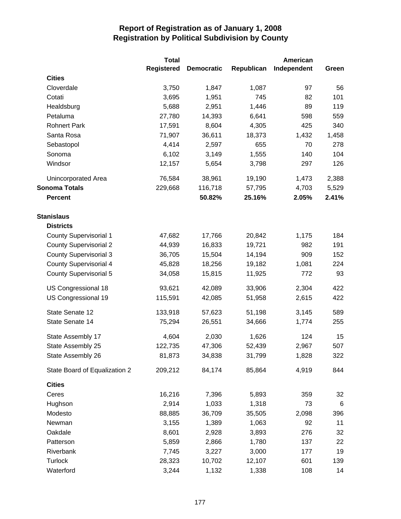|                               | <b>Total</b>      |                   |            | American    |       |
|-------------------------------|-------------------|-------------------|------------|-------------|-------|
|                               | <b>Registered</b> | <b>Democratic</b> | Republican | Independent | Green |
| <b>Cities</b>                 |                   |                   |            |             |       |
| Cloverdale                    | 3,750             | 1,847             | 1,087      | 97          | 56    |
| Cotati                        | 3,695             | 1,951             | 745        | 82          | 101   |
| Healdsburg                    | 5,688             | 2,951             | 1,446      | 89          | 119   |
| Petaluma                      | 27,780            | 14,393            | 6,641      | 598         | 559   |
| <b>Rohnert Park</b>           | 17,591            | 8,604             | 4,305      | 425         | 340   |
| Santa Rosa                    | 71,907            | 36,611            | 18,373     | 1,432       | 1,458 |
| Sebastopol                    | 4,414             | 2,597             | 655        | 70          | 278   |
| Sonoma                        | 6,102             | 3,149             | 1,555      | 140         | 104   |
| Windsor                       | 12,157            | 5,654             | 3,798      | 297         | 126   |
| Unincorporated Area           | 76,584            | 38,961            | 19,190     | 1,473       | 2,388 |
| <b>Sonoma Totals</b>          | 229,668           | 116,718           | 57,795     | 4,703       | 5,529 |
| <b>Percent</b>                |                   | 50.82%            | 25.16%     | 2.05%       | 2.41% |
| <b>Stanislaus</b>             |                   |                   |            |             |       |
| <b>Districts</b>              |                   |                   |            |             |       |
| <b>County Supervisorial 1</b> | 47,682            | 17,766            | 20,842     | 1,175       | 184   |
| <b>County Supervisorial 2</b> | 44,939            | 16,833            | 19,721     | 982         | 191   |
| <b>County Supervisorial 3</b> | 36,705            | 15,504            | 14,194     | 909         | 152   |
| <b>County Supervisorial 4</b> | 45,828            | 18,256            | 19,182     | 1,081       | 224   |
| <b>County Supervisorial 5</b> | 34,058            | 15,815            | 11,925     | 772         | 93    |
| US Congressional 18           | 93,621            | 42,089            | 33,906     | 2,304       | 422   |
| US Congressional 19           | 115,591           | 42,085            | 51,958     | 2,615       | 422   |
| State Senate 12               | 133,918           | 57,623            | 51,198     | 3,145       | 589   |
| State Senate 14               | 75,294            | 26,551            | 34,666     | 1,774       | 255   |
| State Assembly 17             | 4,604             | 2,030             | 1,626      | 124         | 15    |
| State Assembly 25             | 122,735           | 47,306            | 52,439     | 2,967       | 507   |
| State Assembly 26             | 81,873            | 34,838            | 31,799     | 1,828       | 322   |
| State Board of Equalization 2 | 209,212           | 84,174            | 85,864     | 4,919       | 844   |
| <b>Cities</b>                 |                   |                   |            |             |       |
| Ceres                         | 16,216            | 7,396             | 5,893      | 359         | 32    |
| Hughson                       | 2,914             | 1,033             | 1,318      | 73          | 6     |
| Modesto                       | 88,885            | 36,709            | 35,505     | 2,098       | 396   |
| Newman                        | 3,155             | 1,389             | 1,063      | 92          | 11    |
| Oakdale                       | 8,601             | 2,928             | 3,893      | 276         | 32    |
| Patterson                     | 5,859             | 2,866             | 1,780      | 137         | 22    |
| Riverbank                     | 7,745             | 3,227             | 3,000      | 177         | 19    |
| <b>Turlock</b>                | 28,323            | 10,702            | 12,107     | 601         | 139   |
| Waterford                     | 3,244             | 1,132             | 1,338      | 108         | 14    |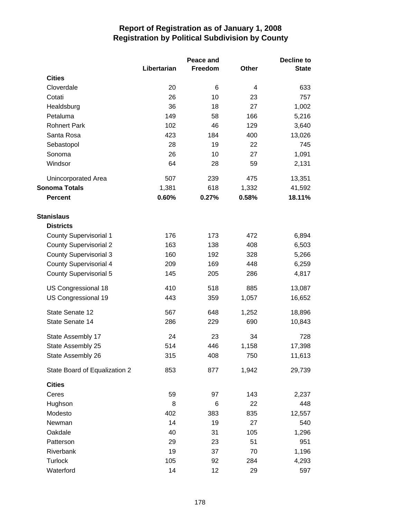|                               |             | Peace and |              | Decline to   |  |
|-------------------------------|-------------|-----------|--------------|--------------|--|
|                               | Libertarian | Freedom   | <b>Other</b> | <b>State</b> |  |
| <b>Cities</b>                 |             |           |              |              |  |
| Cloverdale                    | 20          | 6         | 4            | 633          |  |
| Cotati                        | 26          | 10        | 23           | 757          |  |
| Healdsburg                    | 36          | 18        | 27           | 1,002        |  |
| Petaluma                      | 149         | 58        | 166          | 5,216        |  |
| <b>Rohnert Park</b>           | 102         | 46        | 129          | 3,640        |  |
| Santa Rosa                    | 423         | 184       | 400          | 13,026       |  |
| Sebastopol                    | 28          | 19        | 22           | 745          |  |
| Sonoma                        | 26          | 10        | 27           | 1,091        |  |
| Windsor                       | 64          | 28        | 59           | 2,131        |  |
| Unincorporated Area           | 507         | 239       | 475          | 13,351       |  |
| <b>Sonoma Totals</b>          | 1,381       | 618       | 1,332        | 41,592       |  |
| <b>Percent</b>                | 0.60%       | 0.27%     | 0.58%        | 18.11%       |  |
| <b>Stanislaus</b>             |             |           |              |              |  |
| <b>Districts</b>              |             |           |              |              |  |
| <b>County Supervisorial 1</b> | 176         | 173       | 472          | 6,894        |  |
| <b>County Supervisorial 2</b> | 163         | 138       | 408          | 6,503        |  |
| <b>County Supervisorial 3</b> | 160         | 192       | 328          | 5,266        |  |
| <b>County Supervisorial 4</b> | 209         | 169       | 448          | 6,259        |  |
| <b>County Supervisorial 5</b> | 145         | 205       | 286          | 4,817        |  |
| US Congressional 18           | 410         | 518       | 885          | 13,087       |  |
| US Congressional 19           | 443         | 359       | 1,057        | 16,652       |  |
| State Senate 12               | 567         | 648       | 1,252        | 18,896       |  |
| State Senate 14               | 286         | 229       | 690          | 10,843       |  |
| State Assembly 17             | 24          | 23        | 34           | 728          |  |
| State Assembly 25             | 514         | 446       | 1,158        | 17,398       |  |
| State Assembly 26             | 315         | 408       | 750          | 11,613       |  |
| State Board of Equalization 2 | 853         | 877       | 1,942        | 29,739       |  |
| <b>Cities</b>                 |             |           |              |              |  |
| Ceres                         | 59          | 97        | 143          | 2,237        |  |
| Hughson                       | 8           | 6         | 22           | 448          |  |
| Modesto                       | 402         | 383       | 835          | 12,557       |  |
| Newman                        | 14          | 19        | 27           | 540          |  |
| Oakdale                       | 40          | 31        | 105          | 1,296        |  |
| Patterson                     | 29          | 23        | 51           | 951          |  |
| Riverbank                     | 19          | 37        | 70           | 1,196        |  |
| <b>Turlock</b>                | 105         | 92        | 284          | 4,293        |  |
| Waterford                     | 14          | 12        | 29           | 597          |  |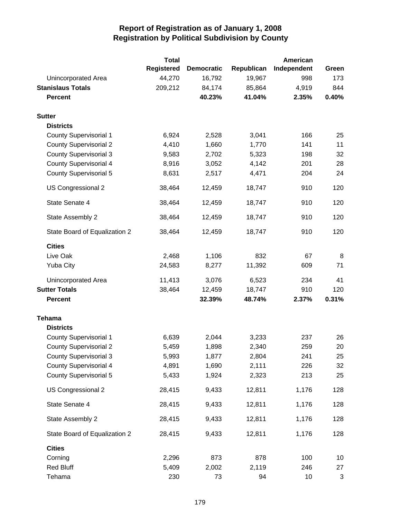|                               | <b>Total</b>      |                   |            | American    |              |
|-------------------------------|-------------------|-------------------|------------|-------------|--------------|
|                               | <b>Registered</b> | <b>Democratic</b> | Republican | Independent | Green        |
| Unincorporated Area           | 44,270            | 16,792            | 19,967     | 998         | 173          |
| <b>Stanislaus Totals</b>      | 209,212           | 84,174            | 85,864     | 4,919       | 844          |
| <b>Percent</b>                |                   | 40.23%            | 41.04%     | 2.35%       | 0.40%        |
| <b>Sutter</b>                 |                   |                   |            |             |              |
| <b>Districts</b>              |                   |                   |            |             |              |
| <b>County Supervisorial 1</b> | 6,924             | 2,528             | 3,041      | 166         | 25           |
| <b>County Supervisorial 2</b> | 4,410             | 1,660             | 1,770      | 141         | 11           |
| <b>County Supervisorial 3</b> | 9,583             | 2,702             | 5,323      | 198         | 32           |
| <b>County Supervisorial 4</b> | 8,916             | 3,052             | 4,142      | 201         | 28           |
| <b>County Supervisorial 5</b> | 8,631             | 2,517             | 4,471      | 204         | 24           |
| US Congressional 2            | 38,464            | 12,459            | 18,747     | 910         | 120          |
| State Senate 4                | 38,464            | 12,459            | 18,747     | 910         | 120          |
| State Assembly 2              | 38,464            | 12,459            | 18,747     | 910         | 120          |
| State Board of Equalization 2 | 38,464            | 12,459            | 18,747     | 910         | 120          |
| <b>Cities</b>                 |                   |                   |            |             |              |
| Live Oak                      | 2,468             | 1,106             | 832        | 67          | 8            |
| <b>Yuba City</b>              | 24,583            | 8,277             | 11,392     | 609         | 71           |
| Unincorporated Area           | 11,413            | 3,076             | 6,523      | 234         | 41           |
| <b>Sutter Totals</b>          | 38,464            | 12,459            | 18,747     | 910         | 120          |
| <b>Percent</b>                |                   | 32.39%            | 48.74%     | 2.37%       | 0.31%        |
| <b>Tehama</b>                 |                   |                   |            |             |              |
| <b>Districts</b>              |                   |                   |            |             |              |
| <b>County Supervisorial 1</b> | 6,639             | 2,044             | 3,233      | 237         | 26           |
| <b>County Supervisorial 2</b> | 5,459             | 1,898             | 2,340      | 259         | 20           |
| <b>County Supervisorial 3</b> | 5,993             | 1,877             | 2,804      | 241         | 25           |
| <b>County Supervisorial 4</b> | 4,891             | 1,690             | 2,111      | 226         | 32           |
| <b>County Supervisorial 5</b> | 5,433             | 1,924             | 2,323      | 213         | 25           |
| US Congressional 2            | 28,415            | 9,433             | 12,811     | 1,176       | 128          |
| State Senate 4                | 28,415            | 9,433             | 12,811     | 1,176       | 128          |
| State Assembly 2              | 28,415            | 9,433             | 12,811     | 1,176       | 128          |
| State Board of Equalization 2 | 28,415            | 9,433             | 12,811     | 1,176       | 128          |
| <b>Cities</b>                 |                   |                   |            |             |              |
| Corning                       | 2,296             | 873               | 878        | 100         | 10           |
| <b>Red Bluff</b>              | 5,409             | 2,002             | 2,119      | 246         | 27           |
| Tehama                        | 230               | 73                | 94         | 10          | $\mathbf{3}$ |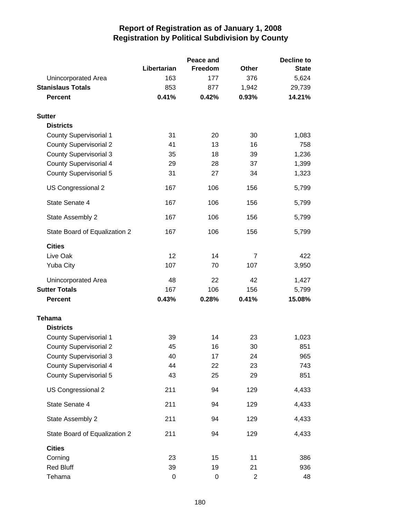|                               |                  | Peace and   |                | <b>Decline to</b> |
|-------------------------------|------------------|-------------|----------------|-------------------|
|                               | Libertarian      | Freedom     | <b>Other</b>   | <b>State</b>      |
| Unincorporated Area           | 163              | 177         | 376            | 5,624             |
| <b>Stanislaus Totals</b>      | 853              | 877         | 1,942          | 29,739            |
| <b>Percent</b>                | 0.41%            | 0.42%       | 0.93%          | 14.21%            |
| <b>Sutter</b>                 |                  |             |                |                   |
| <b>Districts</b>              |                  |             |                |                   |
| <b>County Supervisorial 1</b> | 31               | 20          | 30             | 1,083             |
| <b>County Supervisorial 2</b> | 41               | 13          | 16             | 758               |
| <b>County Supervisorial 3</b> | 35               | 18          | 39             | 1,236             |
| <b>County Supervisorial 4</b> | 29               | 28          | 37             | 1,399             |
| <b>County Supervisorial 5</b> | 31               | 27          | 34             | 1,323             |
| US Congressional 2            | 167              | 106         | 156            | 5,799             |
| State Senate 4                | 167              | 106         | 156            | 5,799             |
| State Assembly 2              | 167              | 106         | 156            | 5,799             |
| State Board of Equalization 2 | 167              | 106         | 156            | 5,799             |
| <b>Cities</b>                 |                  |             |                |                   |
| Live Oak                      | 12               | 14          | $\overline{7}$ | 422               |
| <b>Yuba City</b>              | 107              | 70          | 107            | 3,950             |
| Unincorporated Area           | 48               | 22          | 42             | 1,427             |
| <b>Sutter Totals</b>          | 167              | 106         | 156            | 5,799             |
| <b>Percent</b>                | 0.43%            | 0.28%       | 0.41%          | 15.08%            |
| <b>Tehama</b>                 |                  |             |                |                   |
| <b>Districts</b>              |                  |             |                |                   |
| <b>County Supervisorial 1</b> | 39               | 14          | 23             | 1,023             |
| <b>County Supervisorial 2</b> | 45               | 16          | 30             | 851               |
| <b>County Supervisorial 3</b> | 40               | 17          | 24             | 965               |
| <b>County Supervisorial 4</b> | 44               | 22          | 23             | 743               |
| <b>County Supervisorial 5</b> | 43               | 25          | 29             | 851               |
| US Congressional 2            | 211              | 94          | 129            | 4,433             |
| State Senate 4                | 211              | 94          | 129            | 4,433             |
| State Assembly 2              | 211              | 94          | 129            | 4,433             |
| State Board of Equalization 2 | 211              | 94          | 129            | 4,433             |
| <b>Cities</b>                 |                  |             |                |                   |
| Corning                       | 23               | 15          | 11             | 386               |
| <b>Red Bluff</b>              | 39               | 19          | 21             | 936               |
| Tehama                        | $\boldsymbol{0}$ | $\mathbf 0$ | $\overline{c}$ | 48                |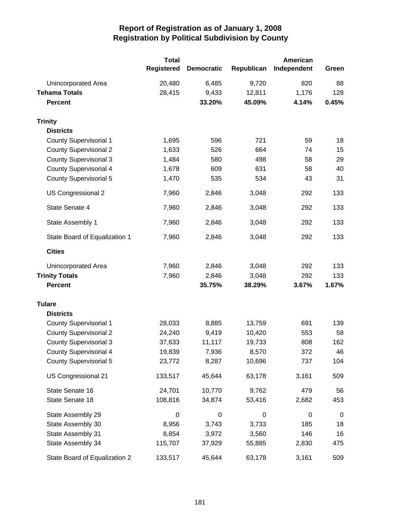|                               | <b>Total</b><br><b>Registered</b> | <b>Democratic</b> | Republican | American<br>Independent | Green       |
|-------------------------------|-----------------------------------|-------------------|------------|-------------------------|-------------|
| Unincorporated Area           | 20,480                            | 6,485             | 9,720      | 820                     | 88          |
| <b>Tehama Totals</b>          | 28,415                            | 9,433             | 12,811     | 1,176                   | 128         |
| <b>Percent</b>                |                                   | 33.20%            | 45.09%     | 4.14%                   | 0.45%       |
| <b>Trinity</b>                |                                   |                   |            |                         |             |
| <b>Districts</b>              |                                   |                   |            |                         |             |
| <b>County Supervisorial 1</b> | 1,695                             | 596               | 721        | 59                      | 18          |
| <b>County Supervisorial 2</b> | 1,633                             | 526               | 664        | 74                      | 15          |
| <b>County Supervisorial 3</b> | 1,484                             | 580               | 498        | 58                      | 29          |
| County Supervisorial 4        | 1,678                             | 609               | 631        | 58                      | 40          |
| <b>County Supervisorial 5</b> | 1,470                             | 535               | 534        | 43                      | 31          |
| US Congressional 2            | 7,960                             | 2,846             | 3,048      | 292                     | 133         |
| State Senate 4                | 7,960                             | 2,846             | 3,048      | 292                     | 133         |
| State Assembly 1              | 7,960                             | 2,846             | 3,048      | 292                     | 133         |
| State Board of Equalization 1 | 7,960                             | 2,846             | 3,048      | 292                     | 133         |
| <b>Cities</b>                 |                                   |                   |            |                         |             |
| Unincorporated Area           | 7,960                             | 2,846             | 3,048      | 292                     | 133         |
| <b>Trinity Totals</b>         | 7,960                             | 2,846             | 3,048      | 292                     | 133         |
| <b>Percent</b>                |                                   | 35.75%            | 38.29%     | 3.67%                   | 1.67%       |
| <b>Tulare</b>                 |                                   |                   |            |                         |             |
| <b>Districts</b>              |                                   |                   |            |                         |             |
| <b>County Supervisorial 1</b> | 28,033                            | 8,885             | 13,759     | 691                     | 139         |
| <b>County Supervisorial 2</b> | 24,240                            | 9,419             | 10,420     | 553                     | 58          |
| <b>County Supervisorial 3</b> | 37,633                            | 11,117            | 19,733     | 808                     | 162         |
| <b>County Supervisorial 4</b> | 19,839                            | 7,936             | 8,570      | 372                     | 46          |
| <b>County Supervisorial 5</b> | 23,772                            | 8,287             | 10,696     | 737                     | 104         |
| US Congressional 21           | 133,517                           | 45,644            | 63,178     | 3,161                   | 509         |
| State Senate 16               | 24,701                            | 10,770            | 9,762      | 479                     | 56          |
| State Senate 18               | 108,816                           | 34,874            | 53,416     | 2,682                   | 453         |
| State Assembly 29             | 0                                 | $\boldsymbol{0}$  | 0          | 0                       | $\mathbf 0$ |
| State Assembly 30             | 8,956                             | 3,743             | 3,733      | 185                     | 18          |
| State Assembly 31             | 8,854                             | 3,972             | 3,560      | 146                     | 16          |
| State Assembly 34             | 115,707                           | 37,929            | 55,885     | 2,830                   | 475         |
| State Board of Equalization 2 | 133,517                           | 45,644            | 63,178     | 3,161                   | 509         |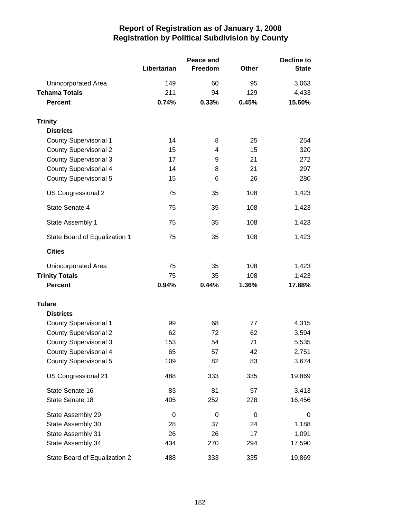|                               |             | Peace and |              | <b>Decline to</b> |  |
|-------------------------------|-------------|-----------|--------------|-------------------|--|
|                               | Libertarian | Freedom   | <b>Other</b> | <b>State</b>      |  |
| Unincorporated Area           | 149         | 60        | 95           | 3,063             |  |
| <b>Tehama Totals</b>          | 211         | 94        | 129          | 4,433             |  |
| <b>Percent</b>                | 0.74%       | 0.33%     | 0.45%        | 15.60%            |  |
| <b>Trinity</b>                |             |           |              |                   |  |
| <b>Districts</b>              |             |           |              |                   |  |
| <b>County Supervisorial 1</b> | 14          | 8         | 25           | 254               |  |
| <b>County Supervisorial 2</b> | 15          | 4         | 15           | 320               |  |
| <b>County Supervisorial 3</b> | 17          | 9         | 21           | 272               |  |
| County Supervisorial 4        | 14          | 8         | 21           | 297               |  |
| <b>County Supervisorial 5</b> | 15          | 6         | 26           | 280               |  |
| US Congressional 2            | 75          | 35        | 108          | 1,423             |  |
| State Senate 4                | 75          | 35        | 108          | 1,423             |  |
| State Assembly 1              | 75          | 35        | 108          | 1,423             |  |
| State Board of Equalization 1 | 75          | 35        | 108          | 1,423             |  |
| <b>Cities</b>                 |             |           |              |                   |  |
| Unincorporated Area           | 75          | 35        | 108          | 1,423             |  |
| <b>Trinity Totals</b>         | 75          | 35        | 108          | 1,423             |  |
| <b>Percent</b>                | 0.94%       | 0.44%     | 1.36%        | 17.88%            |  |
| <b>Tulare</b>                 |             |           |              |                   |  |
| <b>Districts</b>              |             |           |              |                   |  |
| <b>County Supervisorial 1</b> | 99          | 68        | 77           | 4,315             |  |
| <b>County Supervisorial 2</b> | 62          | 72        | 62           | 3,594             |  |
| <b>County Supervisorial 3</b> | 153         | 54        | 71           | 5,535             |  |
| <b>County Supervisorial 4</b> | 65          | 57        | 42           | 2,751             |  |
| County Supervisorial 5        | 109         | 82        | 83           | 3,674             |  |
| US Congressional 21           | 488         | 333       | 335          | 19,869            |  |
| State Senate 16               | 83          | 81        | 57           | 3,413             |  |
| State Senate 18               | 405         | 252       | 278          | 16,456            |  |
| State Assembly 29             | 0           | 0         | $\pmb{0}$    | 0                 |  |
| State Assembly 30             | 28          | 37        | 24           | 1,188             |  |
| State Assembly 31             | 26          | 26        | 17           | 1,091             |  |
| State Assembly 34             | 434         | 270       | 294          | 17,590            |  |
| State Board of Equalization 2 | 488         | 333       | 335          | 19,869            |  |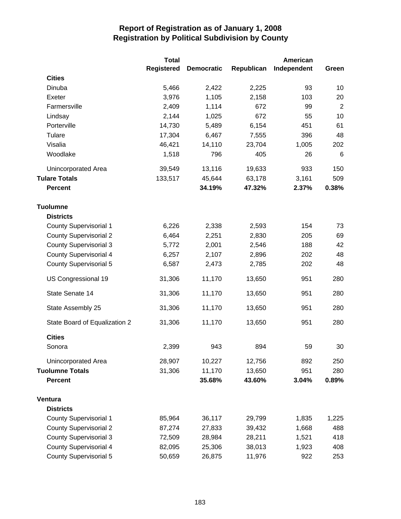|                               | <b>Total</b>      |                   |            | American    |                |
|-------------------------------|-------------------|-------------------|------------|-------------|----------------|
|                               | <b>Registered</b> | <b>Democratic</b> | Republican | Independent | Green          |
| <b>Cities</b>                 |                   |                   |            |             |                |
| Dinuba                        | 5,466             | 2,422             | 2,225      | 93          | 10             |
| Exeter                        | 3,976             | 1,105             | 2,158      | 103         | 20             |
| Farmersville                  | 2,409             | 1,114             | 672        | 99          | $\overline{2}$ |
| Lindsay                       | 2,144             | 1,025             | 672        | 55          | 10             |
| Porterville                   | 14,730            | 5,489             | 6,154      | 451         | 61             |
| Tulare                        | 17,304            | 6,467             | 7,555      | 396         | 48             |
| Visalia                       | 46,421            | 14,110            | 23,704     | 1,005       | 202            |
| Woodlake                      | 1,518             | 796               | 405        | 26          | 6              |
| Unincorporated Area           | 39,549            | 13,116            | 19,633     | 933         | 150            |
| <b>Tulare Totals</b>          | 133,517           | 45,644            | 63,178     | 3,161       | 509            |
| <b>Percent</b>                |                   | 34.19%            | 47.32%     | 2.37%       | 0.38%          |
| <b>Tuolumne</b>               |                   |                   |            |             |                |
| <b>Districts</b>              |                   |                   |            |             |                |
| <b>County Supervisorial 1</b> | 6,226             | 2,338             | 2,593      | 154         | 73             |
| <b>County Supervisorial 2</b> | 6,464             | 2,251             | 2,830      | 205         | 69             |
| <b>County Supervisorial 3</b> | 5,772             | 2,001             | 2,546      | 188         | 42             |
| <b>County Supervisorial 4</b> | 6,257             | 2,107             | 2,896      | 202         | 48             |
| <b>County Supervisorial 5</b> | 6,587             | 2,473             | 2,785      | 202         | 48             |
| US Congressional 19           | 31,306            | 11,170            | 13,650     | 951         | 280            |
| State Senate 14               | 31,306            | 11,170            | 13,650     | 951         | 280            |
| State Assembly 25             | 31,306            | 11,170            | 13,650     | 951         | 280            |
| State Board of Equalization 2 | 31,306            | 11,170            | 13,650     | 951         | 280            |
| <b>Cities</b>                 |                   |                   |            |             |                |
| Sonora                        | 2,399             | 943               | 894        | 59          | 30             |
| Unincorporated Area           | 28,907            | 10,227            | 12,756     | 892         | 250            |
| <b>Tuolumne Totals</b>        | 31,306            | 11,170            | 13,650     | 951         | 280            |
| <b>Percent</b>                |                   | 35.68%            | 43.60%     | 3.04%       | 0.89%          |
| Ventura                       |                   |                   |            |             |                |
| <b>Districts</b>              |                   |                   |            |             |                |
| <b>County Supervisorial 1</b> | 85,964            | 36,117            | 29,799     | 1,835       | 1,225          |
| <b>County Supervisorial 2</b> | 87,274            | 27,833            | 39,432     | 1,668       | 488            |
| <b>County Supervisorial 3</b> | 72,509            | 28,984            | 28,211     | 1,521       | 418            |
| <b>County Supervisorial 4</b> | 82,095            | 25,306            | 38,013     | 1,923       | 408            |
| <b>County Supervisorial 5</b> | 50,659            | 26,875            | 11,976     | 922         | 253            |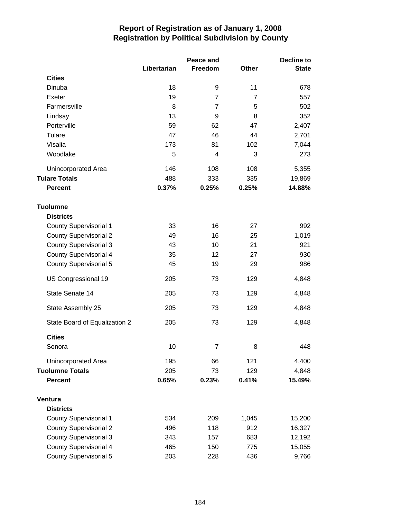|                               |             | Peace and      |                | Decline to   |  |
|-------------------------------|-------------|----------------|----------------|--------------|--|
|                               | Libertarian | Freedom        | Other          | <b>State</b> |  |
| <b>Cities</b>                 |             |                |                |              |  |
| Dinuba                        | 18          | 9              | 11             | 678          |  |
| Exeter                        | 19          | $\overline{7}$ | $\overline{7}$ | 557          |  |
| Farmersville                  | 8           | $\overline{7}$ | 5              | 502          |  |
| Lindsay                       | 13          | 9              | 8              | 352          |  |
| Porterville                   | 59          | 62             | 47             | 2,407        |  |
| Tulare                        | 47          | 46             | 44             | 2,701        |  |
| Visalia                       | 173         | 81             | 102            | 7,044        |  |
| Woodlake                      | 5           | 4              | 3              | 273          |  |
| Unincorporated Area           | 146         | 108            | 108            | 5,355        |  |
| <b>Tulare Totals</b>          | 488         | 333            | 335            | 19,869       |  |
| <b>Percent</b>                | 0.37%       | 0.25%          | 0.25%          | 14.88%       |  |
| <b>Tuolumne</b>               |             |                |                |              |  |
| <b>Districts</b>              |             |                |                |              |  |
| <b>County Supervisorial 1</b> | 33          | 16             | 27             | 992          |  |
| <b>County Supervisorial 2</b> | 49          | 16             | 25             | 1,019        |  |
| <b>County Supervisorial 3</b> | 43          | 10             | 21             | 921          |  |
| <b>County Supervisorial 4</b> | 35          | 12             | 27             | 930          |  |
| <b>County Supervisorial 5</b> | 45          | 19             | 29             | 986          |  |
| US Congressional 19           | 205         | 73             | 129            | 4,848        |  |
| State Senate 14               | 205         | 73             | 129            | 4,848        |  |
| State Assembly 25             | 205         | 73             | 129            | 4,848        |  |
| State Board of Equalization 2 | 205         | 73             | 129            | 4,848        |  |
| <b>Cities</b>                 |             |                |                |              |  |
| Sonora                        | 10          | $\overline{7}$ | 8              | 448          |  |
| Unincorporated Area           | 195         | 66             | 121            | 4,400        |  |
| <b>Tuolumne Totals</b>        | 205         | 73             | 129            | 4,848        |  |
| <b>Percent</b>                | 0.65%       | 0.23%          | 0.41%          | 15.49%       |  |
| Ventura                       |             |                |                |              |  |
| <b>Districts</b>              |             |                |                |              |  |
| <b>County Supervisorial 1</b> | 534         | 209            | 1,045          | 15,200       |  |
| <b>County Supervisorial 2</b> | 496         | 118            | 912            | 16,327       |  |
| <b>County Supervisorial 3</b> | 343         | 157            | 683            | 12,192       |  |
| <b>County Supervisorial 4</b> | 465         | 150            | 775            | 15,055       |  |
| <b>County Supervisorial 5</b> | 203         | 228            | 436            | 9,766        |  |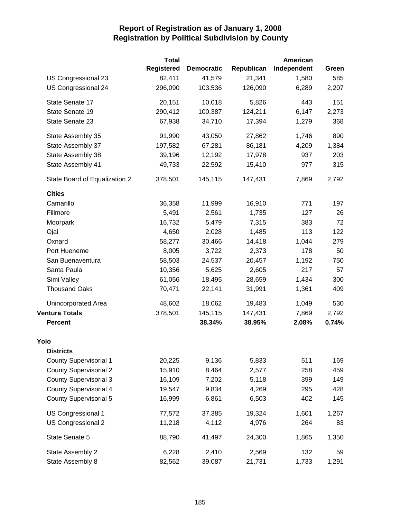|                               | <b>Total</b>      |                   |            | American    |       |
|-------------------------------|-------------------|-------------------|------------|-------------|-------|
|                               | <b>Registered</b> | <b>Democratic</b> | Republican | Independent | Green |
| US Congressional 23           | 82,411            | 41,579            | 21,341     | 1,580       | 585   |
| US Congressional 24           | 296,090           | 103,536           | 126,090    | 6,289       | 2,207 |
| State Senate 17               | 20,151            | 10,018            | 5,826      | 443         | 151   |
| State Senate 19               | 290,412           | 100,387           | 124,211    | 6,147       | 2,273 |
| State Senate 23               | 67,938            | 34,710            | 17,394     | 1,279       | 368   |
| State Assembly 35             | 91,990            | 43,050            | 27,862     | 1,746       | 890   |
| State Assembly 37             | 197,582           | 67,281            | 86,181     | 4,209       | 1,384 |
| State Assembly 38             | 39,196            | 12,192            | 17,978     | 937         | 203   |
| State Assembly 41             | 49,733            | 22,592            | 15,410     | 977         | 315   |
| State Board of Equalization 2 | 378,501           | 145,115           | 147,431    | 7,869       | 2,792 |
| <b>Cities</b>                 |                   |                   |            |             |       |
| Camarillo                     | 36,358            | 11,999            | 16,910     | 771         | 197   |
| Fillmore                      | 5,491             | 2,561             | 1,735      | 127         | 26    |
| Moorpark                      | 16,732            | 5,479             | 7,315      | 383         | 72    |
| Ojai                          | 4,650             | 2,028             | 1,485      | 113         | 122   |
| Oxnard                        | 58,277            | 30,466            | 14,418     | 1,044       | 279   |
| Port Hueneme                  | 8,005             | 3,722             | 2,373      | 178         | 50    |
| San Buenaventura              | 58,503            | 24,537            | 20,457     | 1,192       | 750   |
| Santa Paula                   | 10,356            | 5,625             | 2,605      | 217         | 57    |
| Simi Valley                   | 61,056            | 18,495            | 28,659     | 1,434       | 300   |
| <b>Thousand Oaks</b>          | 70,471            | 22,141            | 31,991     | 1,361       | 409   |
| Unincorporated Area           | 48,602            | 18,062            | 19,483     | 1,049       | 530   |
| <b>Ventura Totals</b>         | 378,501           | 145,115           | 147,431    | 7,869       | 2,792 |
| <b>Percent</b>                |                   | 38.34%            | 38.95%     | 2.08%       | 0.74% |
| Yolo                          |                   |                   |            |             |       |
| <b>Districts</b>              |                   |                   |            |             |       |
| <b>County Supervisorial 1</b> | 20,225            | 9,136             | 5,833      | 511         | 169   |
| <b>County Supervisorial 2</b> | 15,910            | 8,464             | 2,577      | 258         | 459   |
| <b>County Supervisorial 3</b> | 16,109            | 7,202             | 5,118      | 399         | 149   |
| <b>County Supervisorial 4</b> | 19,547            | 9,834             | 4,269      | 295         | 428   |
| <b>County Supervisorial 5</b> | 16,999            | 6,861             | 6,503      | 402         | 145   |
| US Congressional 1            | 77,572            | 37,385            | 19,324     | 1,601       | 1,267 |
| US Congressional 2            | 11,218            | 4,112             | 4,976      | 264         | 83    |
| State Senate 5                | 88,790            | 41,497            | 24,300     | 1,865       | 1,350 |
| State Assembly 2              | 6,228             | 2,410             | 2,569      | 132         | 59    |
| State Assembly 8              | 82,562            | 39,087            | 21,731     | 1,733       | 1,291 |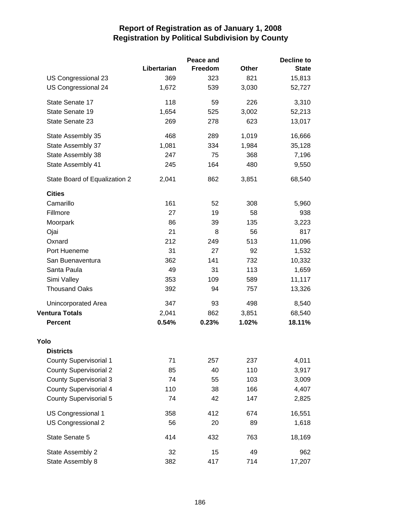|                               |             | Peace and |       | <b>Decline to</b> |
|-------------------------------|-------------|-----------|-------|-------------------|
|                               | Libertarian | Freedom   | Other | <b>State</b>      |
| US Congressional 23           | 369         | 323       | 821   | 15,813            |
| US Congressional 24           | 1,672       | 539       | 3,030 | 52,727            |
| State Senate 17               | 118         | 59        | 226   | 3,310             |
| State Senate 19               | 1,654       | 525       | 3,002 | 52,213            |
| State Senate 23               | 269         | 278       | 623   | 13,017            |
| State Assembly 35             | 468         | 289       | 1,019 | 16,666            |
| State Assembly 37             | 1,081       | 334       | 1,984 | 35,128            |
| State Assembly 38             | 247         | 75        | 368   | 7,196             |
| State Assembly 41             | 245         | 164       | 480   | 9,550             |
| State Board of Equalization 2 | 2,041       | 862       | 3,851 | 68,540            |
| <b>Cities</b>                 |             |           |       |                   |
| Camarillo                     | 161         | 52        | 308   | 5,960             |
| Fillmore                      | 27          | 19        | 58    | 938               |
| Moorpark                      | 86          | 39        | 135   | 3,223             |
| Ojai                          | 21          | 8         | 56    | 817               |
| Oxnard                        | 212         | 249       | 513   | 11,096            |
| Port Hueneme                  | 31          | 27        | 92    | 1,532             |
| San Buenaventura              | 362         | 141       | 732   | 10,332            |
| Santa Paula                   | 49          | 31        | 113   | 1,659             |
| Simi Valley                   | 353         | 109       | 589   | 11,117            |
| <b>Thousand Oaks</b>          | 392         | 94        | 757   | 13,326            |
| Unincorporated Area           | 347         | 93        | 498   | 8,540             |
| <b>Ventura Totals</b>         | 2,041       | 862       | 3,851 | 68,540            |
| <b>Percent</b>                | 0.54%       | 0.23%     | 1.02% | 18.11%            |
| Yolo                          |             |           |       |                   |
| <b>Districts</b>              |             |           |       |                   |
| <b>County Supervisorial 1</b> | 71          | 257       | 237   | 4,011             |
| <b>County Supervisorial 2</b> | 85          | 40        | 110   | 3,917             |
| <b>County Supervisorial 3</b> | 74          | 55        | 103   | 3,009             |
| <b>County Supervisorial 4</b> | 110         | 38        | 166   | 4,407             |
| <b>County Supervisorial 5</b> | 74          | 42        | 147   | 2,825             |
| US Congressional 1            | 358         | 412       | 674   | 16,551            |
| US Congressional 2            | 56          | 20        | 89    | 1,618             |
| State Senate 5                | 414         | 432       | 763   | 18,169            |
| State Assembly 2              | 32          | 15        | 49    | 962               |
| State Assembly 8              | 382         | 417       | 714   | 17,207            |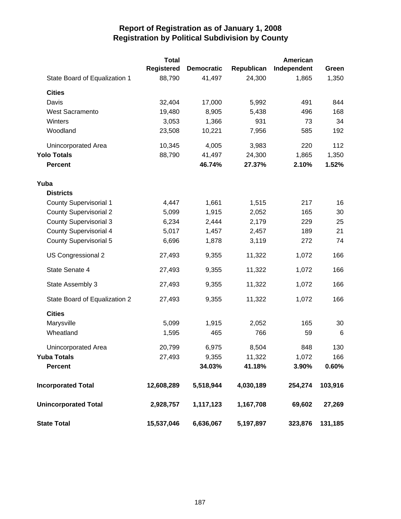|                               | <b>Total</b>      |                   |            | American    |         |
|-------------------------------|-------------------|-------------------|------------|-------------|---------|
|                               | <b>Registered</b> | <b>Democratic</b> | Republican | Independent | Green   |
| State Board of Equalization 1 | 88,790            | 41,497            | 24,300     | 1,865       | 1,350   |
| <b>Cities</b>                 |                   |                   |            |             |         |
| Davis                         | 32,404            | 17,000            | 5,992      | 491         | 844     |
| West Sacramento               | 19,480            | 8,905             | 5,438      | 496         | 168     |
| Winters                       | 3,053             | 1,366             | 931        | 73          | 34      |
| Woodland                      | 23,508            | 10,221            | 7,956      | 585         | 192     |
| Unincorporated Area           | 10,345            | 4,005             | 3,983      | 220         | 112     |
| <b>Yolo Totals</b>            | 88,790            | 41,497            | 24,300     | 1,865       | 1,350   |
| <b>Percent</b>                |                   | 46.74%            | 27.37%     | 2.10%       | 1.52%   |
| Yuba                          |                   |                   |            |             |         |
| <b>Districts</b>              |                   |                   |            |             |         |
| <b>County Supervisorial 1</b> | 4,447             | 1,661             | 1,515      | 217         | 16      |
| <b>County Supervisorial 2</b> | 5,099             | 1,915             | 2,052      | 165         | 30      |
| <b>County Supervisorial 3</b> | 6,234             | 2,444             | 2,179      | 229         | 25      |
| <b>County Supervisorial 4</b> | 5,017             | 1,457             | 2,457      | 189         | 21      |
| <b>County Supervisorial 5</b> | 6,696             | 1,878             | 3,119      | 272         | 74      |
| US Congressional 2            | 27,493            | 9,355             | 11,322     | 1,072       | 166     |
| State Senate 4                | 27,493            | 9,355             | 11,322     | 1,072       | 166     |
| State Assembly 3              | 27,493            | 9,355             | 11,322     | 1,072       | 166     |
| State Board of Equalization 2 | 27,493            | 9,355             | 11,322     | 1,072       | 166     |
| <b>Cities</b>                 |                   |                   |            |             |         |
| Marysville                    | 5,099             | 1,915             | 2,052      | 165         | 30      |
| Wheatland                     | 1,595             | 465               | 766        | 59          | 6       |
| <b>Unincorporated Area</b>    | 20,799            | 6,975             | 8,504      | 848         | 130     |
| <b>Yuba Totals</b>            | 27,493            | 9,355             | 11,322     | 1,072       | 166     |
| <b>Percent</b>                |                   | 34.03%            | 41.18%     | 3.90%       | 0.60%   |
| <b>Incorporated Total</b>     | 12,608,289        | 5,518,944         | 4,030,189  | 254,274     | 103,916 |
| <b>Unincorporated Total</b>   | 2,928,757         | 1,117,123         | 1,167,708  | 69,602      | 27,269  |
| <b>State Total</b>            | 15,537,046        | 6,636,067         | 5,197,897  | 323,876     | 131,185 |